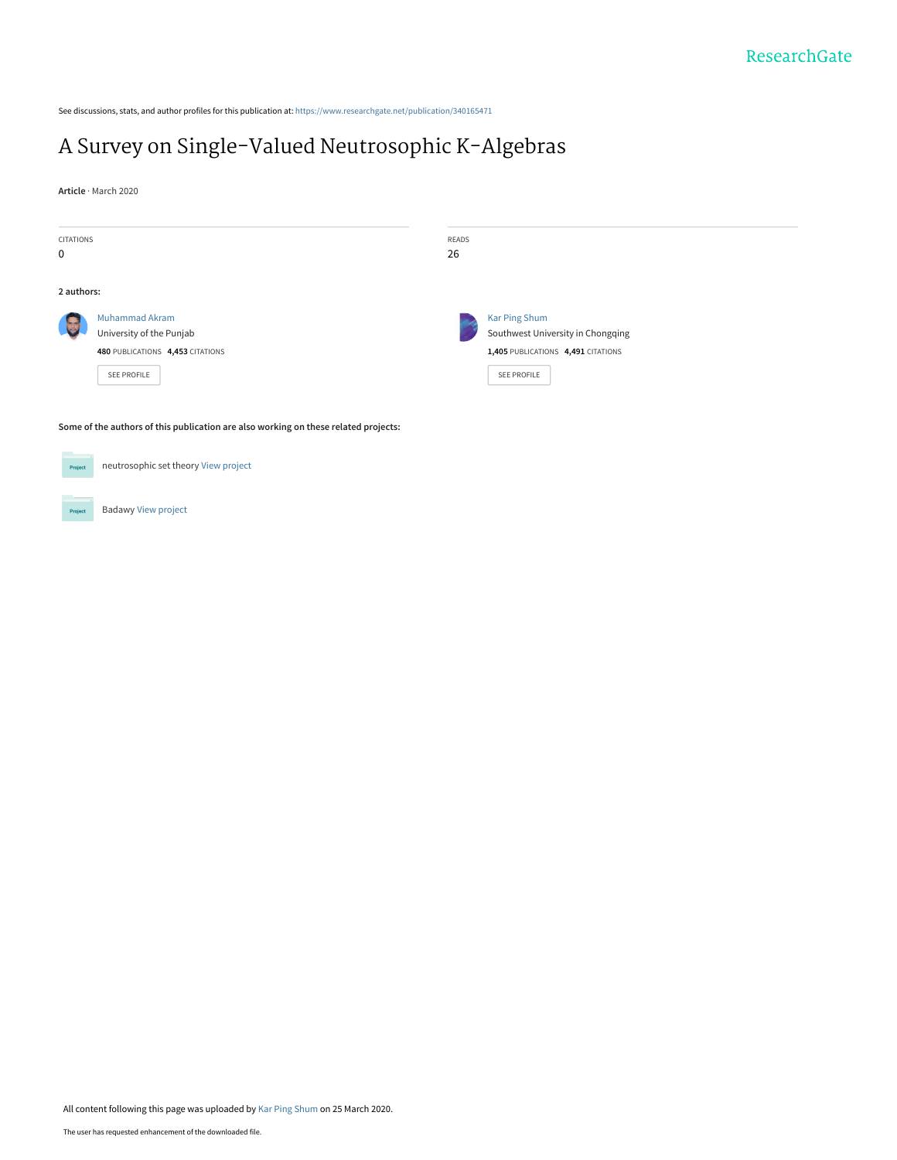See discussions, stats, and author profiles for this publication at: [https://www.researchgate.net/publication/340165471](https://www.researchgate.net/publication/340165471_A_Survey_on_Single-Valued_Neutrosophic_K-Algebras?enrichId=rgreq-f2a300c86af598c2e37d8a2ddbf92aa8-XXX&enrichSource=Y292ZXJQYWdlOzM0MDE2NTQ3MTtBUzo4NzMwMjQyMTk3NzkwNzRAMTU4NTE1NjYwMjQxNQ%3D%3D&el=1_x_2&_esc=publicationCoverPdf)

# [A Survey on Single-Valued Neutrosophic K-Algebras](https://www.researchgate.net/publication/340165471_A_Survey_on_Single-Valued_Neutrosophic_K-Algebras?enrichId=rgreq-f2a300c86af598c2e37d8a2ddbf92aa8-XXX&enrichSource=Y292ZXJQYWdlOzM0MDE2NTQ3MTtBUzo4NzMwMjQyMTk3NzkwNzRAMTU4NTE1NjYwMjQxNQ%3D%3D&el=1_x_3&_esc=publicationCoverPdf)

**Article** · March 2020



**Some of the authors of this publication are also working on these related projects:**

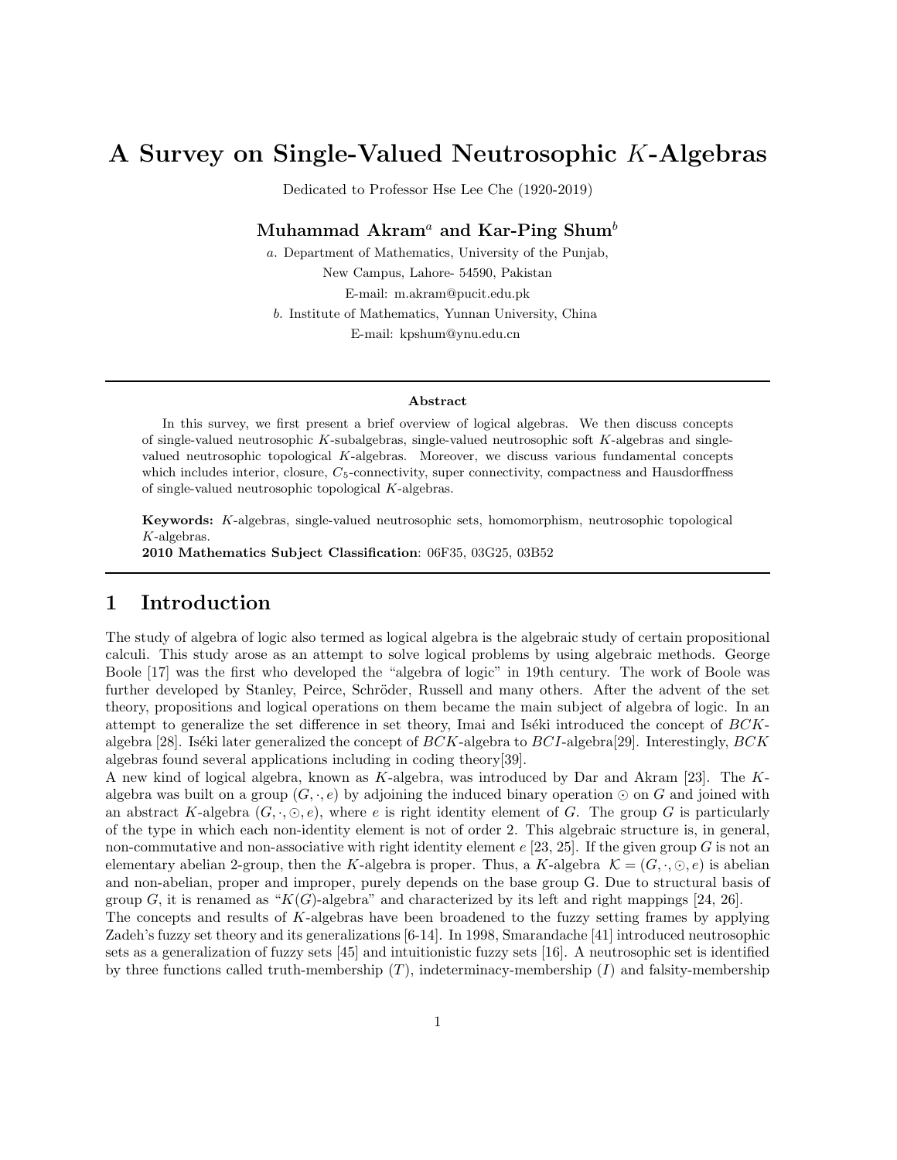## A Survey on Single-Valued Neutrosophic K-Algebras

Dedicated to Professor Hse Lee Che (1920-2019)

#### Muhammad Akram<sup>a</sup> and Kar-Ping Shum<sup>b</sup>

a. Department of Mathematics, University of the Punjab, New Campus, Lahore- 54590, Pakistan E-mail: m.akram@pucit.edu.pk b. Institute of Mathematics, Yunnan University, China E-mail: kpshum@ynu.edu.cn

#### Abstract

In this survey, we first present a brief overview of logical algebras. We then discuss concepts of single-valued neutrosophic K-subalgebras, single-valued neutrosophic soft  $K$ -algebras and singlevalued neutrosophic topological K-algebras. Moreover, we discuss various fundamental concepts which includes interior, closure,  $C_5$ -connectivity, super connectivity, compactness and Hausdorffness of single-valued neutrosophic topological K-algebras.

Keywords: K-algebras, single-valued neutrosophic sets, homomorphism, neutrosophic topological K-algebras.

2010 Mathematics Subject Classification: 06F35, 03G25, 03B52

### 1 Introduction

The study of algebra of logic also termed as logical algebra is the algebraic study of certain propositional calculi. This study arose as an attempt to solve logical problems by using algebraic methods. George Boole [17] was the first who developed the "algebra of logic" in 19th century. The work of Boole was further developed by Stanley, Peirce, Schröder, Russell and many others. After the advent of the set theory, propositions and logical operations on them became the main subject of algebra of logic. In an attempt to generalize the set difference in set theory, Imai and Iséki introduced the concept of  $BCK$ algebra [28]. Iséki later generalized the concept of  $BCK$ -algebra to  $BCI$ -algebra [29]. Interestingly,  $BCK$ algebras found several applications including in coding theory[39].

A new kind of logical algebra, known as K-algebra, was introduced by Dar and Akram [23]. The Kalgebra was built on a group  $(G, \cdot, e)$  by adjoining the induced binary operation ⊙ on G and joined with an abstract K-algebra  $(G, \cdot, \odot, e)$ , where e is right identity element of G. The group G is particularly of the type in which each non-identity element is not of order 2. This algebraic structure is, in general, non-commutative and non-associative with right identity element  $e$  [23, 25]. If the given group G is not an elementary abelian 2-group, then the K-algebra is proper. Thus, a K-algebra  $\mathcal{K} = (G, \cdot, \odot, e)$  is abelian and non-abelian, proper and improper, purely depends on the base group G. Due to structural basis of group G, it is renamed as " $K(G)$ -algebra" and characterized by its left and right mappings [24, 26].

The concepts and results of K-algebras have been broadened to the fuzzy setting frames by applying Zadeh's fuzzy set theory and its generalizations [6-14]. In 1998, Smarandache [41] introduced neutrosophic sets as a generalization of fuzzy sets [45] and intuitionistic fuzzy sets [16]. A neutrosophic set is identified by three functions called truth-membership  $(T)$ , indeterminacy-membership  $(I)$  and falsity-membership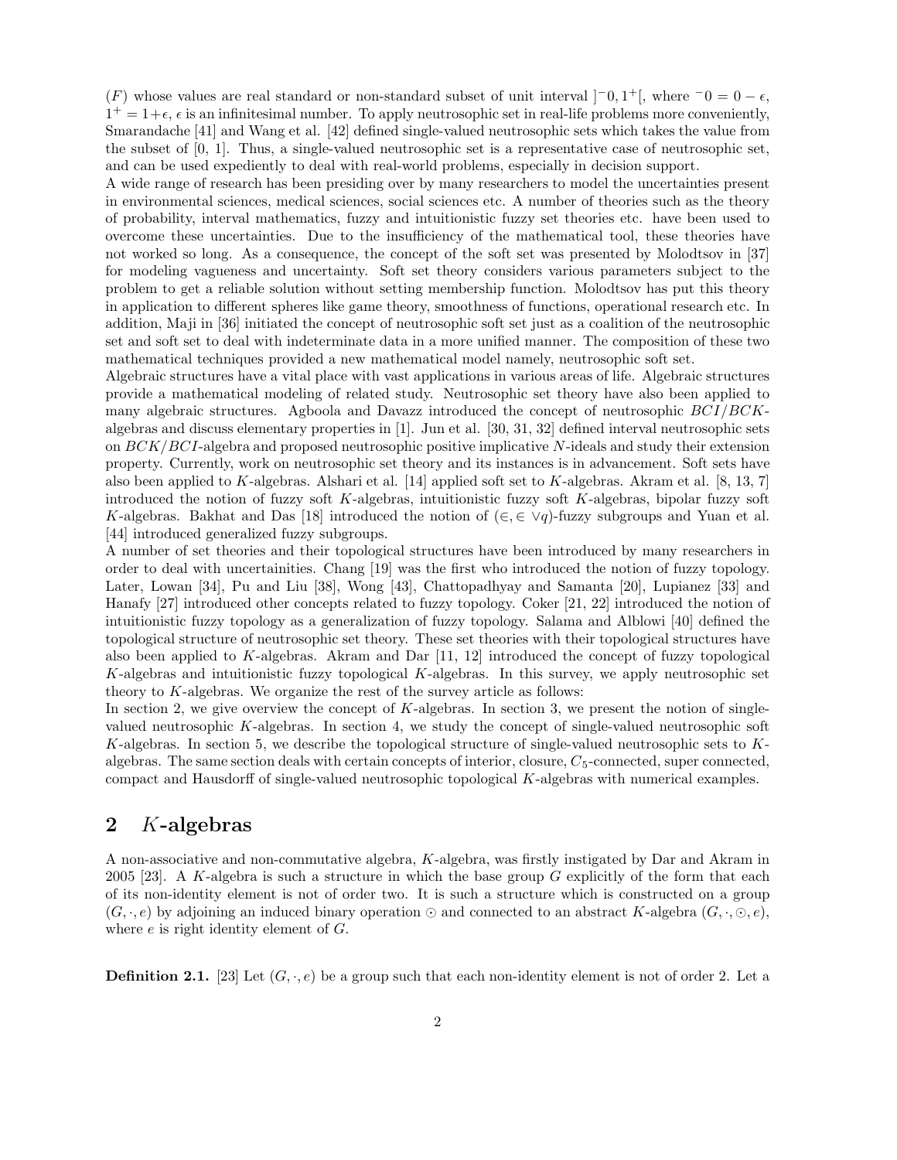(F) whose values are real standard or non-standard subset of unit interval  $]$ <sup>-</sup>0, 1<sup>+</sup>[, where  ${}^{-0} = 0 - \epsilon$ ,  $1^+ = 1+\epsilon$ ,  $\epsilon$  is an infinitesimal number. To apply neutrosophic set in real-life problems more conveniently, Smarandache [41] and Wang et al. [42] defined single-valued neutrosophic sets which takes the value from the subset of [0, 1]. Thus, a single-valued neutrosophic set is a representative case of neutrosophic set, and can be used expediently to deal with real-world problems, especially in decision support.

A wide range of research has been presiding over by many researchers to model the uncertainties present in environmental sciences, medical sciences, social sciences etc. A number of theories such as the theory of probability, interval mathematics, fuzzy and intuitionistic fuzzy set theories etc. have been used to overcome these uncertainties. Due to the insufficiency of the mathematical tool, these theories have not worked so long. As a consequence, the concept of the soft set was presented by Molodtsov in [37] for modeling vagueness and uncertainty. Soft set theory considers various parameters subject to the problem to get a reliable solution without setting membership function. Molodtsov has put this theory in application to different spheres like game theory, smoothness of functions, operational research etc. In addition, Maji in [36] initiated the concept of neutrosophic soft set just as a coalition of the neutrosophic set and soft set to deal with indeterminate data in a more unified manner. The composition of these two mathematical techniques provided a new mathematical model namely, neutrosophic soft set.

Algebraic structures have a vital place with vast applications in various areas of life. Algebraic structures provide a mathematical modeling of related study. Neutrosophic set theory have also been applied to many algebraic structures. Agboola and Davazz introduced the concept of neutrosophic BCI/BCKalgebras and discuss elementary properties in [1]. Jun et al. [30, 31, 32] defined interval neutrosophic sets on  $BCK/BCI$ -algebra and proposed neutrosophic positive implicative N-ideals and study their extension property. Currently, work on neutrosophic set theory and its instances is in advancement. Soft sets have also been applied to K-algebras. Alshari et al. [14] applied soft set to K-algebras. Akram et al. [8, 13, 7] introduced the notion of fuzzy soft K-algebras, intuitionistic fuzzy soft K-algebras, bipolar fuzzy soft K-algebras. Bakhat and Das [18] introduced the notion of  $(\in, \in \vee q)$ -fuzzy subgroups and Yuan et al. [44] introduced generalized fuzzy subgroups.

A number of set theories and their topological structures have been introduced by many researchers in order to deal with uncertainities. Chang [19] was the first who introduced the notion of fuzzy topology. Later, Lowan [34], Pu and Liu [38], Wong [43], Chattopadhyay and Samanta [20], Lupianez [33] and Hanafy [27] introduced other concepts related to fuzzy topology. Coker [21, 22] introduced the notion of intuitionistic fuzzy topology as a generalization of fuzzy topology. Salama and Alblowi [40] defined the topological structure of neutrosophic set theory. These set theories with their topological structures have also been applied to K-algebras. Akram and Dar  $[11, 12]$  introduced the concept of fuzzy topological K-algebras and intuitionistic fuzzy topological K-algebras. In this survey, we apply neutrosophic set theory to  $K$ -algebras. We organize the rest of the survey article as follows:

In section 2, we give overview the concept of K-algebras. In section 3, we present the notion of singlevalued neutrosophic K-algebras. In section 4, we study the concept of single-valued neutrosophic soft K-algebras. In section 5, we describe the topological structure of single-valued neutrosophic sets to Kalgebras. The same section deals with certain concepts of interior, closure,  $C_5$ -connected, super connected, compact and Hausdorff of single-valued neutrosophic topological K-algebras with numerical examples.

#### 2 K-algebras

A non-associative and non-commutative algebra, K-algebra, was firstly instigated by Dar and Akram in 2005 [23]. A K-algebra is such a structure in which the base group  $G$  explicitly of the form that each of its non-identity element is not of order two. It is such a structure which is constructed on a group  $(G, \cdot, e)$  by adjoining an induced binary operation  $\odot$  and connected to an abstract K-algebra  $(G, \cdot, \odot, e)$ , where e is right identity element of G.

**Definition 2.1.** [23] Let  $(G, \cdot, e)$  be a group such that each non-identity element is not of order 2. Let a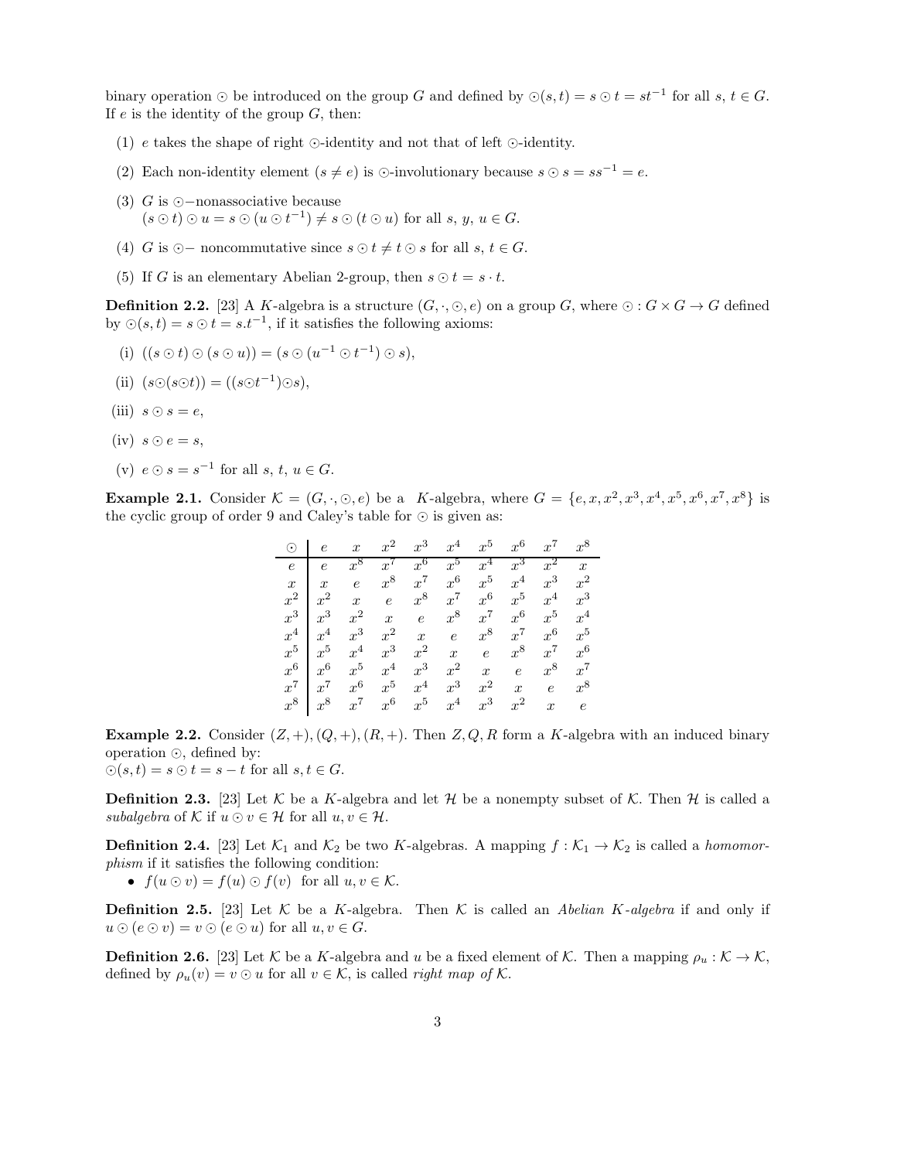binary operation  $\odot$  be introduced on the group G and defined by  $\odot(s,t) = s \odot t = st^{-1}$  for all  $s, t \in G$ . If  $e$  is the identity of the group  $G$ , then:

- (1) e takes the shape of right ⊙-identity and not that of left ⊙-identity.
- (2) Each non-identity element  $(s \neq e)$  is ⊙-involutionary because  $s \odot s = ss^{-1} = e$ .
- (3) G is ⊙−nonassociative because  $(s \odot t) \odot u = s \odot (u \odot t^{-1}) \neq s \odot (t \odot u)$  for all  $s, y, u \in G$ .
- (4) G is ⊙ noncommutative since  $s \odot t \neq t \odot s$  for all  $s, t \in G$ .
- (5) If G is an elementary Abelian 2-group, then  $s \odot t = s \cdot t$ .

**Definition 2.2.** [23] A K-algebra is a structure  $(G, \cdot, \odot, e)$  on a group G, where  $\odot : G \times G \rightarrow G$  defined by  $\bigcirc(s,t) = s \bigcirc t = s \cdot t^{-1}$ , if it satisfies the following axioms:

- (i)  $((s \odot t) \odot (s \odot u)) = (s \odot (u^{-1} \odot t^{-1}) \odot s),$
- (ii)  $(s\odot(s\odot t)) = ((s\odot t^{-1})\odot s),$
- (iii)  $s \odot s = e$ ,
- $(iv)$   $s \odot e = s$ ,
- (v)  $e \odot s = s^{-1}$  for all  $s, t, u \in G$ .

**Example 2.1.** Consider  $\mathcal{K} = (G, \cdot, \odot, e)$  be a K-algebra, where  $G = \{e, x, x^2, x^3, x^4, x^5, x^6, x^7, x^8\}$  is the cyclic group of order 9 and Caley's table for ⊙ is given as:

| $\odot$          | $\epsilon$       | $\boldsymbol{x}$ | $x^2$            | $x^3$            | $x^4$            | $x^5$            | $x^6$            | $x^7$            | $x^8$            |
|------------------|------------------|------------------|------------------|------------------|------------------|------------------|------------------|------------------|------------------|
| $\epsilon$       | $\epsilon$       | $x^8$            | $x^{\prime}$     | $x^6$            | $x^5$            | $x^4$            | $x^3$            | $x^2$            | $\boldsymbol{x}$ |
| $\boldsymbol{x}$ | $\boldsymbol{x}$ | $\epsilon$       | $x^8$            | $x^7$            | $x^6$            | $x^5$            | $x^4$            | $x^3$            | $x^2$            |
| $x^2$            | $x^2$            | $\boldsymbol{x}$ | $\boldsymbol{e}$ | $x^8$            | $x^7$            | $x^6$            | $x^5$            | $x^4$            | $x^3$            |
| $x^3$            | $x^3$            | $x^2$            | $\boldsymbol{x}$ | $\overline{e}$   | $x^8$            | $x^7$            | $x^6$            | $x^5$            | $x^4$            |
| $x^4$            | $x^4$            | $x^3$            | $x^2$            | $\boldsymbol{x}$ | $\epsilon$       | $x^8$            | $x^7$            | $x^6$            | $x^5$            |
| $x^5$            | $x^5$            | $x^4$            | $x^3$            | $x^2$            | $\boldsymbol{x}$ | $\epsilon$       | $x^8$            | $x^7$            | $x^6$            |
| $x^6$            | $x^6$            | $x^5$            | $x^4$            | $x^3$            | $x^2$            | $\boldsymbol{x}$ | $\epsilon$       | $x^8$            | $x^7$            |
| $x^7$            | $x^7$            | $x^6$            | $x^5$            | $x^4$            | $x^3$            | $x^2$            | $\boldsymbol{x}$ | $\epsilon$       | $x^8$            |
| $x^8$            | $x^8$            | $x^7$            | $x^6$            | $x^5$            | $x^4$            | $x^3$            | $x^2$            | $\boldsymbol{x}$ | $\epsilon$       |

**Example 2.2.** Consider  $(Z, +), (Q, +), (R, +)$ . Then  $Z, Q, R$  form a K-algebra with an induced binary operation ⊙, defined by:

 $\odot(s,t) = s \odot t = s - t$  for all  $s, t \in G$ .

**Definition 2.3.** [23] Let K be a K-algebra and let H be a nonempty subset of K. Then H is called a subalgebra of K if  $u \odot v \in \mathcal{H}$  for all  $u, v \in \mathcal{H}$ .

**Definition 2.4.** [23] Let  $\mathcal{K}_1$  and  $\mathcal{K}_2$  be two K-algebras. A mapping  $f : \mathcal{K}_1 \to \mathcal{K}_2$  is called a *homomor*phism if it satisfies the following condition:

•  $f(u \odot v) = f(u) \odot f(v)$  for all  $u, v \in \mathcal{K}$ .

**Definition 2.5.** [23] Let K be a K-algebra. Then K is called an Abelian K-algebra if and only if  $u \odot (e \odot v) = v \odot (e \odot u)$  for all  $u, v \in G$ .

**Definition 2.6.** [23] Let K be a K-algebra and u be a fixed element of K. Then a mapping  $\rho_u : \mathcal{K} \to \mathcal{K}$ , defined by  $\rho_u(v) = v \odot u$  for all  $v \in \mathcal{K}$ , is called *right map of*  $\mathcal{K}$ .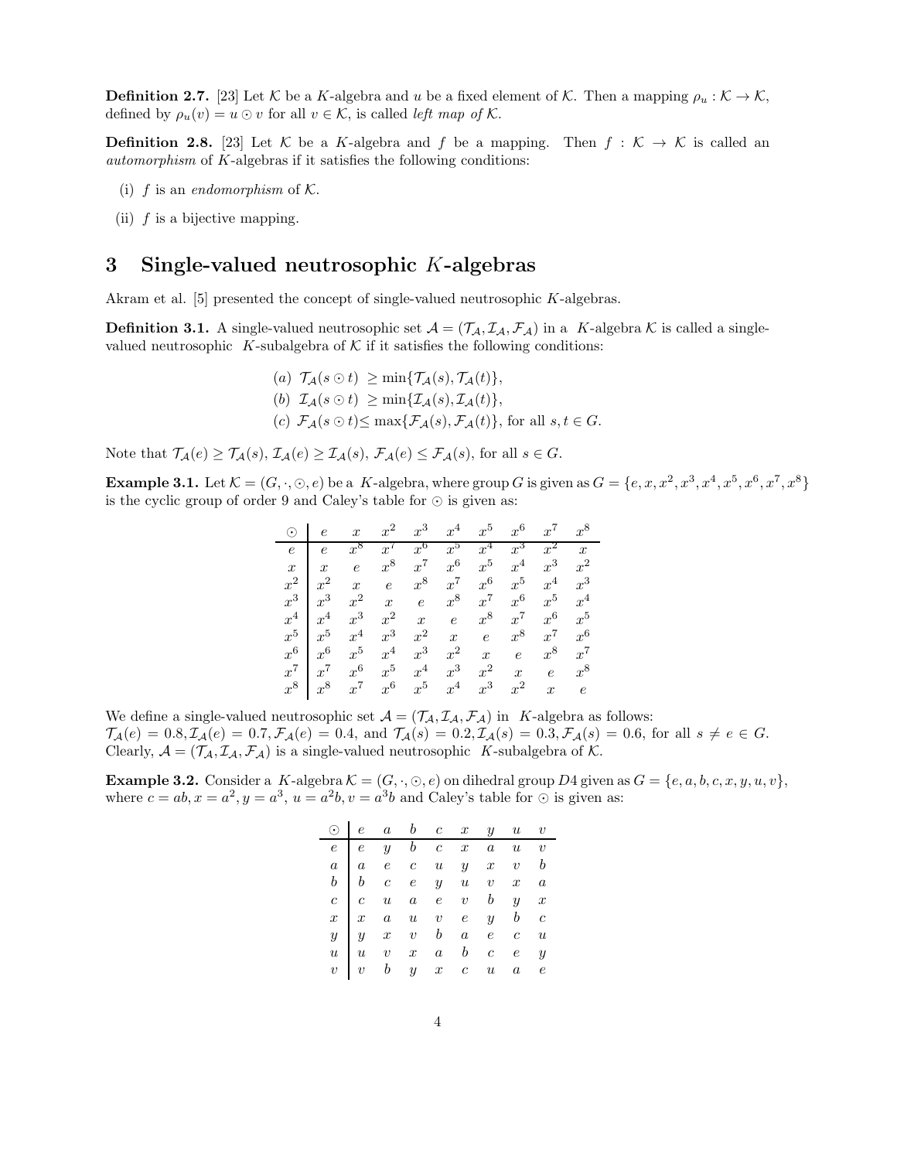**Definition 2.7.** [23] Let K be a K-algebra and u be a fixed element of K. Then a mapping  $\rho_u : \mathcal{K} \to \mathcal{K}$ , defined by  $\rho_u(v) = u \odot v$  for all  $v \in \mathcal{K}$ , is called left map of  $\mathcal{K}$ .

**Definition 2.8.** [23] Let K be a K-algebra and f be a mapping. Then  $f : K \to K$  is called an automorphism of K-algebras if it satisfies the following conditions:

- (i) f is an *endomorphism* of  $K$ .
- (ii)  $f$  is a bijective mapping.

#### 3 Single-valued neutrosophic K-algebras

Akram et al. [5] presented the concept of single-valued neutrosophic K-algebras.

**Definition 3.1.** A single-valued neutrosophic set  $\mathcal{A} = (\mathcal{T}_{\mathcal{A}}, \mathcal{I}_{\mathcal{A}}, \mathcal{F}_{\mathcal{A}})$  in a K-algebra K is called a singlevalued neutrosophic K-subalgebra of  $K$  if it satisfies the following conditions:

> (a)  $\mathcal{T}_{\mathcal{A}}(s \odot t) \geq \min{\{\mathcal{T}_{\mathcal{A}}(s), \mathcal{T}_{\mathcal{A}}(t)\}},$ (b)  $\mathcal{I}_{\mathcal{A}}(s \odot t) \geq \min{\{\mathcal{I}_{\mathcal{A}}(s), \mathcal{I}_{\mathcal{A}}(t)\}},$ (c)  $\mathcal{F}_A(s\odot t) \leq \max{\{\mathcal{F}_A(s), \mathcal{F}_A(t)\}}$ , for all  $s, t \in G$ .

Note that  $\mathcal{T}_{\mathcal{A}}(e) \geq \mathcal{T}_{\mathcal{A}}(s), \mathcal{I}_{\mathcal{A}}(e) \geq \mathcal{I}_{\mathcal{A}}(s), \mathcal{F}_{\mathcal{A}}(e) \leq \mathcal{F}_{\mathcal{A}}(s)$ , for all  $s \in G$ .

**Example 3.1.** Let  $\mathcal{K} = (G, \cdot, \odot, e)$  be a K-algebra, where group G is given as  $G = \{e, x, x^2, x^3, x^4, x^5, x^6, x^7, x^8\}$ is the cyclic group of order 9 and Caley's table for ⊙ is given as:

| $\odot$          | $\boldsymbol{e}$ | $\boldsymbol{x}$ | $x^2$            | $x^3$            | $x^4$            | $x^5$            | $x^6$            | $x^7$            | $x^8$            |
|------------------|------------------|------------------|------------------|------------------|------------------|------------------|------------------|------------------|------------------|
| $\epsilon$       | $\epsilon$       | $x^8$            | $x^{\prime}$     | $x^6$            | $x^5$            | $x^4$            | $x^3$            | $x^2$            | $\boldsymbol{x}$ |
| $\boldsymbol{x}$ | $\boldsymbol{x}$ | $\epsilon$       | $x^8$            | $x^7$            | $x^6$            | $x^5$            | $x^4$            | $x^3$            | $x^2$            |
| $x^2$            | $x^2$            | $\boldsymbol{x}$ | $\epsilon$       | $x^8$            | $x^7$            | $x^6$            | $x^5$            | $x^4$            | $x^3$            |
| $x^3$            | $x^3$            | $x^2$            | $\boldsymbol{x}$ | $\overline{e}$   | $x^8$            | $x^7$            | $x^6$            | $x^5$            | $x^4$            |
| $x^4$            | $x^4$            | $x^3$            | $x^2$            | $\boldsymbol{x}$ | $\epsilon$       | $x^8$            | $x^7$            | $x^6$            | $x^5$            |
| $x^5$            | $x^5$            | $x^4$            | $x^3$            | $x^2$            | $\boldsymbol{x}$ | $\epsilon$       | $x^8$            | $x^7$            | $x^6$            |
| $x^6$            | $x^6$            | $x^5$            | $x^4$            | $x^3$            | $x^2$            | $\boldsymbol{x}$ | $\epsilon$       | $x^8$            | $x^7$            |
| $x^7$            | $x^7$            | $x^6$            | $x^5$            | $x^4$            | $x^3$            | $x^2$            | $\boldsymbol{x}$ | $\epsilon$       | $x^8$            |
| $x^8$            | $x^8$            | $x^7$            | $x^6$            | $x^5$            | $x^4$            | $x^3$            | $x^2$            | $\boldsymbol{x}$ | $\epsilon$       |

We define a single-valued neutrosophic set  $\mathcal{A} = (\mathcal{T}_\mathcal{A}, \mathcal{I}_\mathcal{A}, \mathcal{F}_\mathcal{A})$  in K-algebra as follows:  $\mathcal{T}_{\mathcal{A}}(e) = 0.8, \mathcal{I}_{\mathcal{A}}(e) = 0.7, \mathcal{F}_{\mathcal{A}}(e) = 0.4$ , and  $\mathcal{T}_{\mathcal{A}}(s) = 0.2, \mathcal{I}_{\mathcal{A}}(s) = 0.3, \mathcal{F}_{\mathcal{A}}(s) = 0.6$ , for all  $s \neq e \in G$ . Clearly,  $A = (\mathcal{T}_A, \mathcal{I}_A, \mathcal{F}_A)$  is a single-valued neutrosophic K-subalgebra of K.

**Example 3.2.** Consider a K-algebra  $K = (G, \cdot, \odot, e)$  on dihedral group D4 given as  $G = \{e, a, b, c, x, y, u, v\},\$ where  $c = ab, x = a^2, y = a^3, u = a^2b, v = a^3b$  and Caley's table for  $\odot$  is given as:

|  |  |  | $\odot$   e a b c x y u v                                                                                                                                                                    |  |
|--|--|--|----------------------------------------------------------------------------------------------------------------------------------------------------------------------------------------------|--|
|  |  |  | $\begin{array}{cccccccccccccccccc} e & e & y & b & c & x & a & u & v \\ a & a & e & c & u & y & x & v & b \\ b & b & c & e & y & u & v & x & a \\ c & u & a & e & v & b & y & x \end{array}$ |  |
|  |  |  |                                                                                                                                                                                              |  |
|  |  |  |                                                                                                                                                                                              |  |
|  |  |  |                                                                                                                                                                                              |  |
|  |  |  | $\begin{array}{c ccccccccc} x & x & a & u & v & e & y & b & c \\ y & x & v & b & a & e & c & u \end{array}$                                                                                  |  |
|  |  |  |                                                                                                                                                                                              |  |
|  |  |  |                                                                                                                                                                                              |  |
|  |  |  | $\begin{array}{c ccccccccc}\n\ddot{u} & \ddot{u} & v & x & a & b & c & e & y \\ \hline\nv & v & b & y & x & c & u & a & e\n\end{array}$                                                      |  |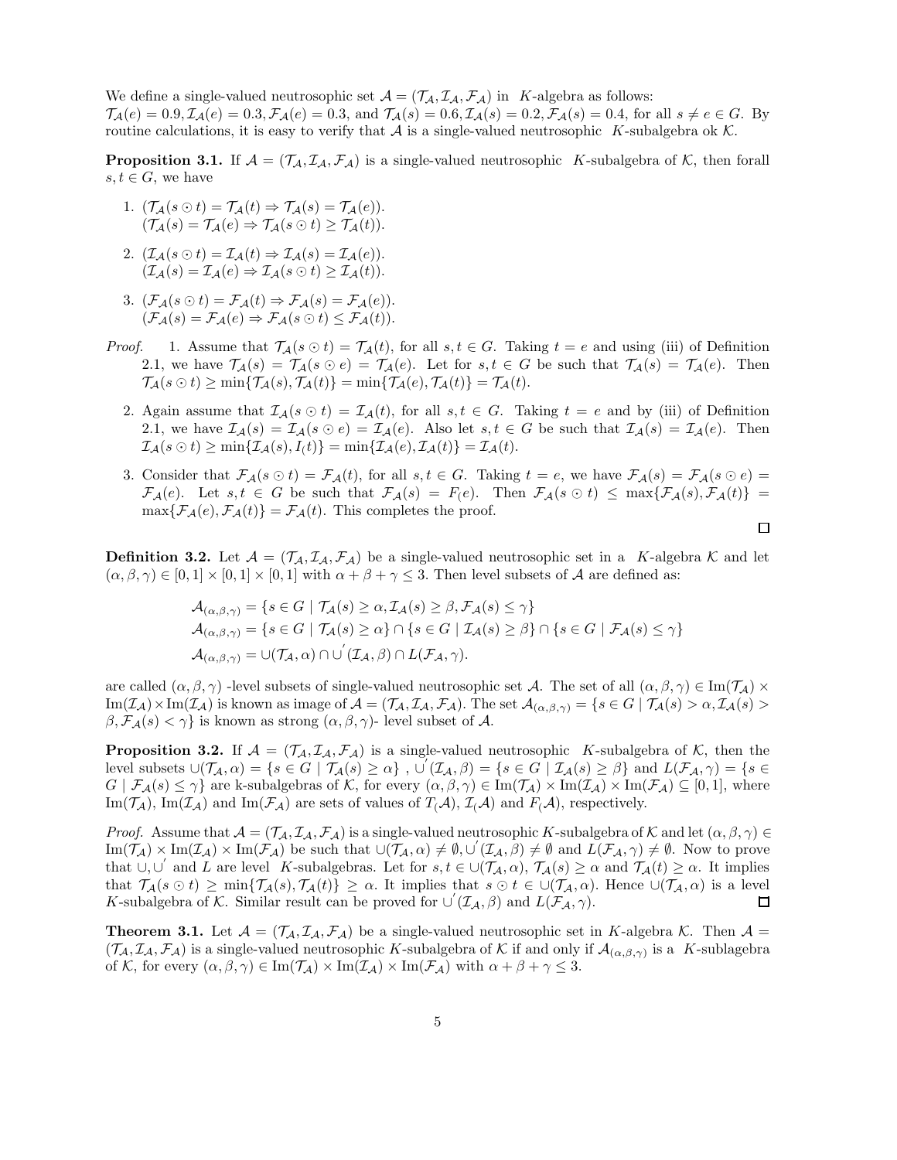We define a single-valued neutrosophic set  $\mathcal{A} = (\mathcal{T}_A, \mathcal{I}_A, \mathcal{F}_A)$  in K-algebra as follows:  $\mathcal{T}_{\mathcal{A}}(e) = 0.9, \mathcal{I}_{\mathcal{A}}(e) = 0.3, \mathcal{F}_{\mathcal{A}}(e) = 0.3$ , and  $\mathcal{T}_{\mathcal{A}}(s) = 0.6, \mathcal{I}_{\mathcal{A}}(s) = 0.2, \mathcal{F}_{\mathcal{A}}(s) = 0.4$ , for all  $s \neq e \in G$ . By routine calculations, it is easy to verify that  $A$  is a single-valued neutrosophic K-subalgebra ok K.

**Proposition 3.1.** If  $A = (\mathcal{T}_A, \mathcal{I}_A, \mathcal{F}_A)$  is a single-valued neutrosophic K-subalgebra of K, then forall  $s, t \in G$ , we have

- 1.  $(\mathcal{T}_{\mathcal{A}}(s \odot t) = \mathcal{T}_{\mathcal{A}}(t) \Rightarrow \mathcal{T}_{\mathcal{A}}(s) = \mathcal{T}_{\mathcal{A}}(e)).$  $(\mathcal{T}_A(s) = \mathcal{T}_A(e) \Rightarrow \mathcal{T}_A(s \odot t) \geq \mathcal{T}_A(t)).$
- 2.  $(\mathcal{I}_{\mathcal{A}}(s \odot t) = \mathcal{I}_{\mathcal{A}}(t) \Rightarrow \mathcal{I}_{\mathcal{A}}(s) = \mathcal{I}_{\mathcal{A}}(e)).$  $(\mathcal{I}_A(s) = \mathcal{I}_A(e) \Rightarrow \mathcal{I}_A(s \odot t) > \mathcal{I}_A(t)).$
- 3.  $(\mathcal{F}_\mathcal{A}(s\odot t) = \mathcal{F}_\mathcal{A}(t) \Rightarrow \mathcal{F}_\mathcal{A}(s) = \mathcal{F}_\mathcal{A}(e)).$  $(\mathcal{F}_\mathcal{A}(s) = \mathcal{F}_\mathcal{A}(e) \Rightarrow \mathcal{F}_\mathcal{A}(s \odot t) \leq \mathcal{F}_\mathcal{A}(t)).$
- *Proof.* 1. Assume that  $\mathcal{T}_A(s \odot t) = \mathcal{T}_A(t)$ , for all  $s, t \in G$ . Taking  $t = e$  and using (iii) of Definition 2.1, we have  $\mathcal{T}_{\mathcal{A}}(s) = \mathcal{T}_{\mathcal{A}}(s \odot e) = \mathcal{T}_{\mathcal{A}}(e)$ . Let for  $s, t \in G$  be such that  $\mathcal{T}_{\mathcal{A}}(s) = \mathcal{T}_{\mathcal{A}}(e)$ . Then  $\mathcal{T}_{\mathcal{A}}(s \odot t) \ge \min\{\mathcal{T}_{\mathcal{A}}(s), \mathcal{T}_{\mathcal{A}}(t)\} = \min\{\mathcal{T}_{\mathcal{A}}(e), \mathcal{T}_{\mathcal{A}}(t)\} = \mathcal{T}_{\mathcal{A}}(t).$ 
	- 2. Again assume that  $\mathcal{I}_{\mathcal{A}}(s \odot t) = \mathcal{I}_{\mathcal{A}}(t)$ , for all  $s, t \in G$ . Taking  $t = e$  and by (iii) of Definition 2.1, we have  $\mathcal{I}_{\mathcal{A}}(s) = \mathcal{I}_{\mathcal{A}}(s \odot e) = \mathcal{I}_{\mathcal{A}}(e)$ . Also let  $s, t \in G$  be such that  $\mathcal{I}_{\mathcal{A}}(s) = \mathcal{I}_{\mathcal{A}}(e)$ . Then  $\mathcal{I}_{\mathcal{A}}(s\odot t)\geq \min\{\mathcal{I}_{\mathcal{A}}(s),I_(t)\}=\min\{\mathcal{I}_{\mathcal{A}}(e),\mathcal{I}_{\mathcal{A}}(t)\}=\mathcal{I}_{\mathcal{A}}(t).$
	- 3. Consider that  $\mathcal{F}_{\mathcal{A}}(s \odot t) = \mathcal{F}_{\mathcal{A}}(t)$ , for all  $s, t \in G$ . Taking  $t = e$ , we have  $\mathcal{F}_{\mathcal{A}}(s) = \mathcal{F}_{\mathcal{A}}(s \odot e) =$  $\mathcal{F}_{\mathcal{A}}(e)$ . Let  $s, t \in G$  be such that  $\mathcal{F}_{\mathcal{A}}(s) = F(e)$ . Then  $\mathcal{F}_{\mathcal{A}}(s \odot t) \leq \max\{\mathcal{F}_{\mathcal{A}}(s), \mathcal{F}_{\mathcal{A}}(t)\}$  $\max{\{\mathcal{F}_{\mathcal{A}}(e), \mathcal{F}_{\mathcal{A}}(t)\}} = \mathcal{F}_{\mathcal{A}}(t)$ . This completes the proof.  $\Box$

**Definition 3.2.** Let  $\mathcal{A} = (\mathcal{T}_A, \mathcal{I}_A, \mathcal{F}_A)$  be a single-valued neutrosophic set in a K-algebra K and let  $(\alpha, \beta, \gamma) \in [0, 1] \times [0, 1] \times [0, 1]$  with  $\alpha + \beta + \gamma \leq 3$ . Then level subsets of A are defined as:

$$
\mathcal{A}_{(\alpha,\beta,\gamma)} = \{ s \in G \mid \mathcal{T}_{\mathcal{A}}(s) \ge \alpha, \mathcal{T}_{\mathcal{A}}(s) \ge \beta, \mathcal{F}_{\mathcal{A}}(s) \le \gamma \}
$$
  
\n
$$
\mathcal{A}_{(\alpha,\beta,\gamma)} = \{ s \in G \mid \mathcal{T}_{\mathcal{A}}(s) \ge \alpha \} \cap \{ s \in G \mid \mathcal{I}_{\mathcal{A}}(s) \ge \beta \} \cap \{ s \in G \mid \mathcal{F}_{\mathcal{A}}(s) \le \gamma \}
$$
  
\n
$$
\mathcal{A}_{(\alpha,\beta,\gamma)} = \cup(\mathcal{T}_{\mathcal{A}},\alpha) \cap \cup' (\mathcal{T}_{\mathcal{A}},\beta) \cap L(\mathcal{F}_{\mathcal{A}},\gamma).
$$

are called  $(\alpha, \beta, \gamma)$  -level subsets of single-valued neutrosophic set A. The set of all  $(\alpha, \beta, \gamma) \in \text{Im}(\mathcal{T}_\mathcal{A}) \times$  $\text{Im}(\mathcal{I}_{\mathcal{A}}) \times \text{Im}(\mathcal{I}_{\mathcal{A}})$  is known as image of  $\mathcal{A} = (\mathcal{T}_{\mathcal{A}}, \mathcal{I}_{\mathcal{A}}, \mathcal{F}_{\mathcal{A}})$ . The set  $\mathcal{A}_{(\alpha,\beta,\gamma)} = \{s \in G \mid \mathcal{T}_{\mathcal{A}}(s) > \alpha, \mathcal{I}_{\mathcal{A}}(s) > \alpha\}$  $\beta$ ,  $\mathcal{F}_{\mathcal{A}}(s) < \gamma$  is known as strong  $(\alpha, \beta, \gamma)$ - level subset of A.

**Proposition 3.2.** If  $A = (T_A, I_A, F_A)$  is a single-valued neutrosophic K-subalgebra of K, then the level subsets  $\cup(\mathcal{T}_\mathcal{A}, \alpha) = \{s \in G \mid \mathcal{T}_\mathcal{A}(s) \geq \alpha\}$ ,  $\cup'(\mathcal{I}_\mathcal{A}, \beta) = \{s \in G \mid \mathcal{I}_\mathcal{A}(s) \geq \beta\}$  and  $L(\mathcal{F}_\mathcal{A}, \gamma) = \{s \in G \mid \mathcal{T}_\mathcal{A}(s) \geq \alpha\}$  $G | \mathcal{F}_{\mathcal{A}}(s) \leq \gamma$  are k-subalgebras of K, for every  $(\alpha, \beta, \gamma) \in \text{Im}(\mathcal{T}_{\mathcal{A}}) \times \text{Im}(\mathcal{F}_{\mathcal{A}}) \subseteq [0, 1]$ , where Im( $\mathcal{T}_{\mathcal{A}}$ ), Im( $\mathcal{I}_{\mathcal{A}}$ ) and Im( $\mathcal{F}_{\mathcal{A}}$ ) are sets of values of  $T_{(\mathcal{A})}$ ,  $\mathcal{I}_{(\mathcal{A})}$  and  $F_{(\mathcal{A})}$ , respectively.

*Proof.* Assume that  $\mathcal{A} = (\mathcal{T}_{\mathcal{A}}, \mathcal{I}_{\mathcal{A}}, \mathcal{F}_{\mathcal{A}})$  is a single-valued neutrosophic K-subalgebra of K and let  $(\alpha, \beta, \gamma) \in$  $\text{Im}(\mathcal{T}_\mathcal{A}) \times \text{Im}(\mathcal{I}_\mathcal{A}) \times \text{Im}(\mathcal{F}_\mathcal{A})$  be such that  $\cup(\mathcal{T}_\mathcal{A}, \alpha) \neq \emptyset, \cup'(\mathcal{I}_\mathcal{A}, \beta) \neq \emptyset$  and  $L(\mathcal{F}_\mathcal{A}, \gamma) \neq \emptyset$ . Now to prove that  $\cup, \cup$  and L are level K-subalgebras. Let for  $s, t \in \cup(\mathcal{T}_\mathcal{A}, \alpha), \mathcal{T}_\mathcal{A}(s) \geq \alpha$  and  $\mathcal{T}_\mathcal{A}(t) \geq \alpha$ . It implies that  $\mathcal{T}_{\mathcal{A}}(s \odot t) \geq \min{\{\mathcal{T}_{\mathcal{A}}(s), \mathcal{T}_{\mathcal{A}}(t)\}} \geq \alpha$ . It implies that  $s \odot t \in \cup(\mathcal{T}_{\mathcal{A}}, \alpha)$ . Hence  $\cup(\mathcal{T}_{\mathcal{A}}, \alpha)$  is a level K-subalgebra of K. Similar result can be proved for  $\cup'(\mathcal{I}_A,\beta)$  and  $L(\mathcal{F}_A,\gamma)$ .  $\Box$ 

**Theorem 3.1.** Let  $\mathcal{A} = (\mathcal{T}_\mathcal{A}, \mathcal{I}_\mathcal{A}, \mathcal{F}_\mathcal{A})$  be a single-valued neutrosophic set in K-algebra K. Then  $\mathcal{A} =$  $(\mathcal{T}_\mathcal{A}, \mathcal{I}_\mathcal{A}, \mathcal{F}_\mathcal{A})$  is a single-valued neutrosophic K-subalgebra of K if and only if  $\mathcal{A}_{(\alpha,\beta,\gamma)}$  is a K-sublagebra of K, for every  $(\alpha, \beta, \gamma) \in \text{Im}(\mathcal{T}_{\mathcal{A}}) \times \text{Im}(\mathcal{I}_{\mathcal{A}}) \times \text{Im}(\mathcal{F}_{\mathcal{A}})$  with  $\alpha + \beta + \gamma \leq 3$ .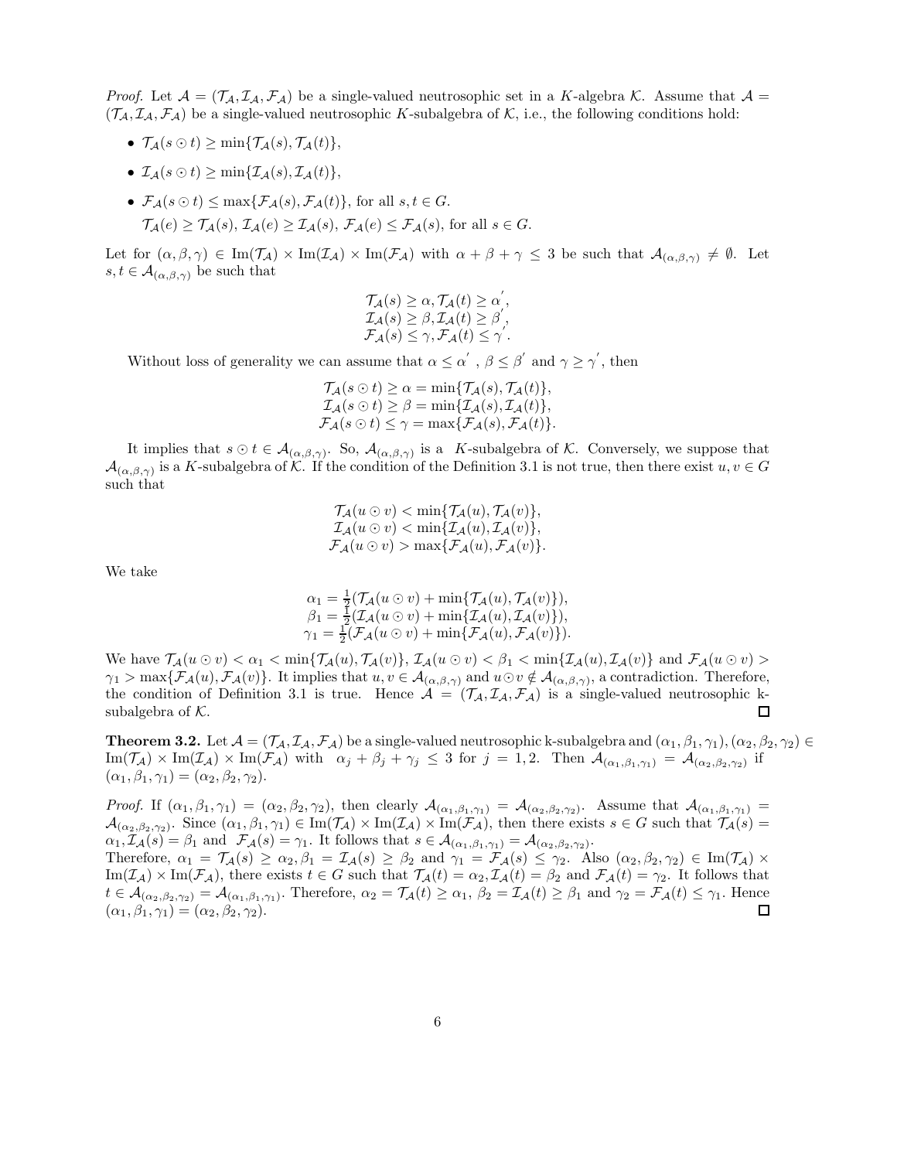*Proof.* Let  $A = (\mathcal{T}_A, \mathcal{I}_A, \mathcal{F}_A)$  be a single-valued neutrosophic set in a K-algebra K. Assume that  $A =$  $(\mathcal{T}_A, \mathcal{I}_A, \mathcal{F}_A)$  be a single-valued neutrosophic K-subalgebra of K, i.e., the following conditions hold:

- $\mathcal{T}_{\mathcal{A}}(s \odot t) \geq \min\{\mathcal{T}_{\mathcal{A}}(s), \mathcal{T}_{\mathcal{A}}(t)\},\$
- $\mathcal{I}_A(s \odot t) > \min\{\mathcal{I}_A(s), \mathcal{I}_A(t)\}.$
- $\mathcal{F}_A(s \odot t) \leq \max{\{\mathcal{F}_A(s), \mathcal{F}_A(t)\}\}\,$  for all  $s, t \in G$ .  $\mathcal{T}_{\mathcal{A}}(e) \geq \mathcal{T}_{\mathcal{A}}(s), \mathcal{I}_{\mathcal{A}}(e) \geq \mathcal{I}_{\mathcal{A}}(s), \mathcal{F}_{\mathcal{A}}(e) \leq \mathcal{F}_{\mathcal{A}}(s)$ , for all  $s \in G$ .

Let for  $(\alpha, \beta, \gamma) \in \text{Im}(\mathcal{T}_{\mathcal{A}}) \times \text{Im}(\mathcal{I}_{\mathcal{A}}) \times \text{Im}(\mathcal{F}_{\mathcal{A}})$  with  $\alpha + \beta + \gamma \leq 3$  be such that  $\mathcal{A}_{(\alpha, \beta, \gamma)} \neq \emptyset$ . Let  $s, t \in \mathcal{A}_{(\alpha,\beta,\gamma)}$  be such that

$$
T_{\mathcal{A}}(s) \geq \alpha, T_{\mathcal{A}}(t) \geq \alpha',
$$
  
\n
$$
\mathcal{I}_{\mathcal{A}}(s) \geq \beta, \mathcal{I}_{\mathcal{A}}(t) \geq \beta',
$$
  
\n
$$
\mathcal{F}_{\mathcal{A}}(s) \leq \gamma, \mathcal{F}_{\mathcal{A}}(t) \leq \gamma'.
$$

Without loss of generality we can assume that  $\alpha \leq \alpha'$ ,  $\beta \leq \beta'$  and  $\gamma \geq \gamma'$ , then

$$
\mathcal{T}_{\mathcal{A}}(s \odot t) \geq \alpha = \min{\{\mathcal{T}_{\mathcal{A}}(s), \mathcal{T}_{\mathcal{A}}(t)\}},
$$
  

$$
\mathcal{I}_{\mathcal{A}}(s \odot t) \geq \beta = \min{\{\mathcal{I}_{\mathcal{A}}(s), \mathcal{I}_{\mathcal{A}}(t)\}},
$$
  

$$
\mathcal{F}_{\mathcal{A}}(s \odot t) \leq \gamma = \max{\{\mathcal{F}_{\mathcal{A}}(s), \mathcal{F}_{\mathcal{A}}(t)\}}.
$$

It implies that  $s \odot t \in \mathcal{A}_{(\alpha,\beta,\gamma)}$ . So,  $\mathcal{A}_{(\alpha,\beta,\gamma)}$  is a K-subalgebra of K. Conversely, we suppose that  $\mathcal{A}_{(\alpha,\beta,\gamma)}$  is a K-subalgebra of K. If the condition of the Definition 3.1 is not true, then there exist  $u, v \in G$ such that

$$
\mathcal{T}_{\mathcal{A}}(u \odot v) < \min\{\mathcal{T}_{\mathcal{A}}(u), \mathcal{T}_{\mathcal{A}}(v)\},
$$
\n
$$
\mathcal{I}_{\mathcal{A}}(u \odot v) < \min\{\mathcal{I}_{\mathcal{A}}(u), \mathcal{I}_{\mathcal{A}}(v)\},
$$
\n
$$
\mathcal{F}_{\mathcal{A}}(u \odot v) > \max\{\mathcal{F}_{\mathcal{A}}(u), \mathcal{F}_{\mathcal{A}}(v)\}.
$$

We take

$$
\alpha_1 = \frac{1}{2} (\mathcal{T}_\mathcal{A}(u \odot v) + \min \{ \mathcal{T}_\mathcal{A}(u), \mathcal{T}_\mathcal{A}(v) \}),
$$
  
\n
$$
\beta_1 = \frac{1}{2} (\mathcal{I}_\mathcal{A}(u \odot v) + \min \{ \mathcal{I}_\mathcal{A}(u), \mathcal{T}_\mathcal{A}(v) \}),
$$
  
\n
$$
\gamma_1 = \frac{1}{2} (\mathcal{F}_\mathcal{A}(u \odot v) + \min \{ \mathcal{F}_\mathcal{A}(u), \mathcal{F}_\mathcal{A}(v) \}).
$$

We have  $\mathcal{T}_{\mathcal{A}}(u \odot v) < \alpha_1 < \min{\{\mathcal{T}_{\mathcal{A}}(u), \mathcal{T}_{\mathcal{A}}(v)\}}$ ,  $\mathcal{I}_{\mathcal{A}}(u \odot v) < \beta_1 < \min{\{\mathcal{I}_{\mathcal{A}}(u), \mathcal{I}_{\mathcal{A}}(v)\}}$  and  $\mathcal{F}_{\mathcal{A}}(u \odot v) >$  $\gamma_1 > \max\{\mathcal{F}_\mathcal{A}(u), \mathcal{F}_\mathcal{A}(v)\}\.$  It implies that  $u, v \in \mathcal{A}_{(\alpha,\beta,\gamma)}$  and  $u \odot v \notin \mathcal{A}_{(\alpha,\beta,\gamma)}$ , a contradiction. Therefore, the condition of Definition 3.1 is true. Hence  $\mathcal{A} = (\mathcal{T}_A, \mathcal{I}_A, \mathcal{F}_A)$  is a single-valued neutrosophic ksubalgebra of  $K$ . 口

**Theorem 3.2.** Let  $\mathcal{A} = (\mathcal{T}_{\mathcal{A}}, \mathcal{I}_{\mathcal{A}}, \mathcal{F}_{\mathcal{A}})$  be a single-valued neutrosophic k-subalgebra and  $(\alpha_1, \beta_1, \gamma_1), (\alpha_2, \beta_2, \gamma_2) \in$  $\text{Im}(\mathcal{T}_{\mathcal{A}}) \times \text{Im}(\mathcal{I}_{\mathcal{A}}) \times \text{Im}(\mathcal{F}_{\mathcal{A}})$  with  $\alpha_j + \beta_j + \gamma_j \leq 3$  for  $j = 1, 2$ . Then  $\mathcal{A}_{(\alpha_1, \beta_1, \gamma_1)} = \mathcal{A}_{(\alpha_2, \beta_2, \gamma_2)}$  if  $(\alpha_1, \beta_1, \gamma_1) = (\alpha_2, \beta_2, \gamma_2).$ 

Proof. If  $(\alpha_1, \beta_1, \gamma_1) = (\alpha_2, \beta_2, \gamma_2)$ , then clearly  $\mathcal{A}_{(\alpha_1, \beta_1, \gamma_1)} = \mathcal{A}_{(\alpha_2, \beta_2, \gamma_2)}$ . Assume that  $\mathcal{A}_{(\alpha_1, \beta_1, \gamma_1)} =$  $\mathcal{A}_{(\alpha_2,\beta_2,\gamma_2)}$ . Since  $(\alpha_1,\beta_1,\gamma_1) \in \text{Im}(\mathcal{T}_{\mathcal{A}}) \times \text{Im}(\mathcal{I}_{\mathcal{A}}) \times \text{Im}(\mathcal{F}_{\mathcal{A}})$ , then there exists  $s \in G$  such that  $\mathcal{T}_{\mathcal{A}}(s) =$  $\alpha_1, \mathcal{I}_{\mathcal{A}}(s) = \beta_1 \text{ and } \mathcal{F}_{\mathcal{A}}(s) = \gamma_1.$  It follows that  $s \in \mathcal{A}_{(\alpha_1, \beta_1, \gamma_1)} = \mathcal{A}_{(\alpha_2, \beta_2, \gamma_2)}$ . Therefore,  $\alpha_1 = \mathcal{T}_{\mathcal{A}}(s) \geq \alpha_2, \beta_1 = \mathcal{I}_{\mathcal{A}}(s) \geq \beta_2$  and  $\gamma_1 = \mathcal{F}_{\mathcal{A}}(s) \leq \gamma_2$ . Also  $(\alpha_2, \beta_2, \gamma_2) \in \text{Im}(\mathcal{T}_{\mathcal{A}}) \times$  $\text{Im}(\mathcal{I}_{\mathcal{A}}) \times \text{Im}(\mathcal{F}_{\mathcal{A}})$ , there exists  $t \in G$  such that  $\mathcal{T}_{\mathcal{A}}(t) = \alpha_2, \mathcal{I}_{\mathcal{A}}(t) = \beta_2$  and  $\mathcal{F}_{\mathcal{A}}(t) = \gamma_2$ . It follows that  $t \in \mathcal{A}_{(\alpha_2,\beta_2,\gamma_2)} = \mathcal{A}_{(\alpha_1,\beta_1,\gamma_1)}$ . Therefore,  $\alpha_2 = \mathcal{T}_{\mathcal{A}}(t) \geq \alpha_1$ ,  $\beta_2 = \mathcal{T}_{\mathcal{A}}(t) \geq \beta_1$  and  $\gamma_2 = \mathcal{F}_{\mathcal{A}}(t) \leq \gamma_1$ . Hence  $(\alpha_1, \beta_1, \gamma_1) = (\alpha_2, \beta_2, \gamma_2).$ □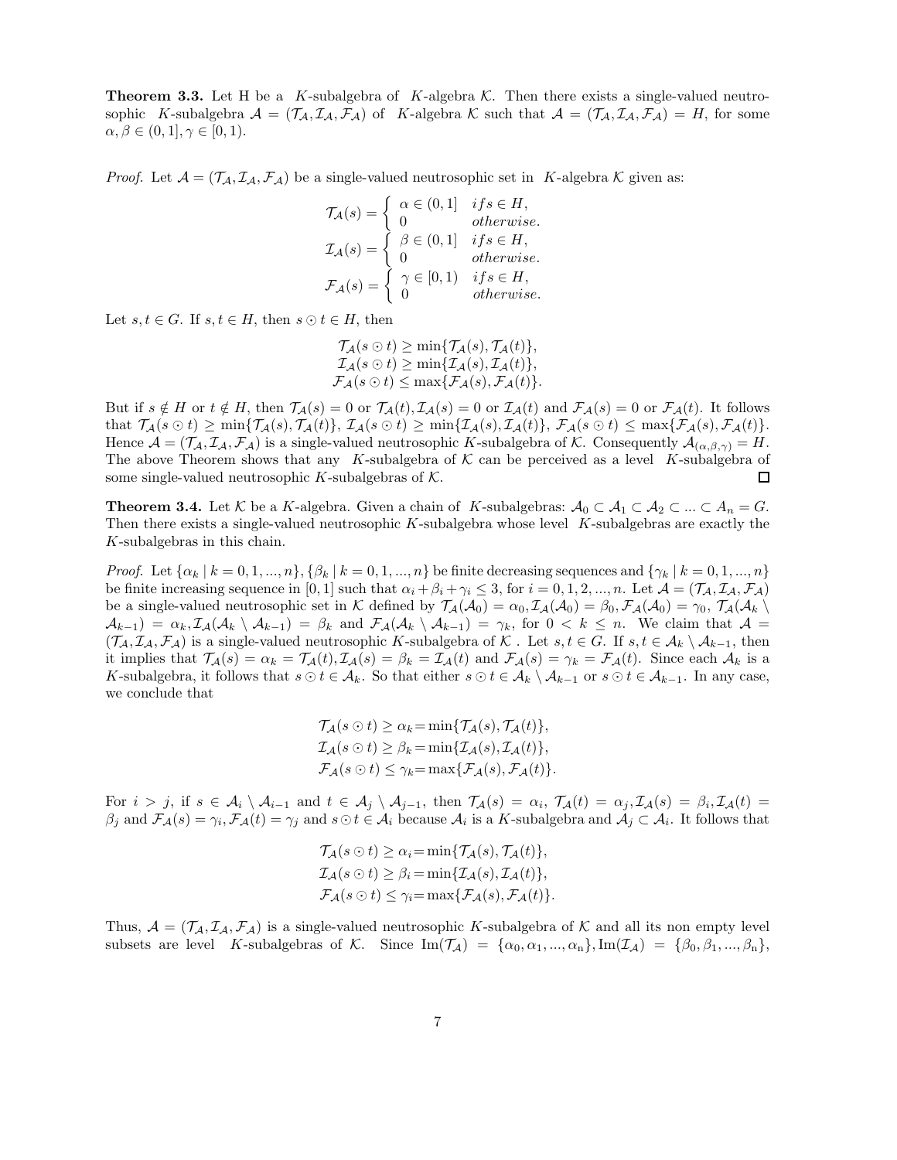**Theorem 3.3.** Let H be a K-subalgebra of K-algebra K. Then there exists a single-valued neutrosophic K-subalgebra  $\mathcal{A} = (\mathcal{T}_\mathcal{A}, \mathcal{I}_\mathcal{A}, \mathcal{F}_\mathcal{A})$  of K-algebra K such that  $\mathcal{A} = (\mathcal{T}_\mathcal{A}, \mathcal{I}_\mathcal{A}, \mathcal{F}_\mathcal{A}) = H$ , for some  $\alpha, \beta \in (0,1], \gamma \in [0,1).$ 

*Proof.* Let  $\mathcal{A} = (\mathcal{T}_\mathcal{A}, \mathcal{I}_\mathcal{A}, \mathcal{F}_\mathcal{A})$  be a single-valued neutrosophic set in K-algebra K given as:

$$
\mathcal{T}_{\mathcal{A}}(s) = \begin{cases}\n\alpha \in (0, 1] & if s \in H, \\
0 & otherwise.\n\end{cases}
$$
\n
$$
\mathcal{I}_{\mathcal{A}}(s) = \begin{cases}\n\beta \in (0, 1] & if s \in H, \\
0 & otherwise.\n\end{cases}
$$
\n
$$
\mathcal{F}_{\mathcal{A}}(s) = \begin{cases}\n\gamma \in [0, 1) & if s \in H, \\
0 & otherwise.\n\end{cases}
$$

Let  $s, t \in G$ . If  $s, t \in H$ , then  $s \odot t \in H$ , then

$$
\mathcal{T}_{\mathcal{A}}(s \odot t) \ge \min{\{\mathcal{T}_{\mathcal{A}}(s), \mathcal{T}_{\mathcal{A}}(t)\}},
$$
  

$$
\mathcal{I}_{\mathcal{A}}(s \odot t) \ge \min{\{\mathcal{I}_{\mathcal{A}}(s), \mathcal{I}_{\mathcal{A}}(t)\}},
$$
  

$$
\mathcal{F}_{\mathcal{A}}(s \odot t) \le \max{\{\mathcal{F}_{\mathcal{A}}(s), \mathcal{F}_{\mathcal{A}}(t)\}}.
$$

But if  $s \notin H$  or  $t \notin H$ , then  $\mathcal{T}_{\mathcal{A}}(s) = 0$  or  $\mathcal{T}_{\mathcal{A}}(t), \mathcal{T}_{\mathcal{A}}(s) = 0$  or  $\mathcal{T}_{\mathcal{A}}(t)$  and  $\mathcal{F}_{\mathcal{A}}(s) = 0$  or  $\mathcal{F}_{\mathcal{A}}(t)$ . It follows that  $\mathcal{T}_{\mathcal{A}}(s \odot t) \ge \min{\{\mathcal{T}_{\mathcal{A}}(s), \mathcal{T}_{\mathcal{A}}(t)\}}$ ,  $\mathcal{T}_{\mathcal{A}}(s \odot t) \ge \min{\{\mathcal{I}_{\mathcal{A}}(s), \mathcal{I}_{\mathcal{A}}(t)\}}$ ,  $\mathcal{F}_{\mathcal{A}}(s \odot t) \le \max{\{\mathcal{F}_{\mathcal{A}}(s), \mathcal{F}_{\mathcal{A}}(t)\}}$ . Hence  $\mathcal{A} = (\mathcal{T}_\mathcal{A}, \mathcal{I}_\mathcal{A}, \mathcal{F}_\mathcal{A})$  is a single-valued neutrosophic K-subalgebra of K. Consequently  $\mathcal{A}_{(\alpha, \beta, \gamma)} = H$ . The above Theorem shows that any K-subalgebra of  $K$  can be perceived as a level K-subalgebra of some single-valued neutrosophic K-subalgebras of  $K$ . 口

**Theorem 3.4.** Let K be a K-algebra. Given a chain of K-subalgebras:  $A_0 \subset A_1 \subset A_2 \subset ... \subset A_n = G$ . Then there exists a single-valued neutrosophic  $K$ -subalgebra whose level  $K$ -subalgebras are exactly the K-subalgebras in this chain.

*Proof.* Let  $\{\alpha_k \mid k = 0, 1, ..., n\}$ ,  $\{\beta_k \mid k = 0, 1, ..., n\}$  be finite decreasing sequences and  $\{\gamma_k \mid k = 0, 1, ..., n\}$ be finite increasing sequence in [0, 1] such that  $\alpha_i + \beta_i + \gamma_i \leq 3$ , for  $i = 0, 1, 2, ..., n$ . Let  $\mathcal{A} = (\mathcal{T}_\mathcal{A}, \mathcal{T}_\mathcal{A}, \mathcal{F}_\mathcal{A})$ be a single-valued neutrosophic set in K defined by  $\mathcal{T}_{\mathcal{A}}(\mathcal{A}_0) = \alpha_0$ ,  $\mathcal{I}_{\mathcal{A}}(\mathcal{A}_0) = \beta_0$ ,  $\mathcal{F}_{\mathcal{A}}(\mathcal{A}_0) = \gamma_0$ ,  $\mathcal{T}_{\mathcal{A}}(\mathcal{A}_k \setminus \mathcal{A}_k)$  $\mathcal{A}_{k-1}$  =  $\alpha_k$ ,  $\mathcal{I}_{\mathcal{A}}(\mathcal{A}_k \setminus \mathcal{A}_{k-1}) = \beta_k$  and  $\mathcal{F}_{\mathcal{A}}(\mathcal{A}_k \setminus \mathcal{A}_{k-1}) = \gamma_k$ , for  $0 < k \leq n$ . We claim that  $\mathcal{A} =$  $(\mathcal{T}_\mathcal{A}, \mathcal{I}_\mathcal{A}, \mathcal{F}_\mathcal{A})$  is a single-valued neutrosophic K-subalgebra of  $\mathcal{K}$ . Let  $s, t \in G$ . If  $s, t \in \mathcal{A}_k \setminus \mathcal{A}_{k-1}$ , then it implies that  $\mathcal{T}_{\mathcal{A}}(s) = \alpha_k = \mathcal{T}_{\mathcal{A}}(t), \mathcal{I}_{\mathcal{A}}(s) = \beta_k = \mathcal{I}_{\mathcal{A}}(t)$  and  $\mathcal{F}_{\mathcal{A}}(s) = \gamma_k = \mathcal{F}_{\mathcal{A}}(t)$ . Since each  $\mathcal{A}_k$  is a K-subalgebra, it follows that  $s \odot t \in A_k$ . So that either  $s \odot t \in A_k \setminus A_{k-1}$  or  $s \odot t \in A_{k-1}$ . In any case, we conclude that

$$
\mathcal{T}_{\mathcal{A}}(s \odot t) \ge \alpha_k = \min{\{\mathcal{T}_{\mathcal{A}}(s), \mathcal{T}_{\mathcal{A}}(t)\}},
$$
  

$$
\mathcal{I}_{\mathcal{A}}(s \odot t) \ge \beta_k = \min{\{\mathcal{I}_{\mathcal{A}}(s), \mathcal{I}_{\mathcal{A}}(t)\}},
$$
  

$$
\mathcal{F}_{\mathcal{A}}(s \odot t) \le \gamma_k = \max{\{\mathcal{F}_{\mathcal{A}}(s), \mathcal{F}_{\mathcal{A}}(t)\}}.
$$

For  $i > j$ , if  $s \in A_i \setminus A_{i-1}$  and  $t \in A_j \setminus A_{j-1}$ , then  $\mathcal{T}_{\mathcal{A}}(s) = \alpha_i$ ,  $\mathcal{T}_{\mathcal{A}}(t) = \alpha_j \cdot \mathcal{T}_{\mathcal{A}}(s) = \beta_i \cdot \mathcal{T}_{\mathcal{A}}(t) =$  $\beta_j$  and  $\mathcal{F}_\mathcal{A}(s) = \gamma_i$ ,  $\mathcal{F}_\mathcal{A}(t) = \gamma_j$  and  $s \odot t \in \mathcal{A}_i$  because  $\mathcal{A}_i$  is a K-subalgebra and  $\mathcal{A}_j \subset \mathcal{A}_i$ . It follows that

$$
\mathcal{T}_{\mathcal{A}}(s \odot t) \ge \alpha_i = \min{\{\mathcal{T}_{\mathcal{A}}(s), \mathcal{T}_{\mathcal{A}}(t)\}},
$$
  

$$
\mathcal{I}_{\mathcal{A}}(s \odot t) \ge \beta_i = \min{\{\mathcal{I}_{\mathcal{A}}(s), \mathcal{I}_{\mathcal{A}}(t)\}},
$$
  

$$
\mathcal{F}_{\mathcal{A}}(s \odot t) \le \gamma_i = \max{\{\mathcal{F}_{\mathcal{A}}(s), \mathcal{F}_{\mathcal{A}}(t)\}}.
$$

Thus,  $A = (\mathcal{T}_A, \mathcal{I}_A, \mathcal{F}_A)$  is a single-valued neutrosophic K-subalgebra of K and all its non empty level subsets are level K-subalgebras of K. Since  $\text{Im}(\mathcal{T}_\mathcal{A}) = {\alpha_0, \alpha_1, ..., \alpha_n}, \text{Im}(\mathcal{I}_\mathcal{A}) = {\beta_0, \beta_1, ..., \beta_n},$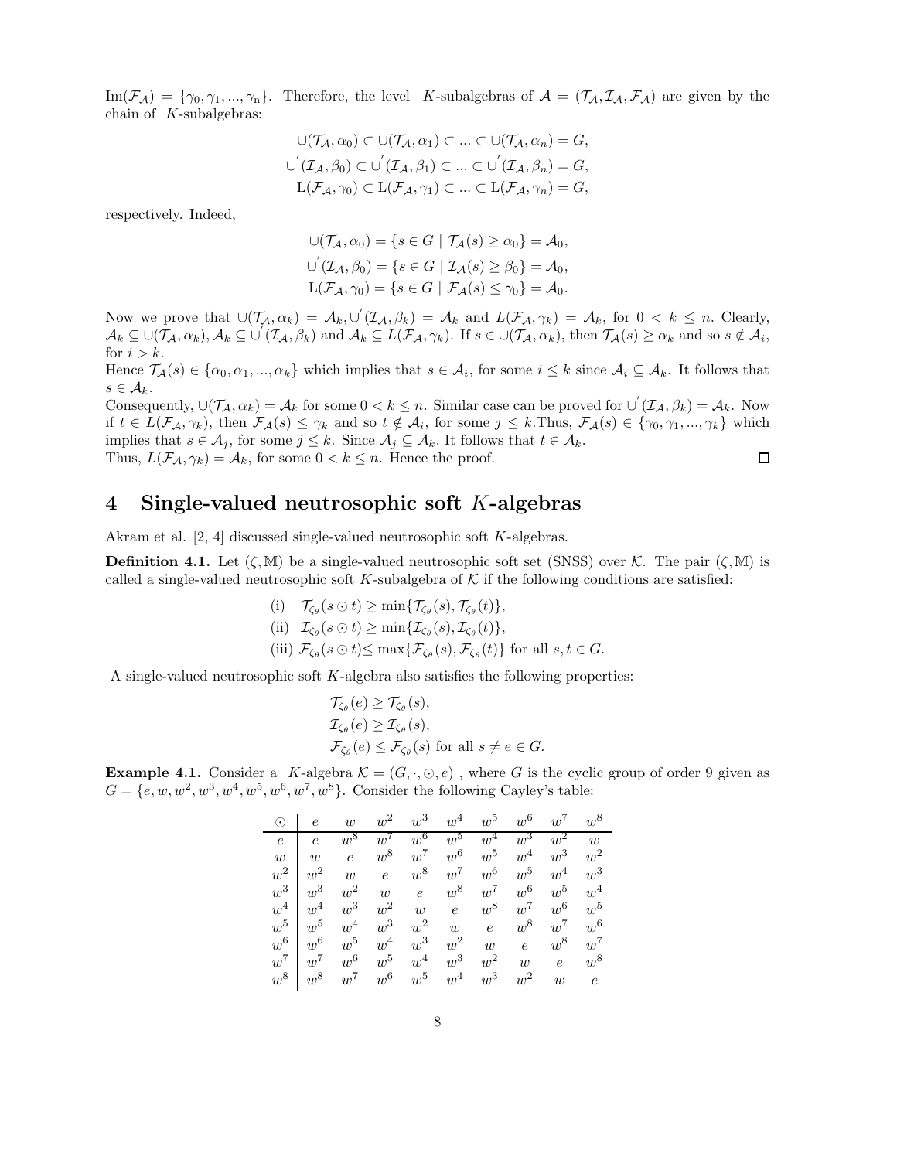$\text{Im}(\mathcal{F}_\mathcal{A}) = \{\gamma_0, \gamma_1, ..., \gamma_n\}.$  Therefore, the level K-subalgebras of  $\mathcal{A} = (\mathcal{T}_\mathcal{A}, \mathcal{I}_\mathcal{A}, \mathcal{F}_\mathcal{A})$  are given by the chain of  $K$ -subalgebras:

$$
\bigcup (\mathcal{T}_\mathcal{A}, \alpha_0) \subset \bigcup (\mathcal{T}_\mathcal{A}, \alpha_1) \subset \dots \subset \bigcup (\mathcal{T}_\mathcal{A}, \alpha_n) = G,
$$
  

$$
\bigcup (\mathcal{T}_\mathcal{A}, \beta_0) \subset \bigcup' (\mathcal{T}_\mathcal{A}, \beta_1) \subset \dots \subset \bigcup' (\mathcal{T}_\mathcal{A}, \beta_n) = G,
$$
  

$$
\mathcal{L}(\mathcal{F}_\mathcal{A}, \gamma_0) \subset \mathcal{L}(\mathcal{F}_\mathcal{A}, \gamma_1) \subset \dots \subset \mathcal{L}(\mathcal{F}_\mathcal{A}, \gamma_n) = G,
$$

respectively. Indeed,

$$
\bigcup (\mathcal{T}_\mathcal{A}, \alpha_0) = \{ s \in G \mid \mathcal{T}_\mathcal{A}(s) \ge \alpha_0 \} = \mathcal{A}_0,
$$
  

$$
\bigcup' (\mathcal{T}_\mathcal{A}, \beta_0) = \{ s \in G \mid \mathcal{I}_\mathcal{A}(s) \ge \beta_0 \} = \mathcal{A}_0,
$$
  

$$
\mathcal{L}(\mathcal{F}_\mathcal{A}, \gamma_0) = \{ s \in G \mid \mathcal{F}_\mathcal{A}(s) \le \gamma_0 \} = \mathcal{A}_0.
$$

Now we prove that  $\cup(\mathcal{T}_\mathcal{A}, \alpha_k) = \mathcal{A}_k, \cup'(\mathcal{I}_\mathcal{A}, \beta_k) = \mathcal{A}_k$  and  $L(\mathcal{F}_\mathcal{A}, \gamma_k) = \mathcal{A}_k$ , for  $0 < k \leq n$ . Clearly,  $\mathcal{A}_k \subseteq \cup(\mathcal{T}_\mathcal{A}, \alpha_k), \mathcal{A}_k \subseteq \cup(\mathcal{T}_\mathcal{A}, \beta_k)$  and  $\mathcal{A}_k \subseteq L(\mathcal{F}_\mathcal{A}, \gamma_k)$ . If  $s \in \cup(\mathcal{T}_\mathcal{A}, \alpha_k)$ , then  $\mathcal{T}_\mathcal{A}(s) \geq \alpha_k$  and so  $s \notin \mathcal{A}_i$ , for  $i > k$ .

Hence  $\mathcal{T}_{\mathcal{A}}(s) \in \{\alpha_0, \alpha_1, ..., \alpha_k\}$  which implies that  $s \in \mathcal{A}_i$ , for some  $i \leq k$  since  $\mathcal{A}_i \subseteq \mathcal{A}_k$ . It follows that  $s \in \mathcal{A}_k$ .

Consequently,  $\cup(\mathcal{T}_\mathcal{A}, \alpha_k) = \mathcal{A}_k$  for some  $0 < k \leq n$ . Similar case can be proved for  $\cup'(\mathcal{I}_\mathcal{A}, \beta_k) = \mathcal{A}_k$ . Now if  $t \in L(\mathcal{F}_\mathcal{A}, \gamma_k)$ , then  $\mathcal{F}_\mathcal{A}(s) \leq \gamma_k$  and so  $t \notin \mathcal{A}_i$ , for some  $j \leq k$ . Thus,  $\mathcal{F}_\mathcal{A}(s) \in \{\gamma_0, \gamma_1, ..., \gamma_k\}$  which implies that  $s \in A_j$ , for some  $j \leq k$ . Since  $A_j \subseteq A_k$ . It follows that  $t \in A_k$ . Thus,  $L(\mathcal{F}_A, \gamma_k) = \mathcal{A}_k$ , for some  $0 < k \leq n$ . Hence the proof.  $\Box$ 

#### 4 Single-valued neutrosophic soft K-algebras

Akram et al. [2, 4] discussed single-valued neutrosophic soft K-algebras.

**Definition 4.1.** Let  $(\zeta, M)$  be a single-valued neutrosophic soft set (SNSS) over K. The pair  $(\zeta, M)$  is called a single-valued neutrosophic soft K-subalgebra of  $K$  if the following conditions are satisfied:

> (i)  $\mathcal{T}_{\zeta_{\theta}}(s \odot t) \geq \min{\{\mathcal{T}_{\zeta_{\theta}}(s), \mathcal{T}_{\zeta_{\theta}}(t)\}},$ (ii)  $\mathcal{I}_{\zeta_{\theta}}(s \odot t) \geq \min{\{\mathcal{I}_{\zeta_{\theta}}(s), \mathcal{I}_{\zeta_{\theta}}(t)\}},$ (iii)  $\mathcal{F}_{\zeta_{\theta}}(s \odot t) \leq \max\{\mathcal{F}_{\zeta_{\theta}}(s), \mathcal{F}_{\zeta_{\theta}}(t)\}\$ for all  $s, t \in G$ .

A single-valued neutrosophic soft K-algebra also satisfies the following properties:

$$
\begin{aligned} \mathcal{T}_{\zeta_{\theta}}(e) &\geq \mathcal{T}_{\zeta_{\theta}}(s), \\ \mathcal{I}_{\zeta_{\theta}}(e) &\geq \mathcal{I}_{\zeta_{\theta}}(s), \\ \mathcal{F}_{\zeta_{\theta}}(e) &\leq \mathcal{F}_{\zeta_{\theta}}(s) \text{ for all } s \neq e \in G. \end{aligned}
$$

**Example 4.1.** Consider a K-algebra  $\mathcal{K} = (G, \cdot, \odot, e)$ , where G is the cyclic group of order 9 given as  $G = \{e, w, w^2, w^3, w^4, w^5, w^6, w^7, w^8\}.$  Consider the following Cayley's table:

| $\odot$    | $\epsilon$ | w              | $w^2$ | $w^3$      | $w^4$      | $w^5$      | $w^6$      | $w^7$      | $w^8$          |
|------------|------------|----------------|-------|------------|------------|------------|------------|------------|----------------|
| $\epsilon$ | $\epsilon$ | $w^8$          | $w^7$ | $w^6$      | $w^5$      | $w^4$      | $w^3$      | $w^2$      | $\overline{w}$ |
| w          | w          | $\overline{e}$ | $w^8$ | $w^7$      | $w^6$      | $w^5$      | $w^4$      | $w^3$      | $w^2$          |
| $w^2$      | $w^2$      | $w$ $e$        |       | $w^8$      | $w^7$      | $w^6$      | $w^5$      | $w^4$      | $w^3$          |
| $w^3$      | $w^3$      | $w^2$          | w     | $\epsilon$ | $w^8$      | $w^7$      | $w^6$      | $w^5$      | $w^4$          |
| $w^4$      | $w^4$      | $w^3$          | $w^2$ | w          | $\epsilon$ | $w^8$      | $w^7$      | $w^6$      | $w^5$          |
| $w^5$      | $w^5$      | $w^4$          | $w^3$ | $w^2$      | w          | $\epsilon$ | $w^8$      | $w^7$      | $w^6$          |
| $w^6$      | $w^6$      | $w^5$          | $w^4$ | $w^3$      | $w^2$      | w          | $\epsilon$ | $w^8$      | $w^7$          |
| $w^7$      | $w^7$      | $w^6$          | $w^5$ | $w^4$      | $w^3$      | $w^2$      | w          | $\epsilon$ | $w^8$          |
| $w^8$      | $w^8$      | $w^7$          | $w^6$ | $w^5$      | $w^4$      | $w^3$      | $w^2$      | w          | $\epsilon$     |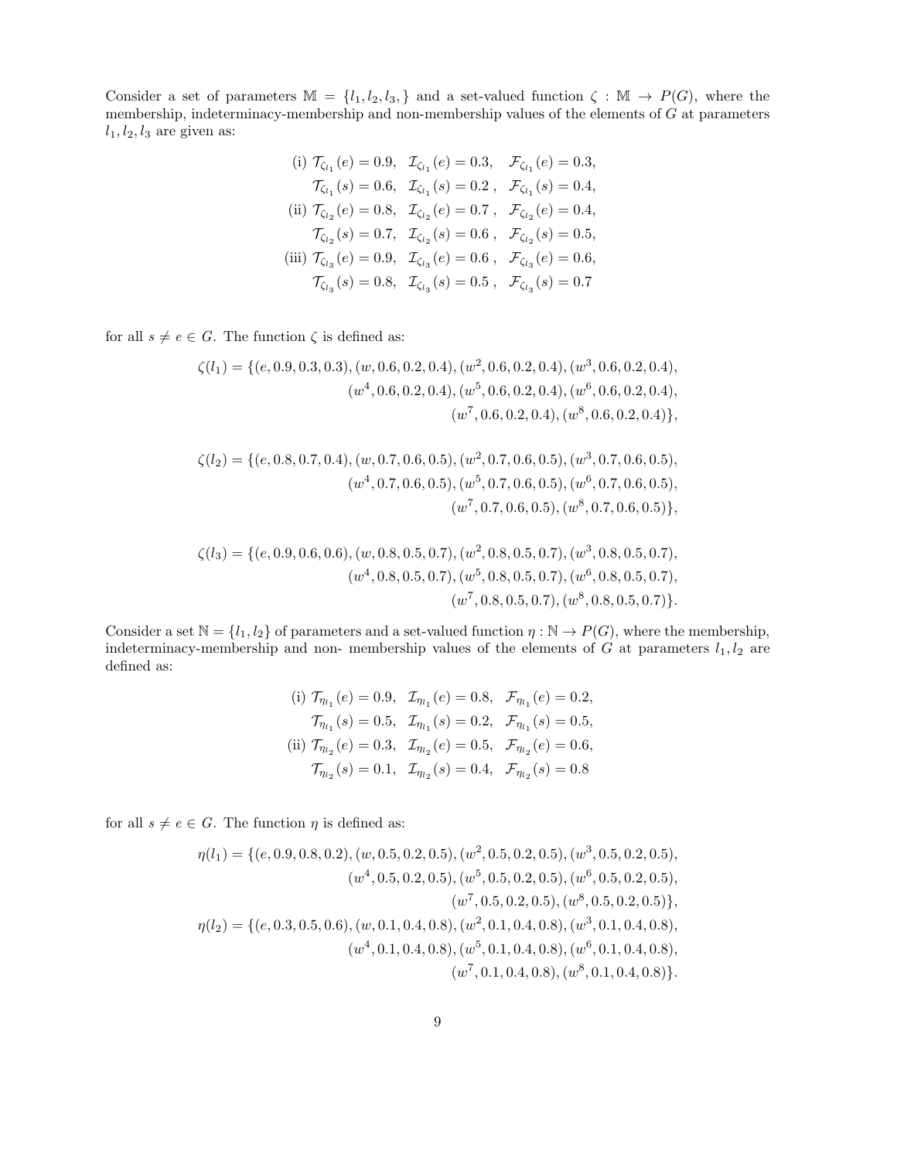Consider a set of parameters  $\mathbb{M} = \{l_1, l_2, l_3, \}$  and a set-valued function  $\zeta : \mathbb{M} \to P(G)$ , where the membership, indeterminacy-membership and non-membership values of the elements of  $G$  at parameters  $l_1$ ,  $l_2$ ,  $l_3$  are given as:

(i) 
$$
\mathcal{T}_{\zeta_{l_1}}(e) = 0.9, \quad \mathcal{I}_{\zeta_{l_1}}(e) = 0.3, \quad \mathcal{F}_{\zeta_{l_1}}(e) = 0.3, \n\mathcal{T}_{\zeta_{l_1}}(s) = 0.6, \quad \mathcal{I}_{\zeta_{l_1}}(s) = 0.2, \quad \mathcal{F}_{\zeta_{l_1}}(s) = 0.4, \n\text{(ii) } \mathcal{T}_{\zeta_{l_2}}(e) = 0.8, \quad \mathcal{I}_{\zeta_{l_2}}(e) = 0.7, \quad \mathcal{F}_{\zeta_{l_2}}(e) = 0.4, \n\mathcal{T}_{\zeta_{l_2}}(s) = 0.7, \quad \mathcal{I}_{\zeta_{l_2}}(s) = 0.6, \quad \mathcal{F}_{\zeta_{l_2}}(s) = 0.5, \n\text{(iii) } \mathcal{T}_{\zeta_{l_3}}(e) = 0.9, \quad \mathcal{I}_{\zeta_{l_3}}(e) = 0.6, \quad \mathcal{F}_{\zeta_{l_3}}(e) = 0.6, \n\mathcal{T}_{\zeta_{l_3}}(s) = 0.8, \quad \mathcal{I}_{\zeta_{l_3}}(s) = 0.5, \quad \mathcal{F}_{\zeta_{l_3}}(s) = 0.7
$$

for all  $s \neq e \in G$ . The function  $\zeta$  is defined as:

$$
\zeta(l_1) = \{ (e, 0.9, 0.3, 0.3), (w, 0.6, 0.2, 0.4), (w^2, 0.6, 0.2, 0.4), (w^3, 0.6, 0.2, 0.4), (w^4, 0.6, 0.2, 0.4), (w^5, 0.6, 0.2, 0.4), (w^6, 0.6, 0.2, 0.4), (w^7, 0.6, 0.2, 0.4), (w^8, 0.6, 0.2, 0.4) \},
$$

$$
\zeta(l_2) = \{ (e, 0.8, 0.7, 0.4), (w, 0.7, 0.6, 0.5), (w^2, 0.7, 0.6, 0.5), (w^3, 0.7, 0.6, 0.5), (w^4, 0.7, 0.6, 0.5), (w^5, 0.7, 0.6, 0.5), (w^6, 0.7, 0.6, 0.5), (w^7, 0.7, 0.6, 0.5), (w^8, 0.7, 0.6, 0.5) \},
$$

$$
\zeta(l_3) = \{ (e, 0.9, 0.6, 0.6), (w, 0.8, 0.5, 0.7), (w^2, 0.8, 0.5, 0.7), (w^3, 0.8, 0.5, 0.7), (w^4, 0.8, 0.5, 0.7), (w^5, 0.8, 0.5, 0.7), (w^6, 0.8, 0.5, 0.7), (w^8, 0.8, 0.5, 0.7), (w^8, 0.8, 0.5, 0.7) \}.
$$

Consider a set  $\mathbb{N} = \{l_1, l_2\}$  of parameters and a set-valued function  $\eta : \mathbb{N} \to P(G)$ , where the membership, indeterminacy-membership and non- membership values of the elements of  $G$  at parameters  $l_1, l_2$  are defined as:

(i) 
$$
\mathcal{T}_{\eta_{1}}(e) = 0.9
$$
,  $\mathcal{I}_{\eta_{1}}(e) = 0.8$ ,  $\mathcal{F}_{\eta_{1}}(e) = 0.2$ ,  
\n $\mathcal{T}_{\eta_{1}}(s) = 0.5$ ,  $\mathcal{I}_{\eta_{1}}(s) = 0.2$ ,  $\mathcal{F}_{\eta_{1}}(s) = 0.5$ ,  
\n(ii)  $\mathcal{T}_{\eta_{12}}(e) = 0.3$ ,  $\mathcal{I}_{\eta_{12}}(e) = 0.5$ ,  $\mathcal{F}_{\eta_{12}}(e) = 0.6$ ,  
\n $\mathcal{T}_{\eta_{12}}(s) = 0.1$ ,  $\mathcal{I}_{\eta_{12}}(s) = 0.4$ ,  $\mathcal{F}_{\eta_{12}}(s) = 0.8$ 

for all  $s \neq e \in G$ . The function  $\eta$  is defined as:

$$
\eta(l_1) = \{ (e, 0.9, 0.8, 0.2), (w, 0.5, 0.2, 0.5), (w^2, 0.5, 0.2, 0.5), (w^3, 0.5, 0.2, 0.5), (w^4, 0.5, 0.2, 0.5), (w^6, 0.5, 0.2, 0.5), (w^6, 0.5, 0.2, 0.5), (w^7, 0.5, 0.2, 0.5), (w^8, 0.5, 0.2, 0.5) \},
$$

$$
\eta(l_2) = \{ (e, 0.3, 0.5, 0.6), (w, 0.1, 0.4, 0.8), (w^2, 0.1, 0.4, 0.8), (w^3, 0.1, 0.4, 0.8), (w^4, 0.1, 0.4, 0.8), (w^5, 0.1, 0.4, 0.8), (w^6, 0.1, 0.4, 0.8), (w^7, 0.1, 0.4, 0.8), (w^8, 0.1, 0.4, 0.8) \}.
$$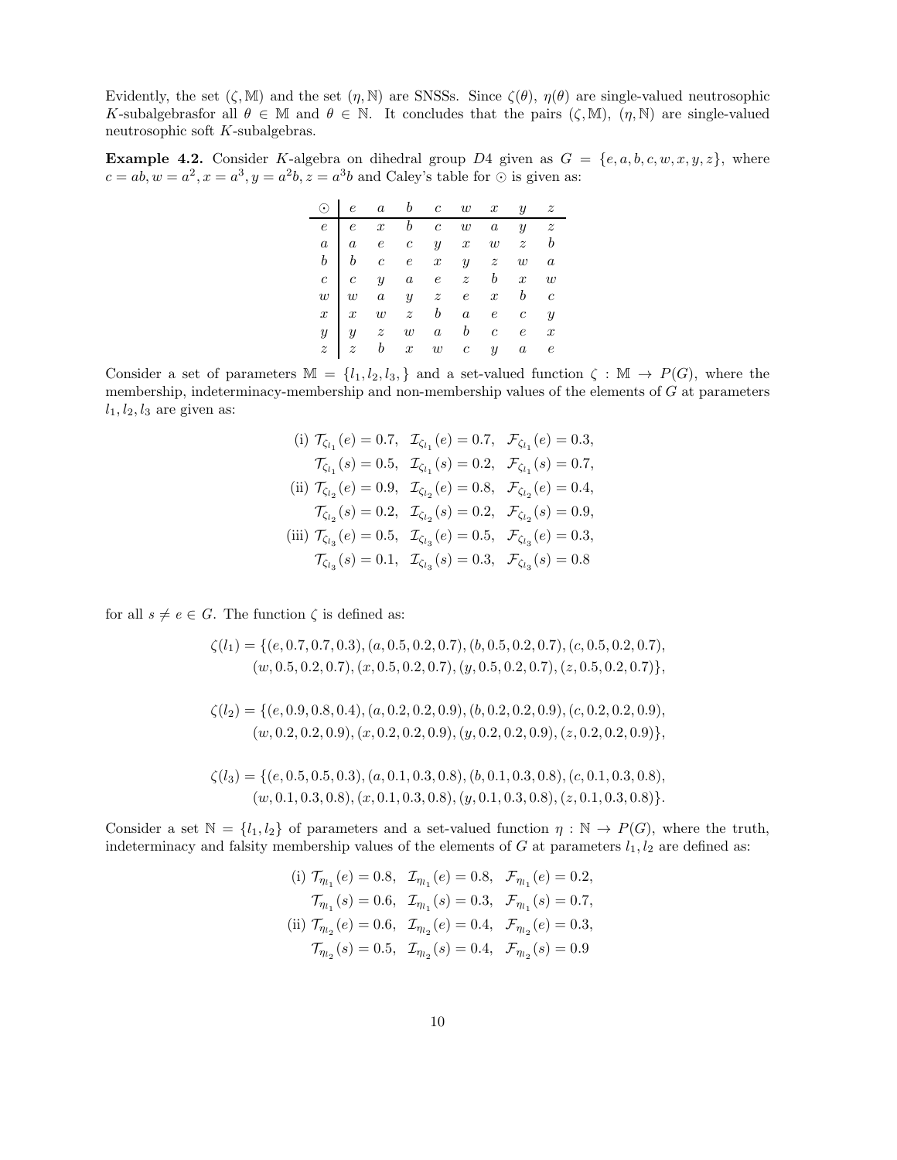Evidently, the set  $(\zeta, M)$  and the set  $(\eta, N)$  are SNSSs. Since  $\zeta(\theta)$ ,  $\eta(\theta)$  are single-valued neutrosophic K-subalgebrasfor all  $\theta \in \mathbb{M}$  and  $\theta \in \mathbb{N}$ . It concludes that the pairs  $(\zeta, \mathbb{M})$ ,  $(\eta, \mathbb{N})$  are single-valued neutrosophic soft K-subalgebras.

**Example 4.2.** Consider K-algebra on dihedral group D4 given as  $G = \{e, a, b, c, w, x, y, z\}$ , where  $c = ab, w = a^2, x = a^3, y = a^2b, z = a^3b$  and Caley's table for  $\odot$  is given as:

|  | $\odot$ e a b c w x y z                                                                                                                                                                                                                                  |  |  |  |
|--|----------------------------------------------------------------------------------------------------------------------------------------------------------------------------------------------------------------------------------------------------------|--|--|--|
|  | $\begin{array}{ c cccc cccc cccc cccc }\hline c&c&x&b&c&w&a&y&z\\ \hline e&e&x&b&c&w&a&y&z\\ a&a&e&c&y&x&w&z&b\\ b&b&c&e&x&y&z&w&a\\ c&y&a&e&z&b&x&w\\ w&w&a&y&z&e&x&b&c\\ x&x&w&z&b&a&e&c&y\\ y&z&w&a&b&c&e&x\\ z&z&b&x&w&c&y&a&e \\\hline \end{array}$ |  |  |  |
|  |                                                                                                                                                                                                                                                          |  |  |  |
|  |                                                                                                                                                                                                                                                          |  |  |  |
|  |                                                                                                                                                                                                                                                          |  |  |  |
|  |                                                                                                                                                                                                                                                          |  |  |  |
|  |                                                                                                                                                                                                                                                          |  |  |  |
|  |                                                                                                                                                                                                                                                          |  |  |  |
|  |                                                                                                                                                                                                                                                          |  |  |  |

Consider a set of parameters  $\mathbb{M} = \{l_1, l_2, l_3, \}$  and a set-valued function  $\zeta : \mathbb{M} \to P(G)$ , where the membership, indeterminacy-membership and non-membership values of the elements of  $G$  at parameters  $l_1$ ,  $l_2$ ,  $l_3$  are given as:

> (i)  $\mathcal{T}_{\zeta_{l_1}}(e) = 0.7, \quad \mathcal{I}_{\zeta_{l_1}}(e) = 0.7, \quad \mathcal{F}_{\zeta_{l_1}}(e) = 0.3,$  $\mathcal{T}_{\zeta_{l_1}}(s) = 0.5, \quad \mathcal{I}_{\zeta_{l_1}}(s) = 0.2, \quad \mathcal{F}_{\zeta_{l_1}}(s) = 0.7,$ (ii)  $\mathcal{T}_{\zeta_{l_2}}(e) = 0.9, \quad \mathcal{I}_{\zeta_{l_2}}(e) = 0.8, \quad \mathcal{F}_{\zeta_{l_2}}(e) = 0.4,$  $\mathcal{T}_{\zeta_{l_2}}(s) = 0.2, \quad \mathcal{I}_{\zeta_{l_2}}(s) = 0.2, \quad \mathcal{F}_{\zeta_{l_2}}(s) = 0.9,$ (iii)  $\mathcal{T}_{\zeta_{l_3}}(e) = 0.5, \quad \mathcal{I}_{\zeta_{l_3}}(e) = 0.5, \quad \mathcal{F}_{\zeta_{l_3}}(e) = 0.3,$  $\mathcal{T}_{\zeta_{l_3}}(s) = 0.1, \quad \mathcal{I}_{\zeta_{l_3}}(s) = 0.3, \quad \mathcal{F}_{\zeta_{l_3}}(s) = 0.8$

for all  $s \neq e \in G$ . The function  $\zeta$  is defined as:

$$
\zeta(l_1) = \{ (e, 0.7, 0.7, 0.3), (a, 0.5, 0.2, 0.7), (b, 0.5, 0.2, 0.7), (c, 0.5, 0.2, 0.7), (w, 0.5, 0.2, 0.7), (x, 0.5, 0.2, 0.7), (y, 0.5, 0.2, 0.7), (z, 0.5, 0.2, 0.7) \},
$$

$$
\zeta(l_2) = \{ (e, 0.9, 0.8, 0.4), (a, 0.2, 0.2, 0.9), (b, 0.2, 0.2, 0.9), (c, 0.2, 0.2, 0.9), (w, 0.2, 0.2, 0.9), (x, 0.2, 0.2, 0.9), (y, 0.2, 0.2, 0.9), (z, 0.2, 0.2, 0.9) \},
$$

$$
\zeta(l_3) = \{ (e, 0.5, 0.5, 0.3), (a, 0.1, 0.3, 0.8), (b, 0.1, 0.3, 0.8), (c, 0.1, 0.3, 0.8), (w, 0.1, 0.3, 0.8), (x, 0.1, 0.3, 0.8), (y, 0.1, 0.3, 0.8), (z, 0.1, 0.3, 0.8) \}.
$$

Consider a set  $\mathbb{N} = \{l_1, l_2\}$  of parameters and a set-valued function  $\eta : \mathbb{N} \to P(G)$ , where the truth, indeterminacy and falsity membership values of the elements of  $G$  at parameters  $l_1, l_2$  are defined as:

(i) 
$$
\mathcal{T}_{\eta_{l_1}}(e) = 0.8
$$
,  $\mathcal{I}_{\eta_{l_1}}(e) = 0.8$ ,  $\mathcal{F}_{\eta_{l_1}}(e) = 0.2$ ,  
\n $\mathcal{T}_{\eta_{l_1}}(s) = 0.6$ ,  $\mathcal{I}_{\eta_{l_1}}(s) = 0.3$ ,  $\mathcal{F}_{\eta_{l_1}}(s) = 0.7$ ,  
\n(ii)  $\mathcal{T}_{\eta_{l_2}}(e) = 0.6$ ,  $\mathcal{I}_{\eta_{l_2}}(e) = 0.4$ ,  $\mathcal{F}_{\eta_{l_2}}(e) = 0.3$ ,  
\n $\mathcal{T}_{\eta_{l_2}}(s) = 0.5$ ,  $\mathcal{I}_{\eta_{l_2}}(s) = 0.4$ ,  $\mathcal{F}_{\eta_{l_2}}(s) = 0.9$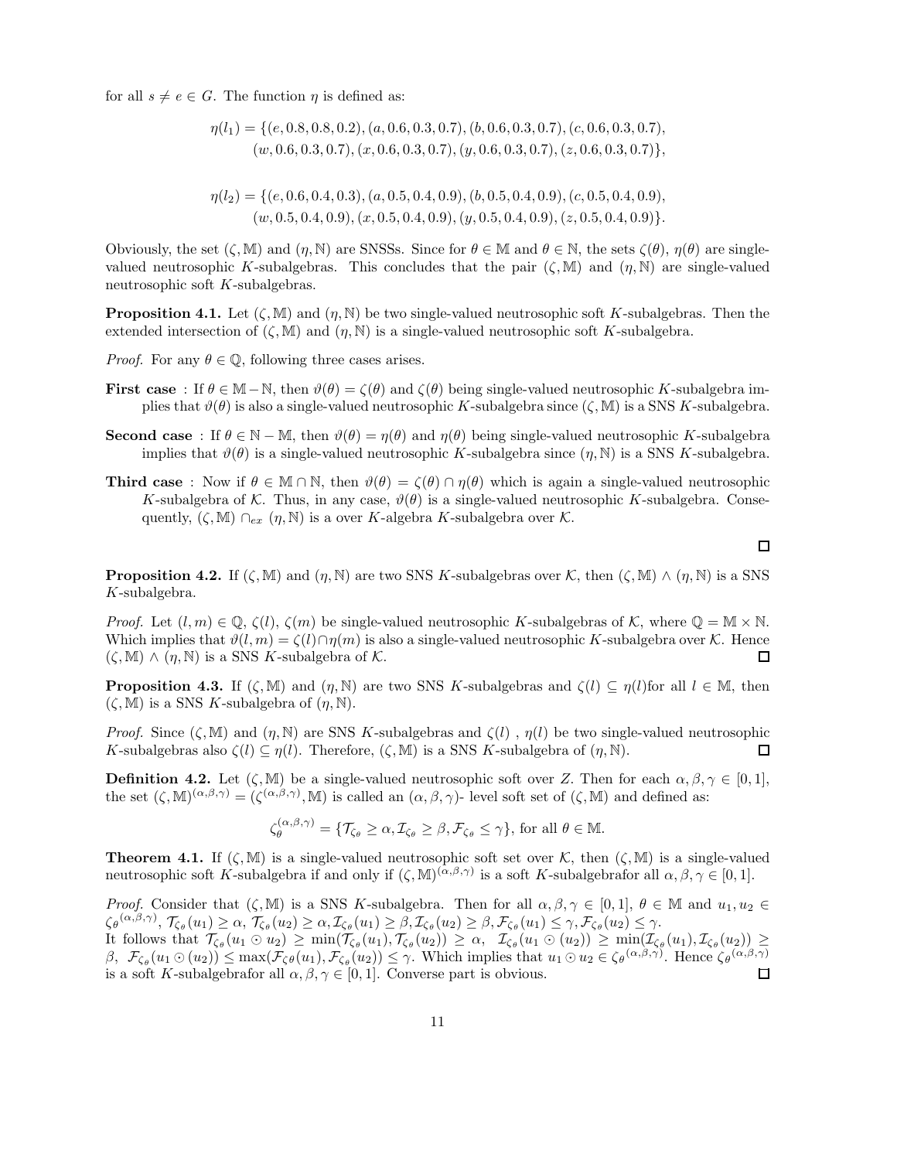for all  $s \neq e \in G$ . The function  $\eta$  is defined as:

 $\eta(l_1) = \{ (e, 0.8, 0.8, 0.2), (a, 0.6, 0.3, 0.7), (b, 0.6, 0.3, 0.7), (c, 0.6, 0.3, 0.7),$  $(w, 0.6, 0.3, 0.7), (x, 0.6, 0.3, 0.7), (y, 0.6, 0.3, 0.7), (z, 0.6, 0.3, 0.7)\},$ 

$$
\eta(l_2) = \{(e, 0.6, 0.4, 0.3), (a, 0.5, 0.4, 0.9), (b, 0.5, 0.4, 0.9), (c, 0.5, 0.4, 0.9), (w, 0.5, 0.4, 0.9), (x, 0.5, 0.4, 0.9), (y, 0.5, 0.4, 0.9), (z, 0.5, 0.4, 0.9)\}.
$$

Obviously, the set  $(\zeta, M)$  and  $(\eta, N)$  are SNSSs. Since for  $\theta \in M$  and  $\theta \in N$ , the sets  $\zeta(\theta), \eta(\theta)$  are singlevalued neutrosophic K-subalgebras. This concludes that the pair  $(\zeta, M)$  and  $(\eta, N)$  are single-valued neutrosophic soft K-subalgebras.

**Proposition 4.1.** Let  $(\zeta, M)$  and  $(\eta, N)$  be two single-valued neutrosophic soft K-subalgebras. Then the extended intersection of  $(\zeta, M)$  and  $(\eta, N)$  is a single-valued neutrosophic soft K-subalgebra.

*Proof.* For any  $\theta \in \mathbb{Q}$ , following three cases arises.

- **First case** : If  $\theta \in \mathbb{M} \mathbb{N}$ , then  $\vartheta(\theta) = \zeta(\theta)$  and  $\zeta(\theta)$  being single-valued neutrosophic K-subalgebra implies that  $\vartheta(\theta)$  is also a single-valued neutrosophic K-subalgebra since  $(\zeta, M)$  is a SNS K-subalgebra.
- **Second case** : If  $\theta \in \mathbb{N} \mathbb{M}$ , then  $\vartheta(\theta) = \eta(\theta)$  and  $\eta(\theta)$  being single-valued neutrosophic K-subalgebra implies that  $\vartheta(\theta)$  is a single-valued neutrosophic K-subalgebra since  $(\eta, N)$  is a SNS K-subalgebra.
- **Third case** : Now if  $\theta \in \mathbb{M} \cap \mathbb{N}$ , then  $\vartheta(\theta) = \zeta(\theta) \cap \eta(\theta)$  which is again a single-valued neutrosophic K-subalgebra of K. Thus, in any case,  $\vartheta(\theta)$  is a single-valued neutrosophic K-subalgebra. Consequently,  $(\zeta, M) \cap_{ex} (\eta, N)$  is a over K-algebra K-subalgebra over K.

 $\Box$ 

**Proposition 4.2.** If  $(\zeta, M)$  and  $(\eta, N)$  are two SNS K-subalgebras over K, then  $(\zeta, M) \wedge (\eta, N)$  is a SNS K-subalgebra.

*Proof.* Let  $(l, m) \in \mathbb{Q}$ ,  $\zeta(l)$ ,  $\zeta(m)$  be single-valued neutrosophic K-subalgebras of K, where  $\mathbb{Q} = \mathbb{M} \times \mathbb{N}$ . Which implies that  $\vartheta(l,m) = \zeta(l) \cap \eta(m)$  is also a single-valued neutrosophic K-subalgebra over K. Hence  $(\zeta, M) \wedge (n, N)$  is a SNS K-subalgebra of K.  $\Box$ 

**Proposition 4.3.** If  $(\zeta, M)$  and  $(\eta, N)$  are two SNS K-subalgebras and  $\zeta(l) \subset \eta(l)$  for all  $l \in M$ , then  $(\zeta, M)$  is a SNS K-subalgebra of  $(\eta, N)$ .

*Proof.* Since  $(\zeta, M)$  and  $(\eta, N)$  are SNS K-subalgebras and  $\zeta(l)$ ,  $\eta(l)$  be two single-valued neutrosophic K-subalgebras also  $\zeta(l) \subseteq \eta(l)$ . Therefore,  $(\zeta, M)$  is a SNS K-subalgebra of  $(\eta, N)$ . 口

**Definition 4.2.** Let  $(\zeta, M)$  be a single-valued neutrosophic soft over Z. Then for each  $\alpha, \beta, \gamma \in [0, 1]$ , the set  $(\zeta, M)^{(\alpha, \beta, \gamma)} = (\zeta^{(\alpha, \beta, \gamma)}, M)$  is called an  $(\alpha, \beta, \gamma)$ - level soft set of  $(\zeta, M)$  and defined as:

$$
\zeta_{\theta}^{(\alpha,\beta,\gamma)} = \{ \mathcal{T}_{\zeta_{\theta}} \geq \alpha, \mathcal{I}_{\zeta_{\theta}} \geq \beta, \mathcal{F}_{\zeta_{\theta}} \leq \gamma \}, \text{ for all } \theta \in \mathbb{M}.
$$

**Theorem 4.1.** If  $(\zeta, M)$  is a single-valued neutrosophic soft set over K, then  $(\zeta, M)$  is a single-valued neutrosophic soft K-subalgebra if and only if  $(\zeta, M)^{(\alpha, \beta, \gamma)}$  is a soft K-subalgebrafor all  $\alpha, \beta, \gamma \in [0, 1]$ .

*Proof.* Consider that  $(\zeta, M)$  is a SNS K-subalgebra. Then for all  $\alpha, \beta, \gamma \in [0, 1], \theta \in M$  and  $u_1, u_2 \in$  $\zeta_{\theta}(\alpha,\beta,\gamma), \mathcal{T}_{\zeta_{\theta}}(u_1) \geq \alpha, \mathcal{T}_{\zeta_{\theta}}(u_2) \geq \alpha, \mathcal{I}_{\zeta_{\theta}}(u_1) \geq \beta, \mathcal{I}_{\zeta_{\theta}}(u_2) \geq \beta, \mathcal{F}_{\zeta_{\theta}}(u_1) \leq \gamma, \mathcal{F}_{\zeta_{\theta}}(u_2) \leq \gamma.$ It follows that  $\mathcal{T}_{\zeta_{\theta}}(u_1 \odot u_2) \geq \min(\mathcal{T}_{\zeta_{\theta}}(u_1), \mathcal{T}_{\zeta_{\theta}}(u_2)) \geq \alpha$ ,  $\mathcal{I}_{\zeta_{\theta}}(u_1 \odot (u_2)) \geq \min(\mathcal{I}_{\zeta_{\theta}}(u_1), \mathcal{I}_{\zeta_{\theta}}(u_2)) \geq$ 

 $\beta$ ,  $\mathcal{F}_{\zeta_{\theta}}(u_1 \odot (u_2)) \leq \max(\mathcal{F}_{\zeta_{\theta}}(u_1), \mathcal{F}_{\zeta_{\theta}}(u_2)) \leq \gamma$ . Which implies that  $u_1 \odot u_2 \in \zeta_{\theta}(\alpha,\beta,\gamma)$ . Hence  $\zeta_{\theta}(\alpha,\beta,\gamma)$ is a soft K-subalgebrafor all  $\alpha, \beta, \gamma \in [0, 1]$ . Converse part is obvious. □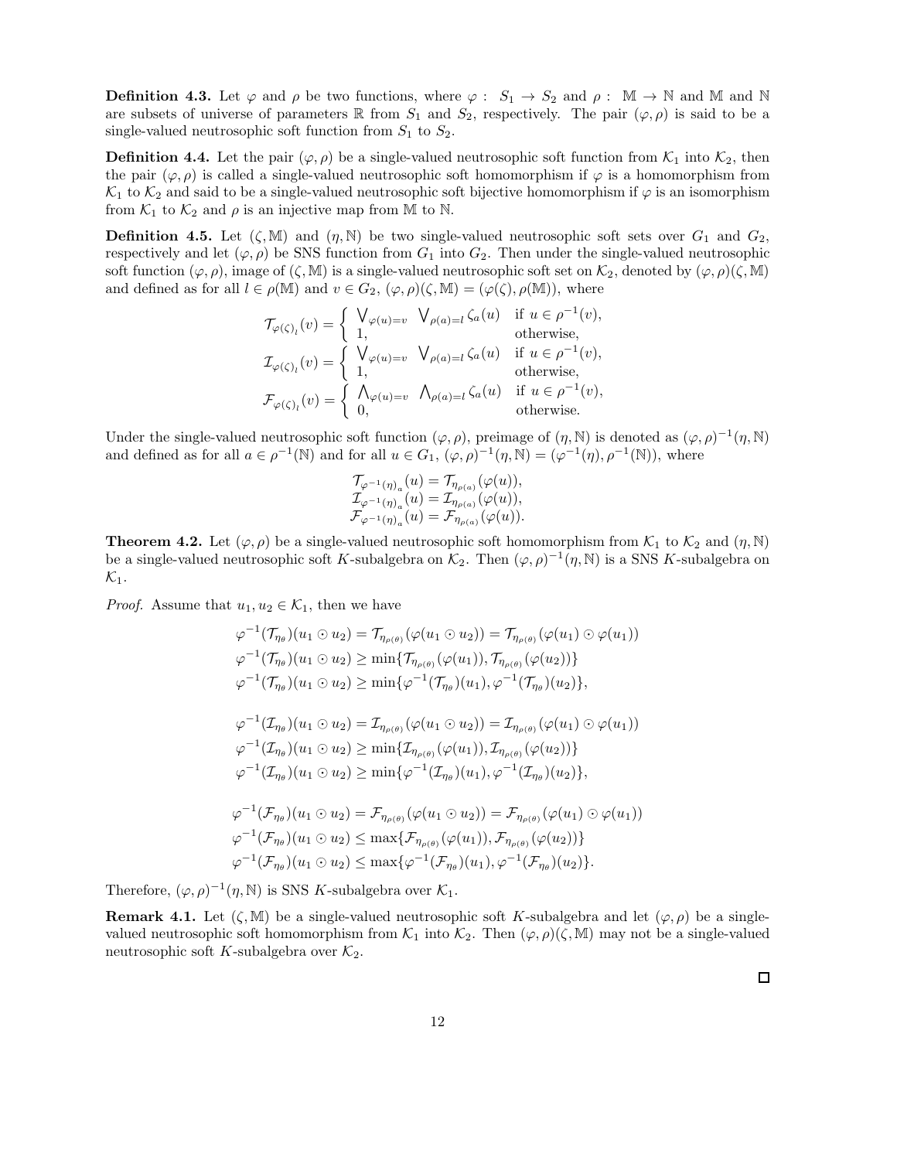**Definition 4.3.** Let  $\varphi$  and  $\rho$  be two functions, where  $\varphi : S_1 \to S_2$  and  $\rho : \mathbb{M} \to \mathbb{N}$  and  $\mathbb{M}$  and  $\mathbb{N}$ are subsets of universe of parameters R from  $S_1$  and  $S_2$ , respectively. The pair  $(\varphi, \rho)$  is said to be a single-valued neutrosophic soft function from  $S_1$  to  $S_2$ .

**Definition 4.4.** Let the pair  $(\varphi, \rho)$  be a single-valued neutrosophic soft function from  $\mathcal{K}_1$  into  $\mathcal{K}_2$ , then the pair  $(\varphi, \rho)$  is called a single-valued neutrosophic soft homomorphism if  $\varphi$  is a homomorphism from  $\mathcal{K}_1$  to  $\mathcal{K}_2$  and said to be a single-valued neutrosophic soft bijective homomorphism if  $\varphi$  is an isomorphism from  $\mathcal{K}_1$  to  $\mathcal{K}_2$  and  $\rho$  is an injective map from M to N.

**Definition 4.5.** Let  $(\zeta, M)$  and  $(\eta, N)$  be two single-valued neutrosophic soft sets over  $G_1$  and  $G_2$ , respectively and let  $(\varphi, \rho)$  be SNS function from  $G_1$  into  $G_2$ . Then under the single-valued neutrosophic soft function  $(\varphi, \rho)$ , image of  $(\zeta, M)$  is a single-valued neutrosophic soft set on  $\mathcal{K}_2$ , denoted by  $(\varphi, \rho)(\zeta, M)$ and defined as for all  $l \in \rho(\mathbb{M})$  and  $v \in G_2$ ,  $(\varphi, \rho)(\zeta, \mathbb{M}) = (\varphi(\zeta), \rho(\mathbb{M}))$ , where

$$
\mathcal{T}_{\varphi(\zeta)_l}(v) = \begin{cases} \bigvee_{\varphi(u)=v} \bigvee_{\rho(a)=l} \zeta_a(u) & \text{if } u \in \rho^{-1}(v), \\ 1, & \text{otherwise}, \end{cases}
$$
  

$$
\mathcal{I}_{\varphi(\zeta)_l}(v) = \begin{cases} \bigvee_{\varphi(u)=v} \bigvee_{\rho(a)=l} \zeta_a(u) & \text{if } u \in \rho^{-1}(v), \\ 1, & \text{otherwise}, \end{cases}
$$
  

$$
\mathcal{F}_{\varphi(\zeta)_l}(v) = \begin{cases} \bigwedge_{\varphi(u)=v} \bigwedge_{\rho(a)=l} \zeta_a(u) & \text{if } u \in \rho^{-1}(v), \\ 0, & \text{otherwise}. \end{cases}
$$

Under the single-valued neutrosophic soft function  $(\varphi, \rho)$ , preimage of  $(\eta, \mathbb{N})$  is denoted as  $(\varphi, \rho)^{-1}(\eta, \mathbb{N})$ and defined as for all  $a \in \rho^{-1}(\mathbb{N})$  and for all  $u \in G_1$ ,  $(\varphi, \rho)^{-1}(\eta, \mathbb{N}) = (\varphi^{-1}(\eta), \rho^{-1}(\mathbb{N}))$ , where

$$
\begin{array}{l} \mathcal{T}_{\varphi^{-1}(\eta)_a}(u)=\mathcal{T}_{\eta_{\rho(a)}}(\varphi(u)),\\ \mathcal{I}_{\varphi^{-1}(\eta)_a}(u)=\mathcal{I}_{\eta_{\rho(a)}}(\varphi(u)),\\ \mathcal{F}_{\varphi^{-1}(\eta)_a}(u)=\mathcal{F}_{\eta_{\rho(a)}}(\varphi(u)). \end{array}
$$

**Theorem 4.2.** Let  $(\varphi, \rho)$  be a single-valued neutrosophic soft homomorphism from  $\mathcal{K}_1$  to  $\mathcal{K}_2$  and  $(\eta, \mathbb{N})$ be a single-valued neutrosophic soft K-subalgebra on  $\mathcal{K}_2$ . Then  $(\varphi, \rho)^{-1}(\eta, \mathbb{N})$  is a SNS K-subalgebra on  $\mathcal{K}_1$ .

*Proof.* Assume that  $u_1, u_2 \in \mathcal{K}_1$ , then we have

$$
\varphi^{-1}(\mathcal{T}_{\eta_{\theta}})(u_{1} \odot u_{2}) = \mathcal{T}_{\eta_{\rho(\theta)}}(\varphi(u_{1} \odot u_{2})) = \mathcal{T}_{\eta_{\rho(\theta)}}(\varphi(u_{1}) \odot \varphi(u_{1}))
$$
  
\n
$$
\varphi^{-1}(\mathcal{T}_{\eta_{\theta}})(u_{1} \odot u_{2}) \ge \min{\{\mathcal{T}_{\eta_{\rho(\theta)}}(\varphi(u_{1})) , \mathcal{T}_{\eta_{\rho(\theta)}}(\varphi(u_{2}))\}}
$$
  
\n
$$
\varphi^{-1}(\mathcal{T}_{\eta_{\theta}})(u_{1} \odot u_{2}) \ge \min{\{\varphi^{-1}(\mathcal{T}_{\eta_{\theta}})(u_{1}), \varphi^{-1}(\mathcal{T}_{\eta_{\theta}})(u_{2})\}},
$$
  
\n
$$
\varphi^{-1}(\mathcal{T}_{\eta_{\theta}})(u_{1} \odot u_{2}) = \mathcal{T}_{\eta_{\rho(\theta)}}(\varphi(u_{1} \odot u_{2})) = \mathcal{T}_{\eta_{\rho(\theta)}}(\varphi(u_{1}) \odot \varphi(u_{1}))
$$
  
\n
$$
\varphi^{-1}(\mathcal{T}_{\eta_{\theta}})(u_{1} \odot u_{2}) \ge \min{\{\mathcal{T}_{\eta_{\rho(\theta)}}(\varphi(u_{1})) , \mathcal{T}_{\eta_{\rho(\theta)}}(\varphi(u_{2}))\}}
$$
  
\n
$$
\varphi^{-1}(\mathcal{T}_{\eta_{\theta}})(u_{1} \odot u_{2}) \ge \min{\{\varphi^{-1}(\mathcal{T}_{\eta_{\theta}})(u_{1}), \varphi^{-1}(\mathcal{T}_{\eta_{\theta}})(u_{2})\}},
$$
  
\n
$$
\varphi^{-1}(\mathcal{F}_{\eta_{\theta}})(u_{1} \odot u_{2}) = \mathcal{F}_{\eta_{\rho(\theta)}}(\varphi(u_{1} \odot u_{2})) = \mathcal{F}_{\eta_{\rho(\theta)}}(\varphi(u_{1}) \odot \varphi(u_{1}))
$$
  
\n
$$
\varphi^{-1}(\mathcal{F}_{\eta_{\theta}})(u_{1} \odot u_{2}) \le \max{\{\mathcal{F}_{\eta_{\rho(\theta)}}(\varphi(u_{1})) , \mathcal{F}_{\eta_{\rho(\theta)}}(\varphi(u_{2}))\}}
$$
  
\n
$$
\varphi^{-1}(\mathcal{F}_{\eta
$$

Therefore,  $(\varphi, \rho)^{-1}(\eta, \mathbb{N})$  is SNS K-subalgebra over  $\mathcal{K}_1$ .

**Remark 4.1.** Let  $(\zeta, M)$  be a single-valued neutrosophic soft K-subalgebra and let  $(\varphi, \rho)$  be a singlevalued neutrosophic soft homomorphism from  $\mathcal{K}_1$  into  $\mathcal{K}_2$ . Then  $(\varphi, \rho)(\zeta, M)$  may not be a single-valued neutrosophic soft K-subalgebra over  $\mathcal{K}_2$ .

 $\Box$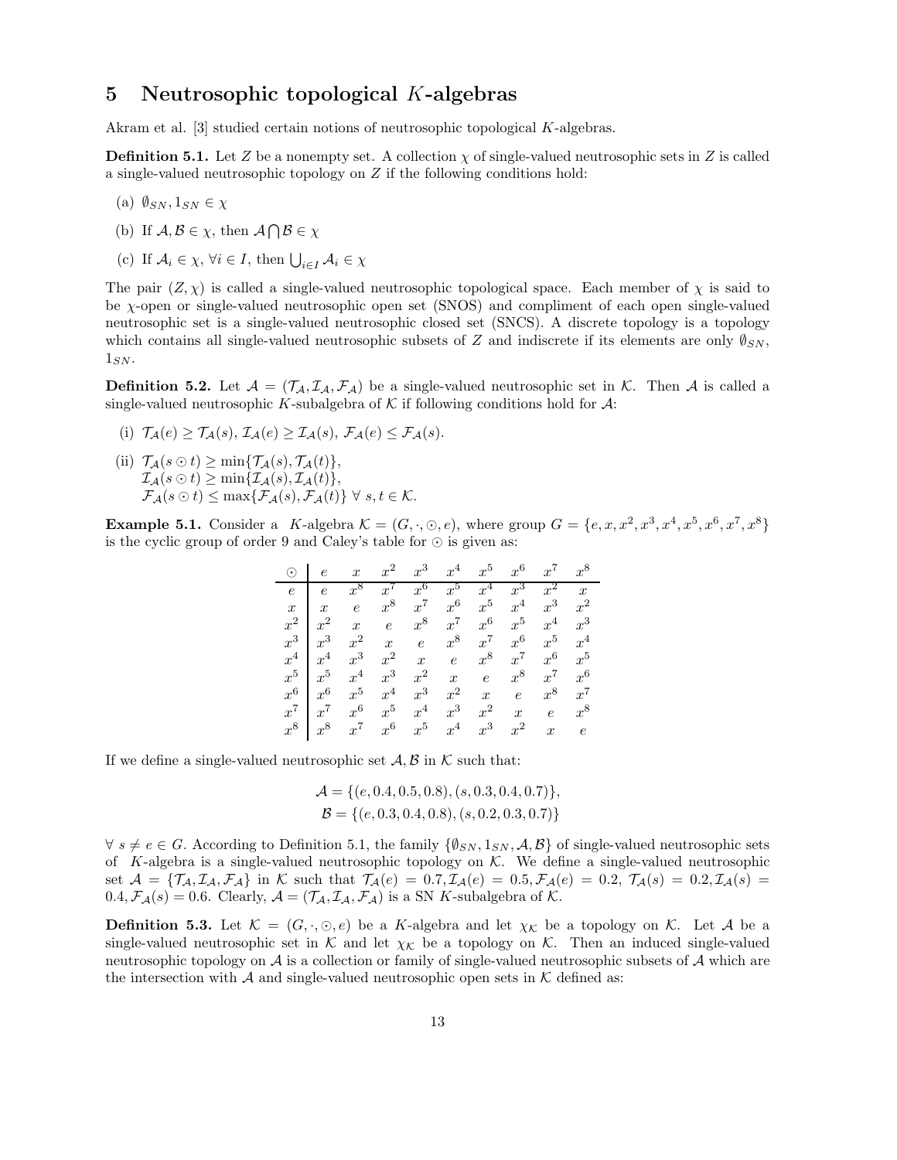#### 5 Neutrosophic topological K-algebras

Akram et al. [3] studied certain notions of neutrosophic topological K-algebras.

**Definition 5.1.** Let Z be a nonempty set. A collection  $\chi$  of single-valued neutrosophic sets in Z is called a single-valued neutrosophic topology on Z if the following conditions hold:

- (a)  $\emptyset_{SN}, 1_{SN} \in \chi$
- (b) If  $\mathcal{A}, \mathcal{B} \in \chi$ , then  $\mathcal{A} \cap \mathcal{B} \in \chi$
- (c) If  $A_i \in \chi$ ,  $\forall i \in I$ , then  $\bigcup_{i \in I} A_i \in \chi$

The pair  $(Z, \chi)$  is called a single-valued neutrosophic topological space. Each member of  $\chi$  is said to be χ-open or single-valued neutrosophic open set (SNOS) and compliment of each open single-valued neutrosophic set is a single-valued neutrosophic closed set (SNCS). A discrete topology is a topology which contains all single-valued neutrosophic subsets of Z and indiscrete if its elements are only  $\emptyset_{SN}$ .  $1_{SN}$ .

**Definition 5.2.** Let  $\mathcal{A} = (\mathcal{T}_A, \mathcal{I}_A, \mathcal{F}_A)$  be a single-valued neutrosophic set in K. Then A is called a single-valued neutrosophic K-subalgebra of  $K$  if following conditions hold for  $\mathcal{A}$ :

(i)  $\mathcal{T}_{\mathcal{A}}(e) \geq \mathcal{T}_{\mathcal{A}}(s), \mathcal{I}_{\mathcal{A}}(e) \geq \mathcal{I}_{\mathcal{A}}(s), \mathcal{F}_{\mathcal{A}}(e) \leq \mathcal{F}_{\mathcal{A}}(s).$ (ii)  $\mathcal{T}_{\mathcal{A}}(s\odot t) \geq \min\{\mathcal{T}_{\mathcal{A}}(s), \mathcal{T}_{\mathcal{A}}(t)\},$  $\mathcal{I}_{\mathcal{A}}(s\odot t) \geq \min\{\mathcal{I}_{\mathcal{A}}(s), \mathcal{I}_{\mathcal{A}}(t)\},\$  $\mathcal{F}_{\mathcal{A}}(s\odot t) \leq \max\{\mathcal{F}_{\mathcal{A}}(s),\mathcal{F}_{\mathcal{A}}(t)\}\ \forall\ s,t\in\mathcal{K}.$ 

**Example 5.1.** Consider a K-algebra  $\mathcal{K} = (G, \cdot, \odot, e)$ , where group  $G = \{e, x, x^2, x^3, x^4, x^5, x^6, x^7, x^8\}$ is the cyclic group of order 9 and Caley's table for ⊙ is given as:

| $\odot$          | $\epsilon$  | $\boldsymbol{x}$ | $x^2$            | $x^3$            | $x^4$            | $x^5$            | $x^6$            | $x^7$            | $x^8$            |
|------------------|-------------|------------------|------------------|------------------|------------------|------------------|------------------|------------------|------------------|
| $\epsilon$       | $\epsilon$  | $x^8$            | $x^{\prime}$     | $x^6$            | $x^5$            | $x^4$            | $x^3$            | $x^2$            | $\boldsymbol{x}$ |
| $\boldsymbol{x}$ | $x \quad e$ |                  | $x^8$            | $x^7$            | $x^6$            | $x^5$            | $x^4$            | $x^3$            | $x^2$            |
| $x^2$            | $x^2$       |                  | $x \quad e$      | $x^8$            | $x^7$            | $x^6$            | $x^5$            | $x^4$            | $x^3$            |
| $x^3$            | $x^3$       | $x^2$            | $\boldsymbol{x}$ | $\boldsymbol{e}$ | $x^8$            | $x^7$            | $x^6$            | $x^5$            | $x^4$            |
| $x^4$            | $x^4$       | $x^3$            | $x^2$            | $\boldsymbol{x}$ | $\epsilon$       | $x^8$            | $x^7$            | $x^6$            | $x^5$            |
| $x^5$            | $x^5$       | $x^4$            | $x^3$            | $x^2$            | $\boldsymbol{x}$ | $\epsilon$       | $x^8$            | $x^7$            | $x^6$            |
| $x^6$            | $x^6$       | $x^5$            | $x^4$            | $x^3$            | $x^2$            | $\boldsymbol{x}$ | $\epsilon$       | $x^8$            | $x^7$            |
| $x^7$            | $x^{\tau}$  | $x^6$            | $x^5$            | $x^4$            | $x^3$            | $x^2$            | $\boldsymbol{x}$ | $\epsilon$       | $x^8$            |
| $x^8$            | $x^8$       | $x^7$            | $x^6$            | $x^5$            | $x^4$            | $x^3$            | $x^2$            | $\boldsymbol{x}$ | $\epsilon$       |

If we define a single-valued neutrosophic set  $A, B$  in K such that:

$$
\mathcal{A} = \{ (e, 0.4, 0.5, 0.8), (s, 0.3, 0.4, 0.7) \},\
$$

$$
\mathcal{B} = \{ (e, 0.3, 0.4, 0.8), (s, 0.2, 0.3, 0.7) \}
$$

 $\forall s \neq e \in G$ . According to Definition 5.1, the family  $\{\emptyset_{SN}, 1_{SN}, \mathcal{A}, \mathcal{B}\}$  of single-valued neutrosophic sets of K-algebra is a single-valued neutrosophic topology on  $K$ . We define a single-valued neutrosophic set  $\mathcal{A} = {\mathcal{T}_{\mathcal{A}}, \mathcal{I}_{\mathcal{A}}, \mathcal{F}_{\mathcal{A}}}$  in K such that  $\mathcal{T}_{\mathcal{A}}(e) = 0.7, \mathcal{I}_{\mathcal{A}}(e) = 0.5, \mathcal{F}_{\mathcal{A}}(e) = 0.2, \mathcal{T}_{\mathcal{A}}(s) = 0.2, \mathcal{I}_{\mathcal{A}}(s) =$  $0.4, \mathcal{F}_{\mathcal{A}}(s) = 0.6$ . Clearly,  $\mathcal{A} = (\mathcal{T}_{\mathcal{A}}, \mathcal{I}_{\mathcal{A}}, \mathcal{F}_{\mathcal{A}})$  is a SN K-subalgebra of K.

**Definition 5.3.** Let  $\mathcal{K} = (G, \cdot, \odot, e)$  be a K-algebra and let  $\chi_{\mathcal{K}}$  be a topology on  $\mathcal{K}$ . Let A be a single-valued neutrosophic set in K and let  $\chi_{\mathcal{K}}$  be a topology on K. Then an induced single-valued neutrosophic topology on  $A$  is a collection or family of single-valued neutrosophic subsets of  $A$  which are the intersection with  $\mathcal A$  and single-valued neutrosophic open sets in  $\mathcal K$  defined as: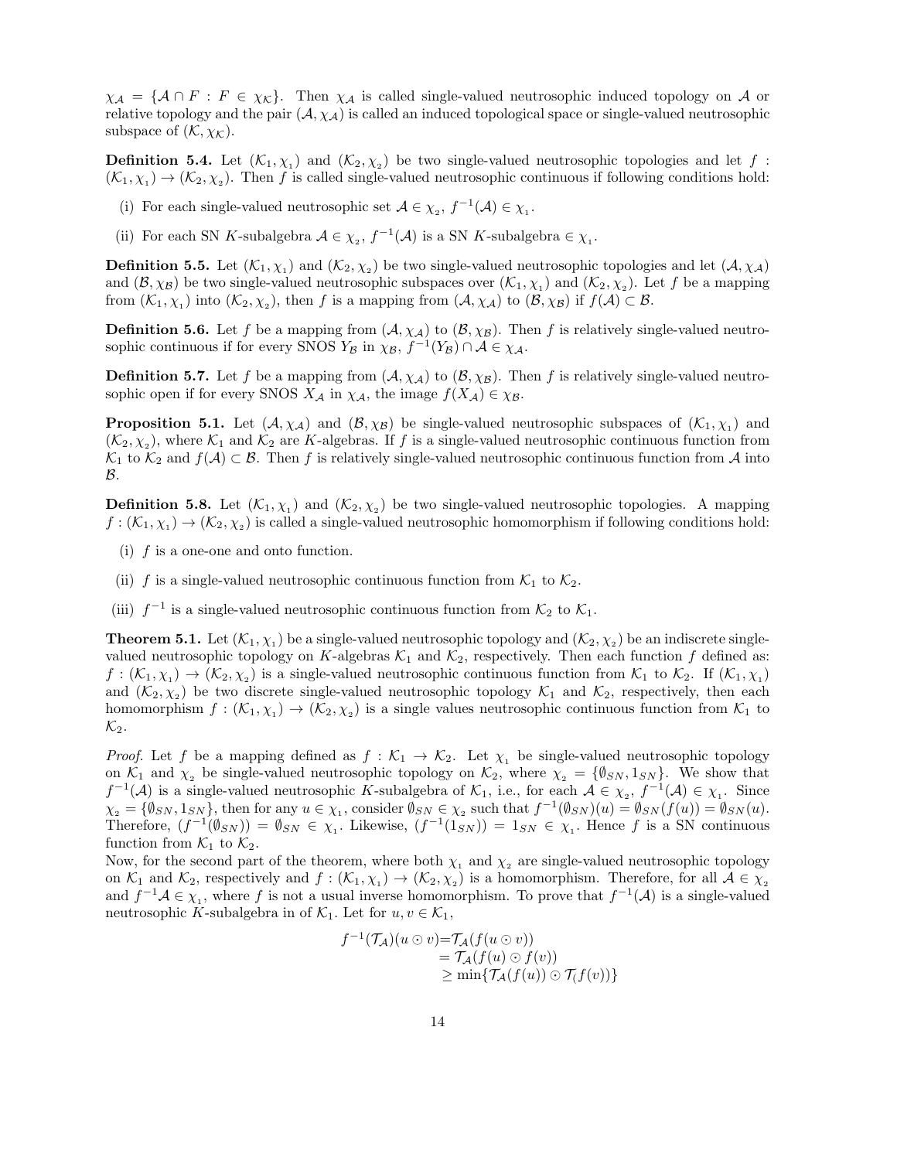$\chi_{\mathcal{A}} = {\mathcal{A} \cap F : F \in \chi_{\mathcal{K}}}$ . Then  $\chi_{\mathcal{A}}$  is called single-valued neutrosophic induced topology on A or relative topology and the pair  $(A, \chi_A)$  is called an induced topological space or single-valued neutrosophic subspace of  $(\mathcal{K}, \chi_{\mathcal{K}})$ .

**Definition 5.4.** Let  $(K_1, \chi_1)$  and  $(K_2, \chi_2)$  be two single-valued neutrosophic topologies and let f:  $(\mathcal{K}_1, \chi_1) \to (\mathcal{K}_2, \chi_2)$ . Then f is called single-valued neutrosophic continuous if following conditions hold:

- (i) For each single-valued neutrosophic set  $\mathcal{A}\in \chi_z,$   $f^{-1}(\mathcal{A})\in \chi_{_1}.$
- (ii) For each SN K-subalgebra  $A \in \chi_2$ ,  $f^{-1}(A)$  is a SN K-subalgebra  $\in \chi_1$ .

**Definition 5.5.** Let  $(K_1, \chi_1)$  and  $(K_2, \chi_2)$  be two single-valued neutrosophic topologies and let  $(A, \chi_A)$ and  $(\mathcal{B}, \chi_{\mathcal{B}})$  be two single-valued neutrosophic subspaces over  $(\mathcal{K}_1, \chi_1)$  and  $(\mathcal{K}_2, \chi_2)$ . Let f be a mapping from  $(\mathcal{K}_1, \chi_1)$  into  $(\mathcal{K}_2, \chi_2)$ , then f is a mapping from  $(\mathcal{A}, \chi_{\mathcal{A}})$  to  $(\mathcal{B}, \chi_{\mathcal{B}})$  if  $f(\mathcal{A}) \subset \mathcal{B}$ .

**Definition 5.6.** Let f be a mapping from  $(A, \chi_A)$  to  $(B, \chi_B)$ . Then f is relatively single-valued neutrosophic continuous if for every SNOS  $Y_{\mathcal{B}}$  in  $\chi_{\mathcal{B}}, f^{-1}(Y_{\mathcal{B}}) \cap \mathcal{A} \in \chi_{\mathcal{A}}$ .

**Definition 5.7.** Let f be a mapping from  $(A, \chi_A)$  to  $(B, \chi_B)$ . Then f is relatively single-valued neutrosophic open if for every SNOS  $X_{\mathcal{A}}$  in  $\chi_{\mathcal{A}}$ , the image  $f(X_{\mathcal{A}}) \in \chi_{\mathcal{B}}$ .

**Proposition 5.1.** Let  $(A, \chi_A)$  and  $(B, \chi_B)$  be single-valued neutrosophic subspaces of  $(K_1, \chi_1)$  and  $(\mathcal{K}_2, \chi_2)$ , where  $\mathcal{K}_1$  and  $\mathcal{K}_2$  are K-algebras. If f is a single-valued neutrosophic continuous function from  $\mathcal{K}_1$  to  $\mathcal{K}_2$  and  $f(\mathcal{A}) \subset \mathcal{B}$ . Then f is relatively single-valued neutrosophic continuous function from A into  $\mathcal{B}$ .

**Definition 5.8.** Let  $(K_1, \chi_1)$  and  $(K_2, \chi_2)$  be two single-valued neutrosophic topologies. A mapping  $f:(\mathcal{K}_1,\chi_1)\to(\mathcal{K}_2,\chi_2)$  is called a single-valued neutrosophic homomorphism if following conditions hold:

- (i) f is a one-one and onto function.
- (ii) f is a single-valued neutrosophic continuous function from  $\mathcal{K}_1$  to  $\mathcal{K}_2$ .
- (iii)  $f^{-1}$  is a single-valued neutrosophic continuous function from  $\mathcal{K}_2$  to  $\mathcal{K}_1$ .

**Theorem 5.1.** Let  $(\mathcal{K}_1, \chi_1)$  be a single-valued neutrosophic topology and  $(\mathcal{K}_2, \chi_2)$  be an indiscrete singlevalued neutrosophic topology on K-algebras  $\mathcal{K}_1$  and  $\mathcal{K}_2$ , respectively. Then each function f defined as:  $f:(\mathcal{K}_1,\chi_1)\to(\mathcal{K}_2,\chi_2)$  is a single-valued neutrosophic continuous function from  $\mathcal{K}_1$  to  $\mathcal{K}_2$ . If  $(\mathcal{K}_1,\chi_1)$ and  $(\mathcal{K}_2, \chi_2)$  be two discrete single-valued neutrosophic topology  $\mathcal{K}_1$  and  $\mathcal{K}_2$ , respectively, then each homomorphism  $f: (\mathcal{K}_1, \chi_1) \to (\mathcal{K}_2, \chi_2)$  is a single values neutrosophic continuous function from  $\mathcal{K}_1$  to  $\mathcal{K}_2$ .

*Proof.* Let f be a mapping defined as  $f : \mathcal{K}_1 \to \mathcal{K}_2$ . Let  $\chi_1$  be single-valued neutrosophic topology on  $\mathcal{K}_1$  and  $\chi_2$  be single-valued neutrosophic topology on  $\mathcal{K}_2$ , where  $\chi_2 = {\emptyset_{SN}, 1_{SN}}$ . We show that  $f^{-1}(\mathcal{A})$  is a single-valued neutrosophic K-subalgebra of  $\mathcal{K}_1$ , i.e., for each  $\mathcal{A} \in \chi_2$ ,  $f^{-1}(\mathcal{A}) \in \chi_1$ . Since  $\chi_2 = \{\emptyset_{SN}, 1_{SN}\},\$  then for any  $u \in \chi_1$ , consider  $\emptyset_{SN} \in \chi_2$  such that  $f^{-1}(\emptyset_{SN})(u) = \emptyset_{SN}(f(u)) = \emptyset_{SN}(u)$ . Therefore,  $(f^{-1}(\emptyset_{SN})) = \emptyset_{SN} \in \chi_1$ . Likewise,  $(f^{-1}(1_{SN})) = 1_{SN} \in \chi_1$ . Hence f is a SN continuous function from  $\mathcal{K}_1$  to  $\mathcal{K}_2$ .

Now, for the second part of the theorem, where both  $\chi_1$  and  $\chi_2$  are single-valued neutrosophic topology on  $\mathcal{K}_1$  and  $\mathcal{K}_2$ , respectively and  $f: (\mathcal{K}_1, \chi_1) \to (\mathcal{K}_2, \chi_2)$  is a homomorphism. Therefore, for all  $\mathcal{A} \in \chi_2$ and  $f^{-1}A \in \chi_1$ , where f is not a usual inverse homomorphism. To prove that  $f^{-1}(A)$  is a single-valued neutrosophic K-subalgebra in of  $\mathcal{K}_1$ . Let for  $u, v \in \mathcal{K}_1$ ,

$$
f^{-1}(\mathcal{T}_\mathcal{A})(u \odot v) = \mathcal{T}_\mathcal{A}(f(u \odot v))
$$
  
= 
$$
\mathcal{T}_\mathcal{A}(f(u) \odot f(v))
$$
  

$$
\geq \min{\{\mathcal{T}_\mathcal{A}(f(u)) \odot \mathcal{T}_\mathcal{A}(f(v))\}}
$$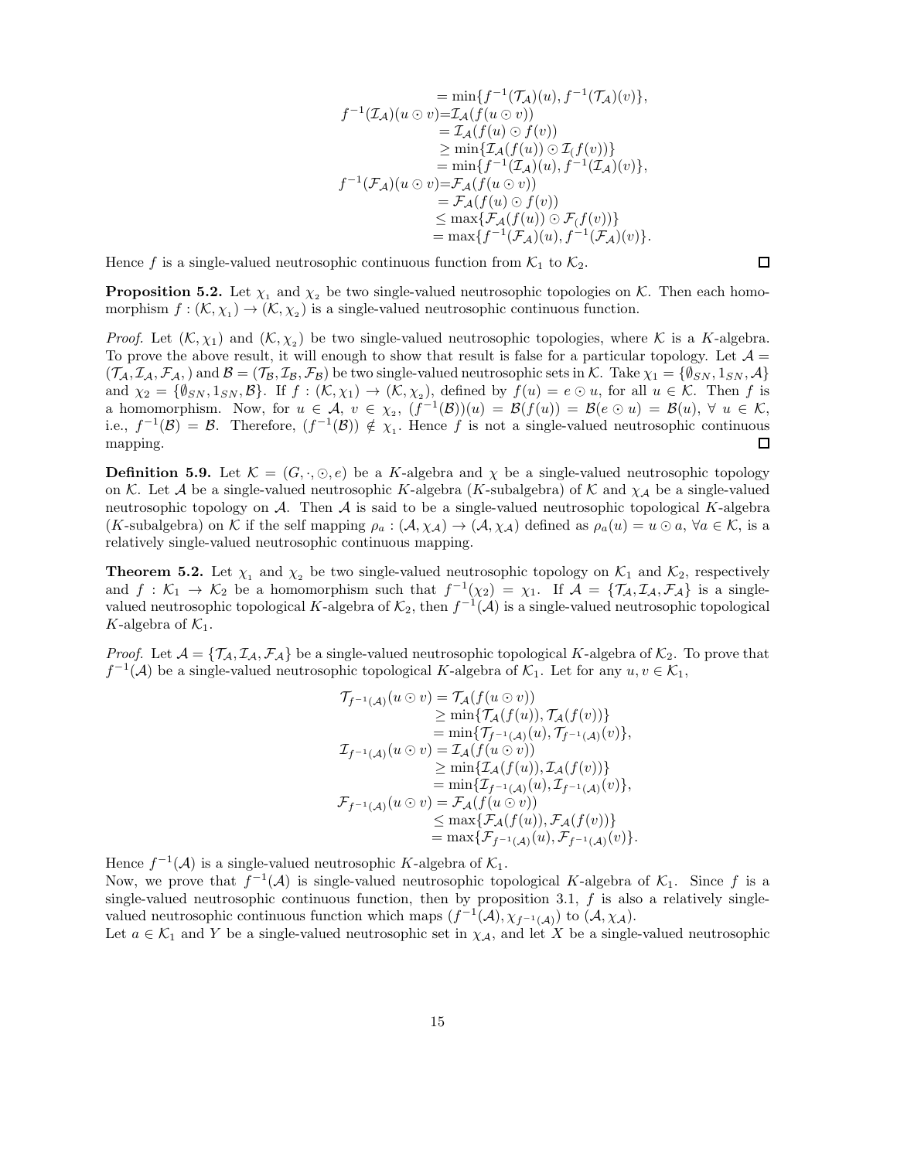$$
= \min\{f^{-1}(\mathcal{T}_\mathcal{A})(u), f^{-1}(\mathcal{T}_\mathcal{A})(v)\},
$$
  
\n
$$
f^{-1}(\mathcal{I}_\mathcal{A})(u \odot v) = \mathcal{I}_\mathcal{A}(f(u \odot v))
$$
  
\n
$$
= \mathcal{I}_\mathcal{A}(f(u) \odot f(v))
$$
  
\n
$$
\geq \min\{\mathcal{I}_\mathcal{A}(f(u)) \odot \mathcal{I}_\mathcal{A}(f(v))\}
$$
  
\n
$$
= \min\{f^{-1}(\mathcal{I}_\mathcal{A})(u), f^{-1}(\mathcal{I}_\mathcal{A})(v)\},
$$
  
\n
$$
f^{-1}(\mathcal{F}_\mathcal{A})(u \odot v) = \mathcal{F}_\mathcal{A}(f(u \odot v))
$$
  
\n
$$
= \mathcal{F}_\mathcal{A}(f(u) \odot f(v))
$$
  
\n
$$
\leq \max\{\mathcal{F}_\mathcal{A}(f(u)) \odot \mathcal{F}_\mathcal{A}(f(v))\}
$$
  
\n
$$
= \max\{f^{-1}(\mathcal{F}_\mathcal{A})(u), f^{-1}(\mathcal{F}_\mathcal{A})(v)\}.
$$

Hence f is a single-valued neutrosophic continuous function from  $\mathcal{K}_1$  to  $\mathcal{K}_2$ .

**Proposition 5.2.** Let  $\chi_1$  and  $\chi_2$  be two single-valued neutrosophic topologies on K. Then each homomorphism  $f: (\mathcal{K}, \chi_1) \to (\mathcal{K}, \chi_2)$  is a single-valued neutrosophic continuous function.

*Proof.* Let  $(K, \chi_1)$  and  $(K, \chi_2)$  be two single-valued neutrosophic topologies, where K is a K-algebra. To prove the above result, it will enough to show that result is false for a particular topology. Let  $\mathcal{A} =$  $(\mathcal{T}_\mathcal{A}, \mathcal{I}_\mathcal{A}, \mathcal{F}_\mathcal{A},)$  and  $\mathcal{B} = (\mathcal{T}_\mathcal{B}, \mathcal{I}_\mathcal{B}, \mathcal{F}_\mathcal{B})$  be two single-valued neutrosophic sets in K. Take  $\chi_1 = \{\emptyset_{SN}, \mathbb{1}_{SN}, \mathcal{A}\}$ and  $\chi_2 = \{\emptyset_{SN}, 1_{SN}, \mathcal{B}\}$ . If  $f : (\mathcal{K}, \chi_1) \to (\mathcal{K}, \chi_2)$ , defined by  $f(u) = e \odot u$ , for all  $u \in \mathcal{K}$ . Then f is a homomorphism. Now, for  $u \in \mathcal{A}$ ,  $v \in \chi_2$ ,  $(f^{-1}(\mathcal{B}))(u) = \mathcal{B}(f(u)) = \mathcal{B}(e \odot u) = \mathcal{B}(u)$ ,  $\forall u \in \mathcal{K}$ , i.e.,  $f^{-1}(\mathcal{B}) = \mathcal{B}$ . Therefore,  $(f^{-1}(\mathcal{B})) \notin \chi_1$ . Hence f is not a single-valued neutrosophic continuous mapping. □

**Definition 5.9.** Let  $\mathcal{K} = (G, \cdot, \odot, e)$  be a K-algebra and  $\chi$  be a single-valued neutrosophic topology on K. Let A be a single-valued neutrosophic K-algebra (K-subalgebra) of K and  $\chi_A$  be a single-valued neutrosophic topology on  $A$ . Then  $A$  is said to be a single-valued neutrosophic topological K-algebra  $(K\text{-subalgebra})$  on K if the self mapping  $\rho_a : (\mathcal{A}, \chi_{\mathcal{A}}) \to (\mathcal{A}, \chi_{\mathcal{A}})$  defined as  $\rho_a(u) = u \odot a$ ,  $\forall a \in \mathcal{K}$ , is a relatively single-valued neutrosophic continuous mapping.

**Theorem 5.2.** Let  $\chi_1$  and  $\chi_2$  be two single-valued neutrosophic topology on  $\mathcal{K}_1$  and  $\mathcal{K}_2$ , respectively and  $f: \mathcal{K}_1 \to \mathcal{K}_2$  be a homomorphism such that  $f^{-1}(\chi_2) = \chi_1$ . If  $\mathcal{A} = {\mathcal{T}_A, \mathcal{I}_A, \mathcal{F}_A}$  is a singlevalued neutrosophic topological K-algebra of  $\mathcal{K}_2$ , then  $f^{-1}(\mathcal{A})$  is a single-valued neutrosophic topological K-algebra of  $\mathcal{K}_1$ .

*Proof.* Let  $\mathcal{A} = \{T_A, T_A, \mathcal{F}_A\}$  be a single-valued neutrosophic topological K-algebra of  $\mathcal{K}_2$ . To prove that  $f^{-1}(\mathcal{A})$  be a single-valued neutrosophic topological K-algebra of  $\mathcal{K}_1$ . Let for any  $u, v \in \mathcal{K}_1$ ,

$$
\begin{aligned}\n\mathcal{T}_{f^{-1}(\mathcal{A})}(u \odot v) &= \mathcal{T}_{\mathcal{A}}(f(u \odot v)) \\
&\geq \min \{\mathcal{T}_{\mathcal{A}}(f(u)), \mathcal{T}_{\mathcal{A}}(f(v))\} \\
&= \min \{\mathcal{T}_{f^{-1}(\mathcal{A})}(u), \mathcal{T}_{f^{-1}(\mathcal{A})}(v)\}, \\
\mathcal{I}_{f^{-1}(\mathcal{A})}(u \odot v) &= \mathcal{I}_{\mathcal{A}}(f(u \odot v)) \\
&\geq \min \{\mathcal{I}_{\mathcal{A}}(f(u)), \mathcal{I}_{\mathcal{A}}(f(v))\} \\
&= \min \{\mathcal{I}_{f^{-1}(\mathcal{A})}(u), \mathcal{I}_{f^{-1}(\mathcal{A})}(v)\}, \\
\mathcal{F}_{f^{-1}(\mathcal{A})}(u \odot v) &= \mathcal{F}_{\mathcal{A}}(f(u \odot v)) \\
&\leq \max \{\mathcal{F}_{\mathcal{A}}(f(u)), \mathcal{F}_{\mathcal{A}}(f(v))\} \\
&= \max \{\mathcal{F}_{f^{-1}(\mathcal{A})}(u), \mathcal{F}_{f^{-1}(\mathcal{A})}(v)\}.\n\end{aligned}
$$

Hence  $f^{-1}(\mathcal{A})$  is a single-valued neutrosophic K-algebra of  $\mathcal{K}_1$ . Now, we prove that  $f^{-1}(\mathcal{A})$  is single-valued neutrosophic topological K-algebra of  $\mathcal{K}_1$ . Since f is a single-valued neutrosophic continuous function, then by proposition 3.1,  $f$  is also a relatively singlevalued neutrosophic continuous function which maps  $(f^{-1}(\mathcal{A}), \chi_{f^{-1}(\mathcal{A})})$  to  $(\mathcal{A}, \chi_{\mathcal{A}})$ .

Let 
$$
a \in \mathcal{K}_1
$$
 and Y be a single-valued neutrosophic set in  $\chi_{\mathcal{A}}$ , and let X be a single-valued neutrosophic

□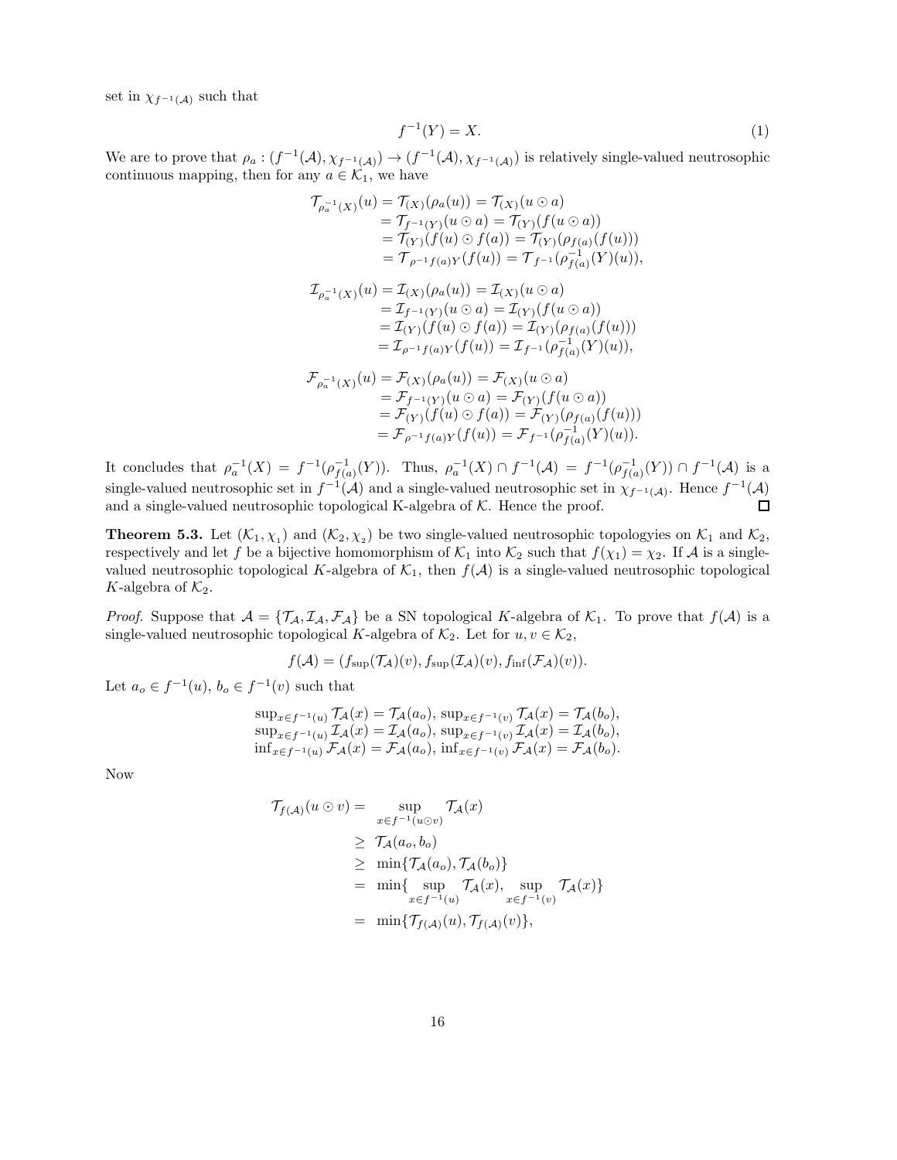set in  $\chi_{f^{-1}(\mathcal{A})}$  such that

$$
f^{-1}(Y) = X.\tag{1}
$$

We are to prove that  $\rho_a:(f^{-1}(\mathcal{A}),\chi_{f^{-1}(\mathcal{A})})\to (f^{-1}(\mathcal{A}),\chi_{f^{-1}(\mathcal{A})})$  is relatively single-valued neutrosophic continuous mapping, then for any  $a \in \mathcal{K}_1$ , we have

$$
\begin{aligned}\n\mathcal{T}_{\rho_a^{-1}}(x)(u) &= \mathcal{T}_{(X)}(\rho_a(u)) = \mathcal{T}_{(X)}(u \odot a) \\
&= \mathcal{T}_{f^{-1}(Y)}(u \odot a) = \mathcal{T}_{(Y)}(f(u \odot a)) \\
&= \mathcal{T}_{(Y)}(f(u) \odot f(a)) = \mathcal{T}_{(Y)}(\rho_{f(a)}(f(u))) \\
&= \mathcal{T}_{\rho^{-1}f(a)Y}(f(u)) = \mathcal{T}_{f^{-1}}(\rho_{f(a)}^{-1}(Y)(u)), \\
\mathcal{T}_{\rho_a^{-1}(X)}(u) &= \mathcal{I}_{(X)}(\rho_a(u)) = \mathcal{I}_{(X)}(u \odot a) \\
&= \mathcal{I}_{f^{-1}(Y)}(u \odot a) = \mathcal{I}_{(Y)}(f(u \odot a)) \\
&= \mathcal{I}_{(Y)}(f(u) \odot f(a)) = \mathcal{I}_{(Y)}(\rho_{f(a)}(f(u))) \\
&= \mathcal{I}_{\rho^{-1}f(a)Y}(f(u)) = \mathcal{I}_{f^{-1}}(\rho_{f(a)}^{-1}(Y)(u)), \\
\mathcal{F}_{\rho_a^{-1}(X)}(u) &= \mathcal{F}_{(X)}(\rho_a(u)) = \mathcal{F}_{(X)}(u \odot a) \\
&= \mathcal{F}_{f^{-1}(Y)}(u \odot a) = \mathcal{F}_{(Y)}(f(u \odot a)) \\
&= \mathcal{F}_{(Y)}(f(u) \odot f(a)) = \mathcal{F}_{(Y)}(\rho_{f(a)}(f(u))) \\
&= \mathcal{F}_{\rho^{-1}f(a)Y}(f(u)) = \mathcal{F}_{f^{-1}}(\rho_{f(a)}^{-1}(Y)(u)).\n\end{aligned}
$$

It concludes that  $\rho_a^{-1}(X) = f^{-1}(\rho_{f(a)}^{-1}(Y))$ . Thus,  $\rho_a^{-1}(X) \cap f^{-1}(\mathcal{A}) = f^{-1}(\rho_{f(a)}^{-1}(Y)) \cap f^{-1}(\mathcal{A})$  is a single-valued neutrosophic set in  $f^{-1}(\mathcal{A})$  and a single-valued neutrosophic set in  $\chi_{f^{-1}(\mathcal{A})}$ . Hence  $f^{-1}(\mathcal{A})$ and a single-valued neutrosophic topological K-algebra of  $K$ . Hence the proof.  $\Box$ 

**Theorem 5.3.** Let  $(K_1, \chi_1)$  and  $(K_2, \chi_2)$  be two single-valued neutrosophic topologyies on  $K_1$  and  $K_2$ , respectively and let f be a bijective homomorphism of  $\mathcal{K}_1$  into  $\mathcal{K}_2$  such that  $f(\chi_1) = \chi_2$ . If A is a singlevalued neutrosophic topological K-algebra of  $K_1$ , then  $f(A)$  is a single-valued neutrosophic topological K-algebra of  $\mathcal{K}_2$ .

*Proof.* Suppose that  $A = \{T_A, I_A, F_A\}$  be a SN topological K-algebra of  $K_1$ . To prove that  $f(A)$  is a single-valued neutrosophic topological K-algebra of  $\mathcal{K}_2$ . Let for  $u, v \in \mathcal{K}_2$ ,

$$
f(\mathcal{A}) = (f_{\text{sup}}(\mathcal{T}_{\mathcal{A}})(v), f_{\text{sup}}(\mathcal{I}_{\mathcal{A}})(v), f_{\text{inf}}(\mathcal{F}_{\mathcal{A}})(v)).
$$

Let  $a_o \in f^{-1}(u)$ ,  $b_o \in f^{-1}(v)$  such that

$$
\sup_{x \in f^{-1}(u)} \mathcal{T}_{\mathcal{A}}(x) = \mathcal{T}_{\mathcal{A}}(a_o), \sup_{x \in f^{-1}(v)} \mathcal{T}_{\mathcal{A}}(x) = \mathcal{T}_{\mathcal{A}}(b_o),
$$
  
\n
$$
\sup_{x \in f^{-1}(u)} \mathcal{T}_{\mathcal{A}}(x) = \mathcal{T}_{\mathcal{A}}(a_o), \sup_{x \in f^{-1}(v)} \mathcal{T}_{\mathcal{A}}(x) = \mathcal{T}_{\mathcal{A}}(b_o),
$$
  
\n
$$
\inf_{x \in f^{-1}(u)} \mathcal{F}_{\mathcal{A}}(x) = \mathcal{F}_{\mathcal{A}}(a_o), \inf_{x \in f^{-1}(v)} \mathcal{F}_{\mathcal{A}}(x) = \mathcal{F}_{\mathcal{A}}(b_o).
$$

Now

$$
\begin{aligned}\n\mathcal{T}_{f(\mathcal{A})}(u \odot v) &= \sup_{x \in f^{-1}(u \odot v)} \mathcal{T}_{\mathcal{A}}(x) \\
&\geq \mathcal{T}_{\mathcal{A}}(a_o, b_o) \\
&\geq \min \{ \mathcal{T}_{\mathcal{A}}(a_o), \mathcal{T}_{\mathcal{A}}(b_o) \} \\
&= \min \{ \sup_{x \in f^{-1}(u)} \mathcal{T}_{\mathcal{A}}(x), \sup_{x \in f^{-1}(v)} \mathcal{T}_{\mathcal{A}}(x) \} \\
&= \min \{ \mathcal{T}_{f(\mathcal{A})}(u), \mathcal{T}_{f(\mathcal{A})}(v) \},\n\end{aligned}
$$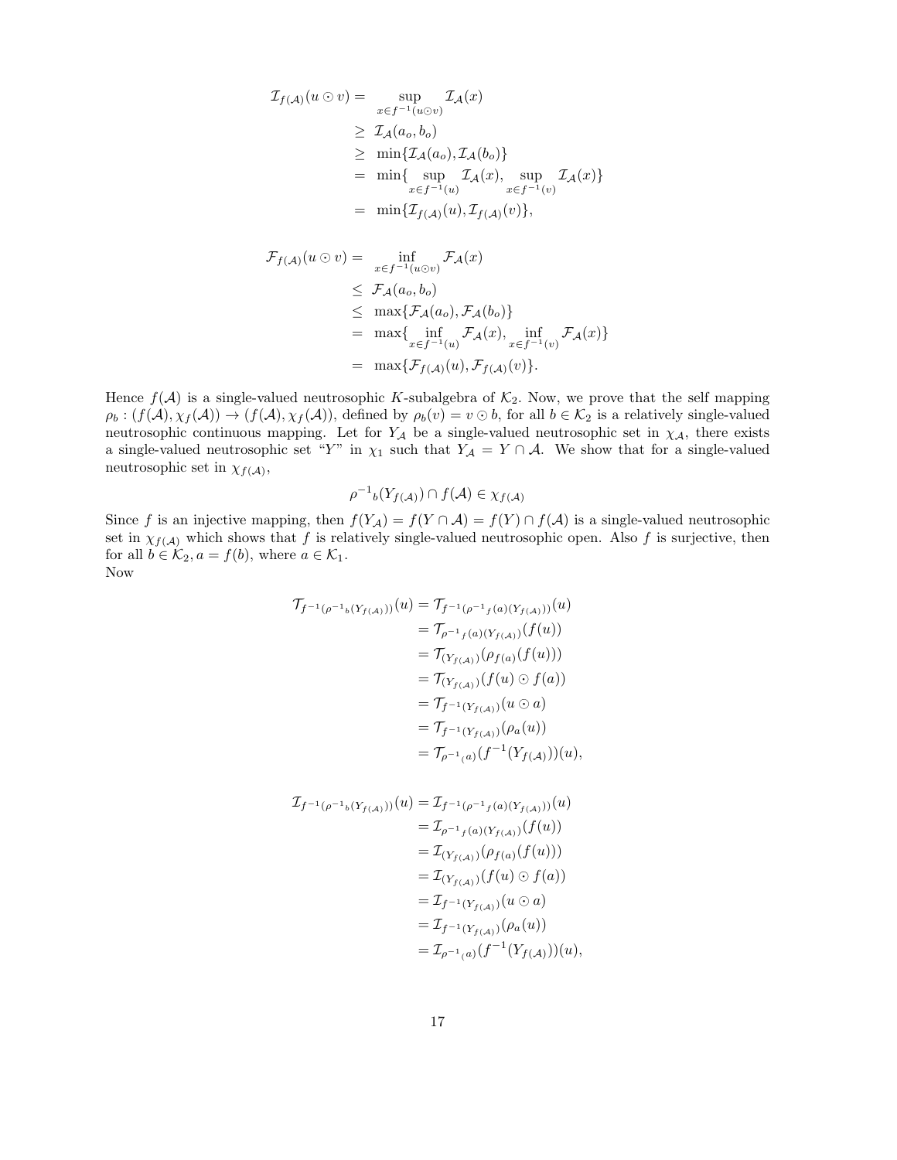$$
\mathcal{I}_{f(\mathcal{A})}(u \odot v) = \sup_{x \in f^{-1}(u \odot v)} \mathcal{I}_{\mathcal{A}}(x)
$$
\n
$$
\geq \mathcal{I}_{\mathcal{A}}(a_o, b_o)
$$
\n
$$
\geq \min \{ \mathcal{I}_{\mathcal{A}}(a_o), \mathcal{I}_{\mathcal{A}}(b_o) \}
$$
\n
$$
= \min \{ \sup_{x \in f^{-1}(u)} \mathcal{I}_{\mathcal{A}}(x), \sup_{x \in f^{-1}(v)} \mathcal{I}_{\mathcal{A}}(x) \}
$$
\n
$$
= \min \{ \mathcal{I}_{f(\mathcal{A})}(u), \mathcal{I}_{f(\mathcal{A})}(v) \},
$$

$$
\mathcal{F}_{f(\mathcal{A})}(u \odot v) = \inf_{x \in f^{-1}(u \odot v)} \mathcal{F}_{\mathcal{A}}(x)
$$
\n
$$
\leq \mathcal{F}_{\mathcal{A}}(a_o, b_o)
$$
\n
$$
\leq \max \{ \mathcal{F}_{\mathcal{A}}(a_o), \mathcal{F}_{\mathcal{A}}(b_o) \}
$$
\n
$$
= \max \{ \inf_{x \in f^{-1}(u)} \mathcal{F}_{\mathcal{A}}(x), \inf_{x \in f^{-1}(v)} \mathcal{F}_{\mathcal{A}}(x) \}
$$
\n
$$
= \max \{ \mathcal{F}_{f(\mathcal{A})}(u), \mathcal{F}_{f(\mathcal{A})}(v) \}.
$$

Hence  $f(\mathcal{A})$  is a single-valued neutrosophic K-subalgebra of  $\mathcal{K}_2$ . Now, we prove that the self mapping  $\rho_b : (f(\mathcal{A}), \chi_f(\mathcal{A})) \to (f(\mathcal{A}), \chi_f(\mathcal{A}))$ , defined by  $\rho_b(v) = v \odot b$ , for all  $b \in \mathcal{K}_2$  is a relatively single-valued neutrosophic continuous mapping. Let for  $Y_A$  be a single-valued neutrosophic set in  $\chi_A$ , there exists a single-valued neutrosophic set "Y" in  $\chi_1$  such that  $Y_A = Y \cap A$ . We show that for a single-valued neutrosophic set in  $\chi_{f(\mathcal{A})},$ 

$$
\rho^{-1} \mathbf{b}(Y_{f(\mathcal{A})}) \cap f(\mathcal{A}) \in \chi_{f(\mathcal{A})}
$$

Since f is an injective mapping, then  $f(Y_{\mathcal{A}}) = f(Y \cap \mathcal{A}) = f(Y) \cap f(\mathcal{A})$  is a single-valued neutrosophic set in  $\chi_{f(\mathcal{A})}$  which shows that f is relatively single-valued neutrosophic open. Also f is surjective, then for all  $b \in \mathcal{K}_2$ ,  $a = f(b)$ , where  $a \in \mathcal{K}_1$ . Now

$$
\begin{aligned}\n\mathcal{T}_{f^{-1}(\rho^{-1}b(Y_{f(A)}))}(u) &= \mathcal{T}_{f^{-1}(\rho^{-1}f(a)(Y_{f(A)}))}(u) \\
&= \mathcal{T}_{\rho^{-1}f(a)(Y_{f(A)})}(f(u)) \\
&= \mathcal{T}_{(Y_{f(A)})}(\rho_{f(a)}(f(u))) \\
&= \mathcal{T}_{(Y_{f(A)})}(f(u) \odot f(a)) \\
&= \mathcal{T}_{f^{-1}(Y_{f(A)})}(u \odot a) \\
&= \mathcal{T}_{f^{-1}(Y_{f(A)})}(\rho_a(u)) \\
&= \mathcal{T}_{\rho^{-1}(a)}(f^{-1}(Y_{f(A)}))(u),\n\end{aligned}
$$

$$
\mathcal{I}_{f^{-1}(\rho^{-1}{}_b(Y_{f(A)}))}(u) = \mathcal{I}_{f^{-1}(\rho^{-1}{}_f(a)(Y_{f(A)}))}(u)
$$
  
\n
$$
= \mathcal{I}_{\rho^{-1}{}_f(a)(Y_{f(A)})}(f(u))
$$
  
\n
$$
= \mathcal{I}_{(Y_{f(A)})}(\rho_{f(a)}(f(u)))
$$
  
\n
$$
= \mathcal{I}_{(Y_{f(A)})}(f(u) \odot f(a))
$$
  
\n
$$
= \mathcal{I}_{f^{-1}(Y_{f(A)})}(u \odot a)
$$
  
\n
$$
= \mathcal{I}_{f^{-1}(Y_{f(A)})}(\rho_a(u))
$$
  
\n
$$
= \mathcal{I}_{\rho^{-1}(a)}(f^{-1}(Y_{f(A)}))(u),
$$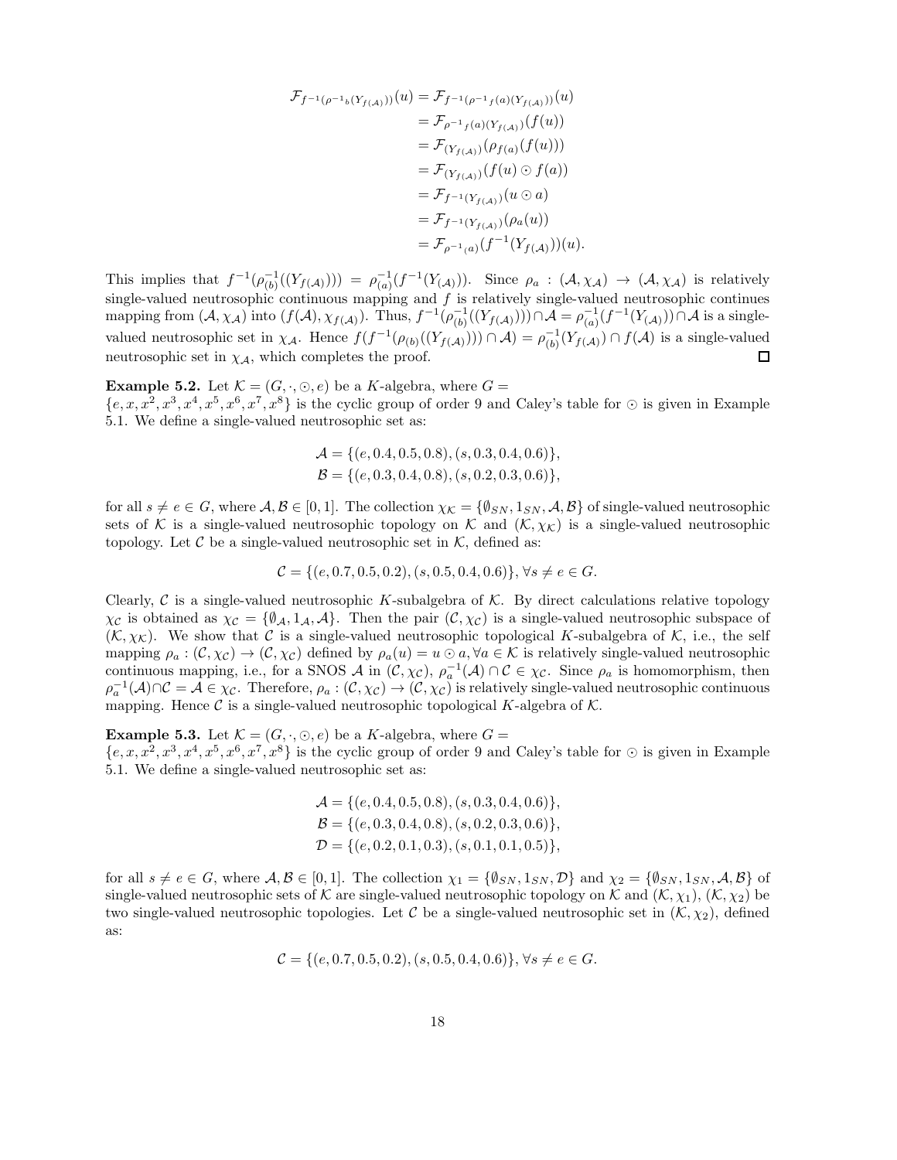$$
\mathcal{F}_{f^{-1}(\rho^{-1}b(Y_{f(A)}))(u) = \mathcal{F}_{f^{-1}(\rho^{-1}f(a)(Y_{f(A)}))(u)}
$$
  
\n
$$
= \mathcal{F}_{\rho^{-1}f(a)(Y_{f(A)})}(f(u))
$$
  
\n
$$
= \mathcal{F}_{(Y_{f(A)})}(\rho_{f(a)}(f(u)))
$$
  
\n
$$
= \mathcal{F}_{(Y_{f(A)})}(f(u) \odot f(a))
$$
  
\n
$$
= \mathcal{F}_{f^{-1}(Y_{f(A)})}(u \odot a)
$$
  
\n
$$
= \mathcal{F}_{f^{-1}(Y_{f(A)})}(\rho_a(u))
$$
  
\n
$$
= \mathcal{F}_{\rho^{-1}(a)}(f^{-1}(Y_{f(A)}))(u).
$$

This implies that  $f^{-1}(\rho_{(b)}^{-1}((Y_{f(\mathcal{A})}))) = \rho_{(a)}^{-1}(f^{-1}(Y_{(\mathcal{A})}))$ . Since  $\rho_a : (\mathcal{A}, \chi_{\mathcal{A}}) \to (\mathcal{A}, \chi_{\mathcal{A}})$  is relatively single-valued neutrosophic continuous mapping and  $f$  is relatively single-valued neutrosophic continues mapping from  $(A, \chi_A)$  into  $(f(A), \chi_{f(A)})$ . Thus,  $f^{-1}(\rho_{(b)}^{-1}((Y_{f(A)}))) \cap A = \rho_{(a)}^{-1}(f^{-1}(Y_{(A)})) \cap A$  is a singlevalued neutrosophic set in  $\chi_{\mathcal{A}}$ . Hence  $f(f^{-1}(\rho_{(b)}((Y_{f(\mathcal{A})}))) \cap \mathcal{A}) = \rho_{(b)}^{-1}(Y_{f(\mathcal{A})}) \cap f(\mathcal{A})$  is a single-valued neutrosophic set in  $\chi_A$ , which completes the proof. □

**Example 5.2.** Let  $\mathcal{K} = (G, \cdot, \odot, e)$  be a K-algebra, where  $G =$  $\{e, x, x^2, x^3, x^4, x^5, x^6, x^7, x^8\}$  is the cyclic group of order 9 and Caley's table for  $\odot$  is given in Example 5.1. We define a single-valued neutrosophic set as:

$$
\mathcal{A} = \{ (e, 0.4, 0.5, 0.8), (s, 0.3, 0.4, 0.6) \},\
$$

$$
\mathcal{B} = \{ (e, 0.3, 0.4, 0.8), (s, 0.2, 0.3, 0.6) \},\
$$

for all  $s \neq e \in G$ , where  $\mathcal{A}, \mathcal{B} \in [0, 1]$ . The collection  $\chi_{\mathcal{K}} = {\emptyset_{SN}, 1_{SN}, \mathcal{A}, \mathcal{B}}$  of single-valued neutrosophic sets of K is a single-valued neutrosophic topology on K and  $(K, \chi_K)$  is a single-valued neutrosophic topology. Let  $\mathcal C$  be a single-valued neutrosophic set in  $\mathcal K$ , defined as:

$$
\mathcal{C} = \{ (e, 0.7, 0.5, 0.2), (s, 0.5, 0.4, 0.6) \}, \forall s \neq e \in G.
$$

Clearly,  $\mathcal C$  is a single-valued neutrosophic K-subalgebra of  $\mathcal K$ . By direct calculations relative topology  $\chi_{\mathcal{C}}$  is obtained as  $\chi_{\mathcal{C}} = {\emptyset_A, 1_A, A}$ . Then the pair  $(\mathcal{C}, \chi_{\mathcal{C}})$  is a single-valued neutrosophic subspace of  $(K, \chi_K)$ . We show that C is a single-valued neutrosophic topological K-subalgebra of K, i.e., the self mapping  $\rho_a : (\mathcal{C}, \chi_{\mathcal{C}}) \to (\mathcal{C}, \chi_{\mathcal{C}})$  defined by  $\rho_a(u) = u \odot a, \forall a \in \mathcal{K}$  is relatively single-valued neutrosophic continuous mapping, i.e., for a SNOS A in  $(C, \chi_C)$ ,  $\rho_a^{-1}(\mathcal{A}) \cap C \in \chi_C$ . Since  $\rho_a$  is homomorphism, then  $\rho_a^{-1}(\mathcal{A}) \cap \mathcal{C} = \mathcal{A} \in \chi_{\mathcal{C}}$ . Therefore,  $\rho_a : (\mathcal{C}, \chi_{\mathcal{C}}) \to (\mathcal{C}, \chi_{\mathcal{C}})$  is relatively single-valued neutrosophic continuous mapping. Hence  $\mathcal C$  is a single-valued neutrosophic topological K-algebra of  $\mathcal K$ .

**Example 5.3.** Let  $\mathcal{K} = (G, \cdot, \odot, e)$  be a K-algebra, where  $G =$  ${e, x, x^2, x^3, x^4, x^5, x^6, x^7, x^8}$  is the cyclic group of order 9 and Caley's table for  $\odot$  is given in Example 5.1. We define a single-valued neutrosophic set as:

$$
\mathcal{A} = \{ (e, 0.4, 0.5, 0.8), (s, 0.3, 0.4, 0.6) \},\
$$

$$
\mathcal{B} = \{ (e, 0.3, 0.4, 0.8), (s, 0.2, 0.3, 0.6) \},\
$$

$$
\mathcal{D} = \{ (e, 0.2, 0.1, 0.3), (s, 0.1, 0.1, 0.5) \},\
$$

for all  $s \neq e \in G$ , where  $\mathcal{A}, \mathcal{B} \in [0, 1]$ . The collection  $\chi_1 = {\emptyset_{SN}, 1_{SN}, \mathcal{D}}$  and  $\chi_2 = {\emptyset_{SN}, 1_{SN}, \mathcal{A}, \mathcal{B}}$  of single-valued neutrosophic sets of K are single-valued neutrosophic topology on K and  $(K, \chi_1)$ ,  $(K, \chi_2)$  be two single-valued neutrosophic topologies. Let C be a single-valued neutrosophic set in  $(K, \chi_2)$ , defined as:

$$
\mathcal{C} = \{ (e, 0.7, 0.5, 0.2), (s, 0.5, 0.4, 0.6) \}, \forall s \neq e \in G.
$$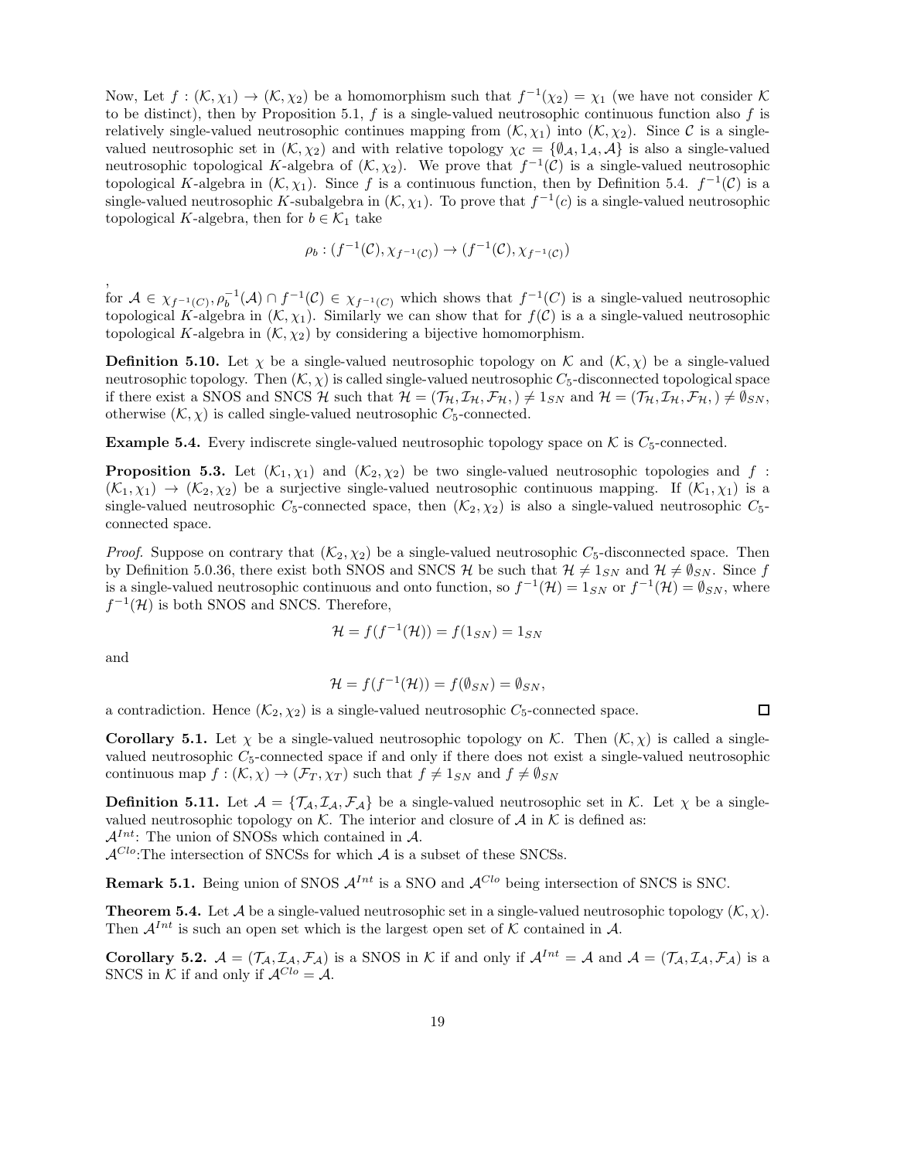Now, Let  $f: (\mathcal{K}, \chi_1) \to (\mathcal{K}, \chi_2)$  be a homomorphism such that  $f^{-1}(\chi_2) = \chi_1$  (we have not consider  $\mathcal{K}$ to be distinct), then by Proposition 5.1,  $f$  is a single-valued neutrosophic continuous function also  $f$  is relatively single-valued neutrosophic continues mapping from  $(K, \chi_1)$  into  $(K, \chi_2)$ . Since C is a singlevalued neutrosophic set in  $(K, \chi_2)$  and with relative topology  $\chi_c = {\emptyset_A, 1_A, A}$  is also a single-valued neutrosophic topological K-algebra of  $(K, \chi_2)$ . We prove that  $f^{-1}(\mathcal{C})$  is a single-valued neutrosophic topological K-algebra in  $(\mathcal{K}, \chi_1)$ . Since f is a continuous function, then by Definition 5.4.  $f^{-1}(\mathcal{C})$  is a single-valued neutrosophic K-subalgebra in  $(K, \chi_1)$ . To prove that  $f^{-1}(c)$  is a single-valued neutrosophic topological K-algebra, then for  $b \in \mathcal{K}_1$  take

$$
\rho_b: (f^{-1}(\mathcal{C}), \chi_{f^{-1}(\mathcal{C})}) \to (f^{-1}(\mathcal{C}), \chi_{f^{-1}(\mathcal{C})})
$$

for  $A \in \chi_{f^{-1}(C)}, \rho_b^{-1}(\mathcal{A}) \cap f^{-1}(\mathcal{C}) \in \chi_{f^{-1}(C)}$  which shows that  $f^{-1}(C)$  is a single-valued neutrosophic topological K-algebra in  $(\mathcal{K}, \chi_1)$ . Similarly we can show that for  $f(\mathcal{C})$  is a a single-valued neutrosophic topological K-algebra in  $(\mathcal{K}, \chi_2)$  by considering a bijective homomorphism.

**Definition 5.10.** Let  $\chi$  be a single-valued neutrosophic topology on K and  $(K, \chi)$  be a single-valued neutrosophic topology. Then  $(K, \chi)$  is called single-valued neutrosophic  $C_5$ -disconnected topological space if there exist a SNOS and SNCS H such that  $\mathcal{H} = (\mathcal{T}_{\mathcal{H}}, \mathcal{I}_{\mathcal{H}}, \mathcal{F}_{\mathcal{H}},) \neq 1_{SN}$  and  $\mathcal{H} = (\mathcal{T}_{\mathcal{H}}, \mathcal{I}_{\mathcal{H}}, \mathcal{F}_{\mathcal{H}},) \neq \emptyset_{SN}$ , otherwise  $(\mathcal{K}, \chi)$  is called single-valued neutrosophic  $C_5$ -connected.

**Example 5.4.** Every indiscrete single-valued neutrosophic topology space on  $K$  is  $C_5$ -connected.

**Proposition 5.3.** Let  $(K_1, \chi_1)$  and  $(K_2, \chi_2)$  be two single-valued neutrosophic topologies and f:  $(K_1, \chi_1) \to (K_2, \chi_2)$  be a surjective single-valued neutrosophic continuous mapping. If  $(K_1, \chi_1)$  is a single-valued neutrosophic  $C_5$ -connected space, then  $(K_2, \chi_2)$  is also a single-valued neutrosophic  $C_5$ connected space.

*Proof.* Suppose on contrary that  $(K_2, \chi_2)$  be a single-valued neutrosophic  $C_5$ -disconnected space. Then by Definition 5.0.36, there exist both SNOS and SNCS H be such that  $\mathcal{H} \neq 1_{SN}$  and  $\mathcal{H} \neq \emptyset_{SN}$ . Since f is a single-valued neutrosophic continuous and onto function, so  $f^{-1}(\mathcal{H}) = 1_{SN}$  or  $f^{-1}(\mathcal{H}) = \emptyset_{SN}$ , where  $f^{-1}(\mathcal{H})$  is both SNOS and SNCS. Therefore,

$$
\mathcal{H} = f(f^{-1}(\mathcal{H})) = f(1_{SN}) = 1_{SN}
$$

and

,

$$
\mathcal{H} = f(f^{-1}(\mathcal{H})) = f(\emptyset_{SN}) = \emptyset_{SN},
$$

 $\Box$ 

a contradiction. Hence  $(\mathcal{K}_2, \chi_2)$  is a single-valued neutrosophic  $C_5$ -connected space.

**Corollary 5.1.** Let  $\chi$  be a single-valued neutrosophic topology on K. Then  $(K, \chi)$  is called a singlevalued neutrosophic  $C_5$ -connected space if and only if there does not exist a single-valued neutrosophic continuous map  $f : (\mathcal{K}, \chi) \to (\mathcal{F}_T, \chi_T)$  such that  $f \neq 1_{SN}$  and  $f \neq \emptyset_{SN}$ 

**Definition 5.11.** Let  $A = \{T_A, I_A, F_A\}$  be a single-valued neutrosophic set in K. Let  $\chi$  be a singlevalued neutrosophic topology on  $K$ . The interior and closure of  $A$  in  $K$  is defined as:  $\mathcal{A}^{Int}$ : The union of SNOSs which contained in A.

 $\mathcal{A}^{Clo}$ :The intersection of SNCSs for which  $\mathcal A$  is a subset of these SNCSs.

**Remark 5.1.** Being union of SNOS  $\mathcal{A}^{Int}$  is a SNO and  $\mathcal{A}^{Clo}$  being intersection of SNCS is SNC.

**Theorem 5.4.** Let A be a single-valued neutrosophic set in a single-valued neutrosophic topology  $(K, \chi)$ . Then  $\mathcal{A}^{Int}$  is such an open set which is the largest open set of K contained in A.

**Corollary 5.2.**  $A = (\mathcal{T}_A, \mathcal{I}_A, \mathcal{F}_A)$  is a SNOS in K if and only if  $A^{Int} = A$  and  $A = (\mathcal{T}_A, \mathcal{I}_A, \mathcal{F}_A)$  is a SNCS in K if and only if  $A^{Cl_0} = A$ .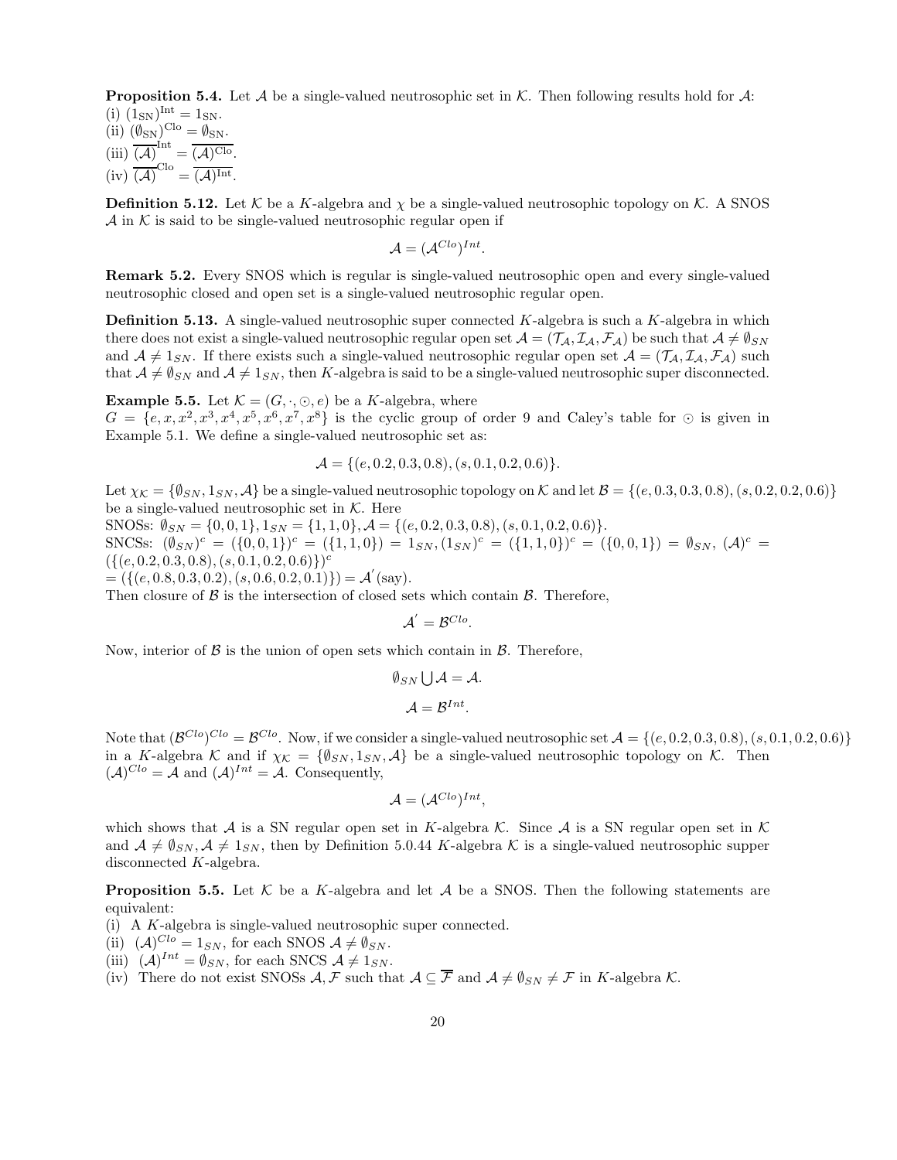**Proposition 5.4.** Let  $\mathcal A$  be a single-valued neutrosophic set in  $\mathcal K$ . Then following results hold for  $\mathcal A$ : (i)  $(1_{SN})^{Int} = 1_{SN}.$ 

(ii)  $(\emptyset_{\rm SN})^{\rm Clo} = \emptyset_{\rm SN}.$  $(iii) \overline{(\mathcal{A})}^{\text{Int}} = \overline{(\mathcal{A})^{\text{Clo}}}.$  $(iv) \overline{(\mathcal{A})}^{\text{Clo}} = \overline{(\mathcal{A})^{\text{Int}}}.$ 

**Definition 5.12.** Let  $K$  be a K-algebra and  $\chi$  be a single-valued neutrosophic topology on  $K$ . A SNOS  $\mathcal A$  in K is said to be single-valued neutrosophic regular open if

$$
\mathcal{A} = (\mathcal{A}^{Clo})^{Int}.
$$

Remark 5.2. Every SNOS which is regular is single-valued neutrosophic open and every single-valued neutrosophic closed and open set is a single-valued neutrosophic regular open.

**Definition 5.13.** A single-valued neutrosophic super connected  $K$ -algebra is such a  $K$ -algebra in which there does not exist a single-valued neutrosophic regular open set  $\mathcal{A} = (\mathcal{T}_\mathcal{A}, \mathcal{I}_\mathcal{A}, \mathcal{F}_\mathcal{A})$  be such that  $\mathcal{A} \neq \emptyset_{SN}$ and  $A \neq 1_{SN}$ . If there exists such a single-valued neutrosophic regular open set  $A = (\mathcal{T}_A, \mathcal{I}_A, \mathcal{F}_A)$  such that  $A \neq \emptyset_{SN}$  and  $A \neq \mathbb{1}_{SN}$ , then K-algebra is said to be a single-valued neutrosophic super disconnected.

**Example 5.5.** Let  $\mathcal{K} = (G, \cdot, \odot, e)$  be a K-algebra, where  $G = \{e, x, x^2, x^3, x^4, x^5, x^6, x^7, x^8\}$  is the cyclic group of order 9 and Caley's table for  $\odot$  is given in Example 5.1. We define a single-valued neutrosophic set as:

$$
\mathcal{A} = \{ (e, 0.2, 0.3, 0.8), (s, 0.1, 0.2, 0.6) \}.
$$

Let  $\chi_K = \{\emptyset_{SN}, 1_{SN}, \mathcal{A}\}$  be a single-valued neutrosophic topology on K and let  $\mathcal{B} = \{(e, 0.3, 0.3, 0.8), (s, 0.2, 0.2, 0.6)\}$ be a single-valued neutrosophic set in  $K$ . Here

SNOSs:  $\emptyset_{SN} = \{0, 0, 1\}, 1_{SN} = \{1, 1, 0\}, \mathcal{A} = \{(e, 0.2, 0.3, 0.8), (s, 0.1, 0.2, 0.6)\}.$ 

SNCSs:  $(\emptyset_{SN})^c = (\{0, 0, 1\})^c = (\{1, 1, 0\}) = 1_{SN}, (1_{SN})^c = (\{1, 1, 0\})^c = (\{0, 0, 1\}) = \emptyset_{SN}, (\mathcal{A})^c =$  $({[(e, 0.2, 0.3, 0.8), (s, 0.1, 0.2, 0.6)}^c$ 

 $= (\{(e, 0.8, 0.3, 0.2), (s, 0.6, 0.2, 0.1)\}) = \mathcal{A}'(\text{say}).$ 

Then closure of  $\beta$  is the intersection of closed sets which contain  $\beta$ . Therefore,

$$
\mathcal{A}^{'}=\mathcal{B}^{Clo}.
$$

Now, interior of  $\beta$  is the union of open sets which contain in  $\beta$ . Therefore,

$$
\emptyset_{SN} \bigcup \mathcal{A} = \mathcal{A}.
$$

$$
\mathcal{A} = \mathcal{B}^{Int}.
$$

Note that  $(\mathcal{B}^{Clo})^{Clo} = \mathcal{B}^{Clo}$ . Now, if we consider a single-valued neutrosophic set  $\mathcal{A} = \{(e, 0.2, 0.3, 0.8), (s, 0.1, 0.2, 0.6)\}\$ in a K-algebra K and if  $\chi_{\mathcal{K}} = {\emptyset_{SN}, 1_{SN}, \mathcal{A}}$  be a single-valued neutrosophic topology on K. Then  $(A)^{Clo} = A$  and  $(A)^{Int} = A$ . Consequently,

$$
\mathcal{A} = (\mathcal{A}^{Clo})^{Int},
$$

which shows that A is a SN regular open set in K-algebra K. Since A is a SN regular open set in K and  $A \neq \emptyset_{SN}, A \neq \emptyset_{SN}$ , then by Definition 5.0.44 K-algebra K is a single-valued neutrosophic supper disconnected K-algebra.

**Proposition 5.5.** Let K be a K-algebra and let A be a SNOS. Then the following statements are equivalent:

(i) A K-algebra is single-valued neutrosophic super connected.

- (ii)  $(A)^{Clo} = 1_{SN}$ , for each SNOS  $A \neq \emptyset_{SN}$ .
- (iii)  $(\mathcal{A})^{Int} = \emptyset_{SN}$ , for each SNCS  $\mathcal{A} \neq 1_{SN}$ .
- (iv) There do not exist SNOSs  $\mathcal{A}, \mathcal{F}$  such that  $\mathcal{A} \subseteq \overline{\mathcal{F}}$  and  $\mathcal{A} \neq \emptyset_{SN} \neq \mathcal{F}$  in K-algebra K.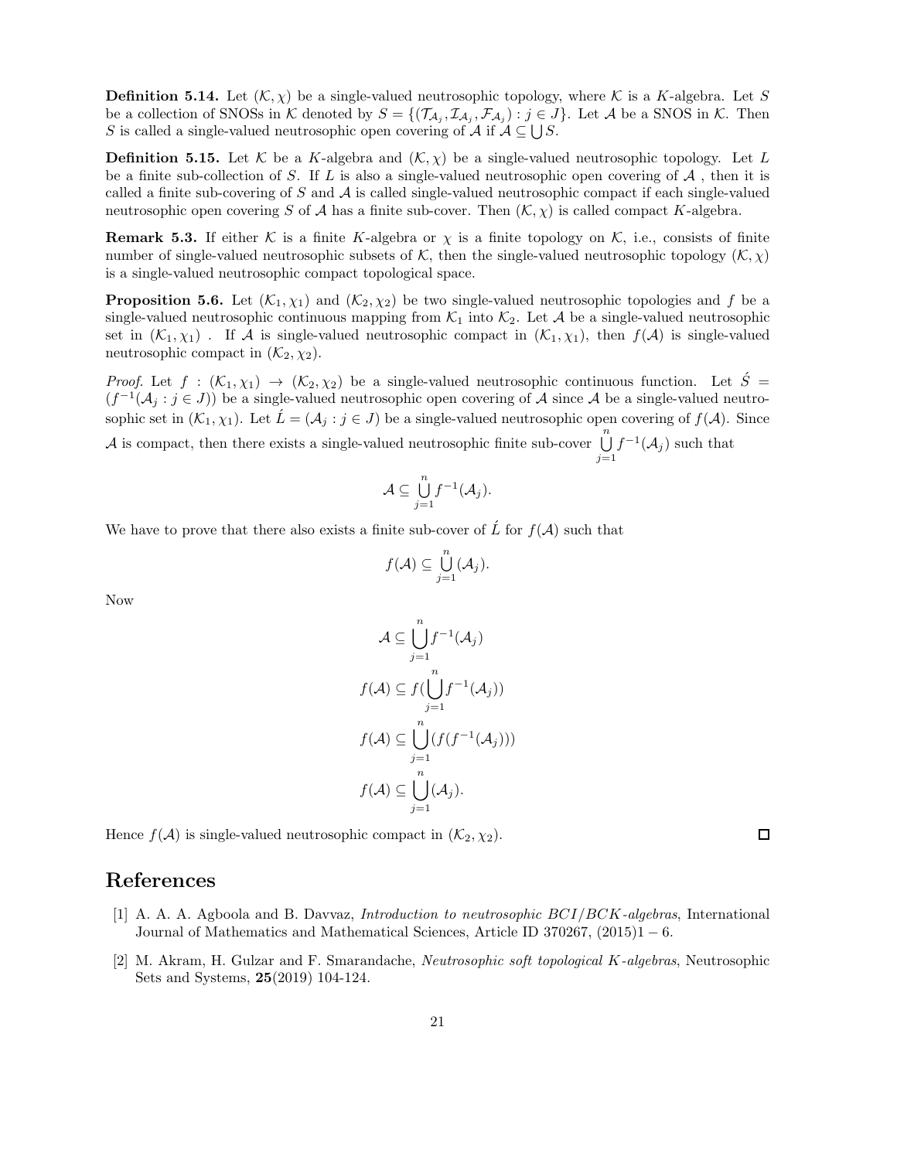**Definition 5.14.** Let  $(K, \chi)$  be a single-valued neutrosophic topology, where K is a K-algebra. Let S be a collection of SNOSs in K denoted by  $S = \{(\mathcal{T}_{\mathcal{A}_j}, \mathcal{I}_{\mathcal{A}_j}, \mathcal{F}_{\mathcal{A}_j}) : j \in J\}$ . Let A be a SNOS in K. Then S is called a single-valued neutrosophic open covering of A if  $A \subseteq \bigcup S$ .

**Definition 5.15.** Let K be a K-algebra and  $(K, \chi)$  be a single-valued neutrosophic topology. Let L be a finite sub-collection of S. If L is also a single-valued neutrosophic open covering of  $A$ , then it is called a finite sub-covering of S and  $\mathcal A$  is called single-valued neutrosophic compact if each single-valued neutrosophic open covering S of A has a finite sub-cover. Then  $(K, \chi)$  is called compact K-algebra.

**Remark 5.3.** If either K is a finite K-algebra or  $\chi$  is a finite topology on K, i.e., consists of finite number of single-valued neutrosophic subsets of K, then the single-valued neutrosophic topology  $(K, \chi)$ is a single-valued neutrosophic compact topological space.

**Proposition 5.6.** Let  $(K_1, \chi_1)$  and  $(K_2, \chi_2)$  be two single-valued neutrosophic topologies and f be a single-valued neutrosophic continuous mapping from  $\mathcal{K}_1$  into  $\mathcal{K}_2$ . Let A be a single-valued neutrosophic set in  $(K_1, \chi_1)$ . If A is single-valued neutrosophic compact in  $(K_1, \chi_1)$ , then  $f(A)$  is single-valued neutrosophic compact in  $(\mathcal{K}_2, \chi_2)$ .

*Proof.* Let  $f : (\mathcal{K}_1, \chi_1) \to (\mathcal{K}_2, \chi_2)$  be a single-valued neutrosophic continuous function. Let  $\acute{S}$  =  $(f^{-1}(\mathcal{A}_j : j \in J))$  be a single-valued neutrosophic open covering of A since A be a single-valued neutrosophic set in  $(\mathcal{K}_1, \chi_1)$ . Let  $\acute{L} = (\mathcal{A}_j : j \in J)$  be a single-valued neutrosophic open covering of  $f(\mathcal{A})$ . Since

A is compact, then there exists a single-valued neutrosophic finite sub-cover  $\bigcup_{n=1}^{n}$  $j=1$  $f^{-1}(\mathcal{A}_j)$  such that

$$
\mathcal{A}\subseteq \bigcup_{j=1}^n f^{-1}(\mathcal{A}_j).
$$

We have to prove that there also exists a finite sub-cover of  $\hat{L}$  for  $f(A)$  such that

$$
f(\mathcal{A})\subseteq \bigcup_{j=1}^n(\mathcal{A}_j).
$$

Now

$$
\mathcal{A} \subseteq \bigcup_{j=1}^{n} f^{-1}(\mathcal{A}_j)
$$

$$
f(\mathcal{A}) \subseteq f(\bigcup_{j=1}^{n} f^{-1}(\mathcal{A}_j))
$$

$$
f(\mathcal{A}) \subseteq \bigcup_{j=1}^{n} (f(f^{-1}(\mathcal{A}_j)))
$$

$$
f(\mathcal{A}) \subseteq \bigcup_{j=1}^{n} (\mathcal{A}_j).
$$

Hence  $f(A)$  is single-valued neutrosophic compact in  $(\mathcal{K}_2, \chi_2)$ .

#### References

- [1] A. A. A. Agboola and B. Davvaz, Introduction to neutrosophic BCI/BCK-algebras, International Journal of Mathematics and Mathematical Sciences, Article ID 370267,  $(2015)1 - 6$ .
- [2] M. Akram, H. Gulzar and F. Smarandache, Neutrosophic soft topological K-algebras, Neutrosophic Sets and Systems, 25(2019) 104-124.

□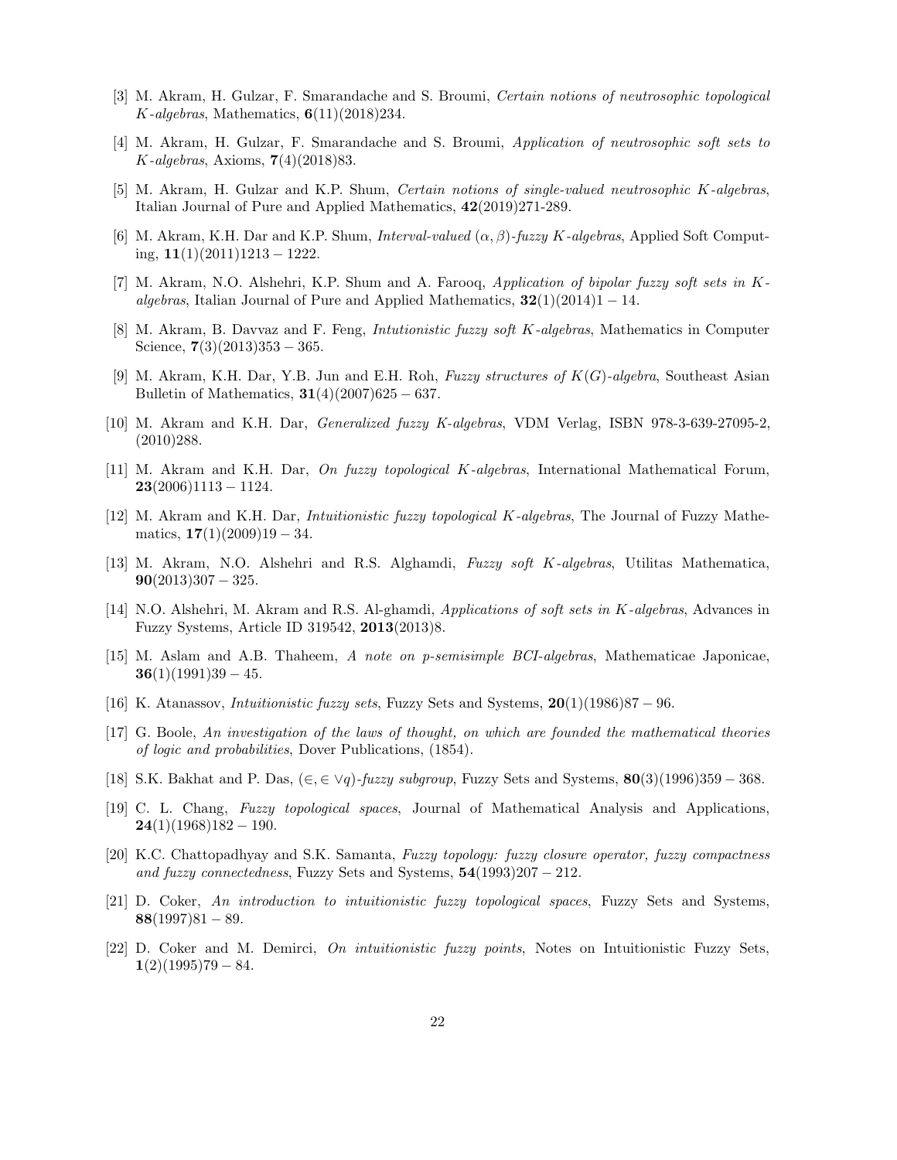- [3] M. Akram, H. Gulzar, F. Smarandache and S. Broumi, Certain notions of neutrosophic topological  $K$ -algebras, Mathematics,  $6(11)(2018)234$ .
- [4] M. Akram, H. Gulzar, F. Smarandache and S. Broumi, Application of neutrosophic soft sets to K-algebras, Axioms, 7(4)(2018)83.
- [5] M. Akram, H. Gulzar and K.P. Shum, Certain notions of single-valued neutrosophic K-algebras, Italian Journal of Pure and Applied Mathematics, 42(2019)271-289.
- [6] M. Akram, K.H. Dar and K.P. Shum, *Interval-valued*  $(\alpha, \beta)$ -*fuzzy K-algebras*, Applied Soft Computing,  $11(1)(2011)1213 - 1222$ .
- [7] M. Akram, N.O. Alshehri, K.P. Shum and A. Farooq, Application of bipolar fuzzy soft sets in Kalgebras, Italian Journal of Pure and Applied Mathematics,  $32(1)(2014)1 - 14$ .
- [8] M. Akram, B. Davvaz and F. Feng, Intutionistic fuzzy soft K-algebras, Mathematics in Computer Science,  $7(3)(2013)353 - 365$ .
- [9] M. Akram, K.H. Dar, Y.B. Jun and E.H. Roh, Fuzzy structures of  $K(G)$ -algebra, Southeast Asian Bulletin of Mathematics,  $31(4)(2007)625 - 637$ .
- [10] M. Akram and K.H. Dar, Generalized fuzzy K-algebras, VDM Verlag, ISBN 978-3-639-27095-2, (2010)288.
- [11] M. Akram and K.H. Dar, On fuzzy topological K-algebras, International Mathematical Forum,  $23(2006)1113 - 1124.$
- [12] M. Akram and K.H. Dar, Intuitionistic fuzzy topological K-algebras, The Journal of Fuzzy Mathematics,  $17(1)(2009)19 - 34$ .
- [13] M. Akram, N.O. Alshehri and R.S. Alghamdi, Fuzzy soft K-algebras, Utilitas Mathematica,  $90(2013)307 - 325.$
- [14] N.O. Alshehri, M. Akram and R.S. Al-ghamdi, Applications of soft sets in K-algebras, Advances in Fuzzy Systems, Article ID 319542, 2013(2013)8.
- [15] M. Aslam and A.B. Thaheem, A note on p-semisimple BCI-algebras, Mathematicae Japonicae,  $36(1)(1991)39 - 45.$
- [16] K. Atanassov, *Intuitionistic fuzzy sets*, Fuzzy Sets and Systems,  $20(1)(1986)87 96$ .
- [17] G. Boole, An investigation of the laws of thought, on which are founded the mathematical theories of logic and probabilities, Dover Publications, (1854).
- [18] S.K. Bakhat and P. Das,  $(\in, \in \forall q)$ -fuzzy subgroup, Fuzzy Sets and Systems, 80(3)(1996)359 368.
- [19] C. L. Chang, Fuzzy topological spaces, Journal of Mathematical Analysis and Applications,  $24(1)(1968)182 - 190.$
- [20] K.C. Chattopadhyay and S.K. Samanta, Fuzzy topology: fuzzy closure operator, fuzzy compactness and fuzzy connectedness, Fuzzy Sets and Systems,  $54(1993)207 - 212$ .
- [21] D. Coker, An introduction to intuitionistic fuzzy topological spaces, Fuzzy Sets and Systems,  $88(1997)81 - 89.$
- [22] D. Coker and M. Demirci, On intuitionistic fuzzy points, Notes on Intuitionistic Fuzzy Sets,  $1(2)(1995)79 - 84.$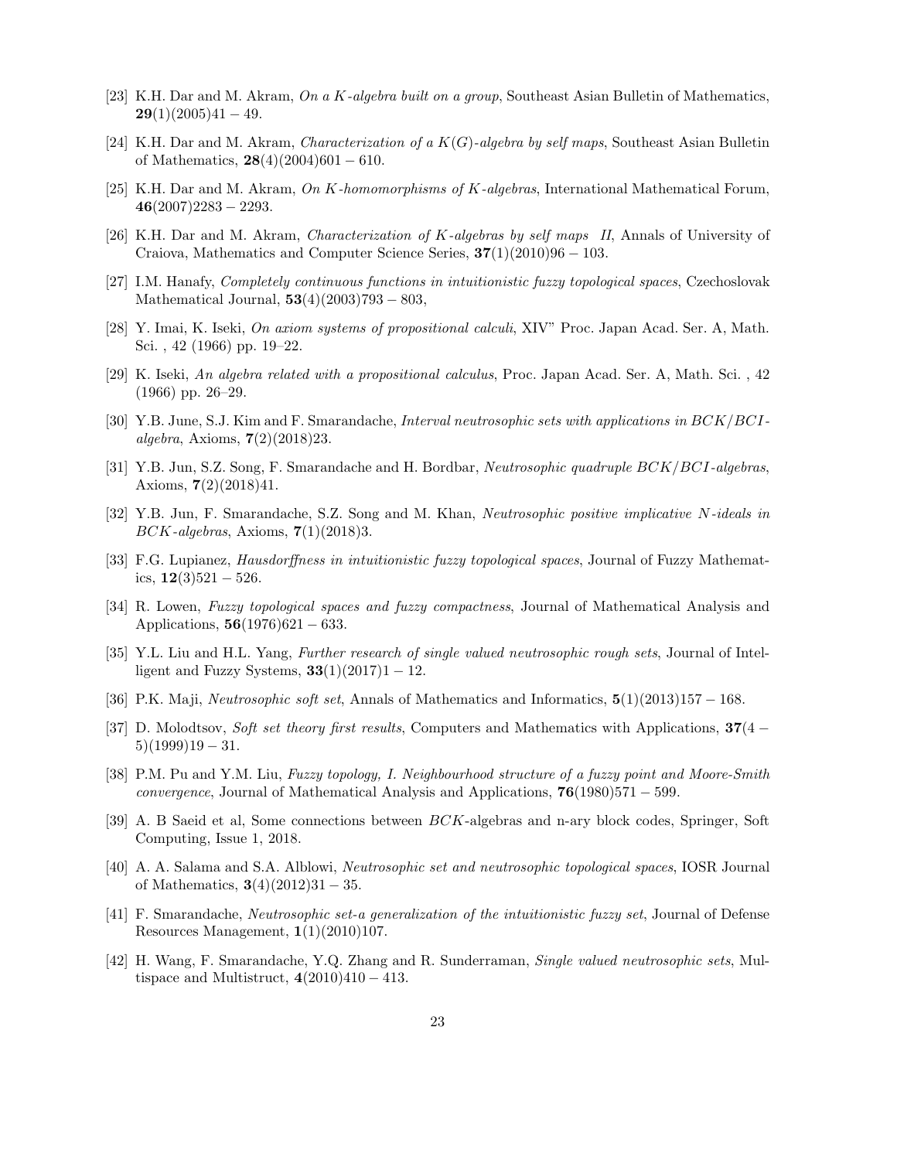- [23] K.H. Dar and M. Akram, On a K-algebra built on a group, Southeast Asian Bulletin of Mathematics,  $29(1)(2005)41 - 49.$
- [24] K.H. Dar and M. Akram, *Characterization of a*  $K(G)$ -algebra by self maps, Southeast Asian Bulletin of Mathematics,  $28(4)(2004)601 - 610$ .
- [25] K.H. Dar and M. Akram, On K-homomorphisms of K-algebras, International Mathematical Forum,  $46(2007)2283 - 2293.$
- [26] K.H. Dar and M. Akram, Characterization of K-algebras by self maps II, Annals of University of Craiova, Mathematics and Computer Science Series,  $37(1)(2010)96 - 103$ .
- [27] I.M. Hanafy, Completely continuous functions in intuitionistic fuzzy topological spaces, Czechoslovak Mathematical Journal,  $53(4)(2003)793 - 803$ ,
- [28] Y. Imai, K. Iseki, On axiom systems of propositional calculi, XIV" Proc. Japan Acad. Ser. A, Math. Sci. , 42 (1966) pp. 19–22.
- [29] K. Iseki, An algebra related with a propositional calculus, Proc. Japan Acad. Ser. A, Math. Sci. , 42 (1966) pp. 26–29.
- [30] Y.B. June, S.J. Kim and F. Smarandache, Interval neutrosophic sets with applications in BCK/BCIalgebra, Axioms,  $7(2)(2018)23$ .
- [31] Y.B. Jun, S.Z. Song, F. Smarandache and H. Bordbar, Neutrosophic quadruple BCK/BCI-algebras, Axioms, 7(2)(2018)41.
- [32] Y.B. Jun, F. Smarandache, S.Z. Song and M. Khan, Neutrosophic positive implicative N-ideals in  $BCK$ -algebras, Axioms,  $7(1)(2018)3$ .
- [33] F.G. Lupianez, Hausdorffness in intuitionistic fuzzy topological spaces, Journal of Fuzzy Mathematics,  $12(3)521 - 526$ .
- [34] R. Lowen, Fuzzy topological spaces and fuzzy compactness, Journal of Mathematical Analysis and Applications,  $56(1976)621 - 633$ .
- [35] Y.L. Liu and H.L. Yang, Further research of single valued neutrosophic rough sets, Journal of Intelligent and Fuzzy Systems,  $33(1)(2017)1 - 12$ .
- [36] P.K. Maji, Neutrosophic soft set, Annals of Mathematics and Informatics, 5(1)(2013)157 − 168.
- [37] D. Molodtsov, Soft set theory first results, Computers and Mathematics with Applications,  $37(4 5(1999)19 - 31.$
- [38] P.M. Pu and Y.M. Liu, Fuzzy topology, I. Neighbourhood structure of a fuzzy point and Moore-Smith convergence, Journal of Mathematical Analysis and Applications,  $76(1980)571 - 599$ .
- [39] A. B Saeid et al, Some connections between BCK-algebras and n-ary block codes, Springer, Soft Computing, Issue 1, 2018.
- [40] A. A. Salama and S.A. Alblowi, Neutrosophic set and neutrosophic topological spaces, IOSR Journal of Mathematics,  $3(4)(2012)31 - 35$ .
- [41] F. Smarandache, Neutrosophic set-a generalization of the intuitionistic fuzzy set, Journal of Defense Resources Management,  $1(1)(2010)107$ .
- [42] H. Wang, F. Smarandache, Y.Q. Zhang and R. Sunderraman, Single valued neutrosophic sets, Multispace and Multistruct,  $4(2010)410 - 413$ .